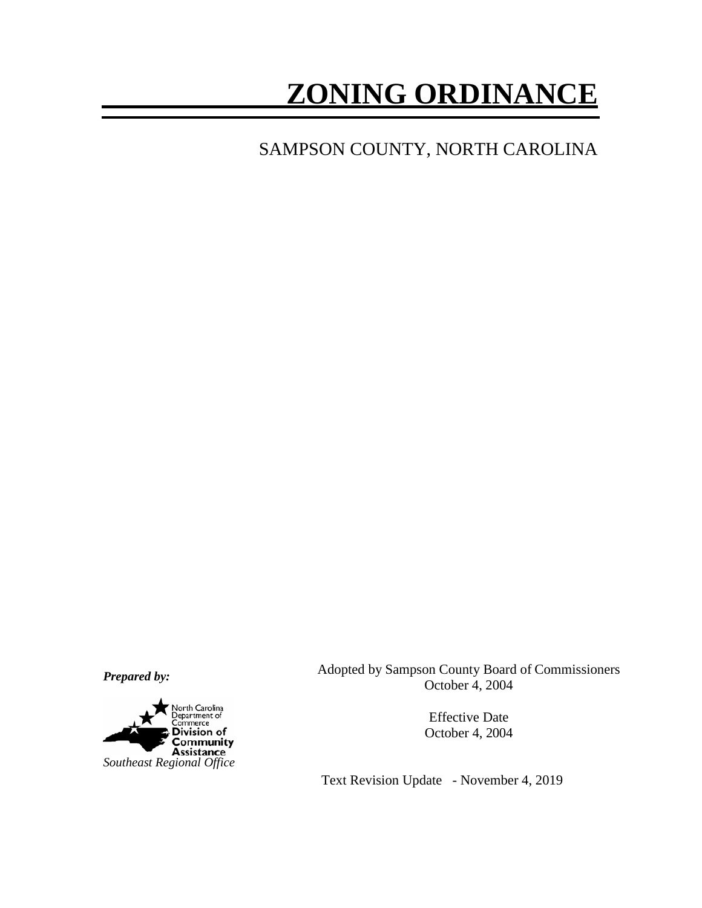# **ZONING ORDINANCE**

SAMPSON COUNTY, NORTH CAROLINA

*Prepared by:*

North Carolina<br>Department of<br>Commerce Division of *Southeast Regional Office* Adopted by Sampson County Board of Commissioners October 4, 2004

> Effective Date October 4, 2004

Text Revision Update - November 4, 2019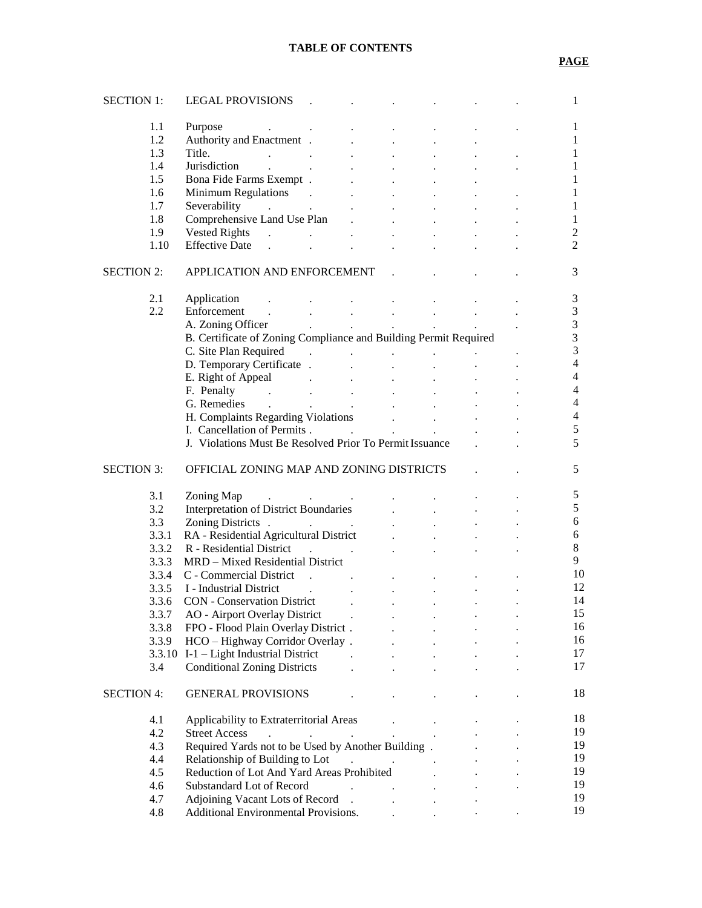# **TABLE OF CONTENTS**

### **PAGE**

| <b>SECTION 1:</b> | <b>LEGAL PROVISIONS</b>                                                                                                                                                                                                                                                                                                                                                                                                                                                                           |                                                                  |                                                                                  |                      | 1              |
|-------------------|---------------------------------------------------------------------------------------------------------------------------------------------------------------------------------------------------------------------------------------------------------------------------------------------------------------------------------------------------------------------------------------------------------------------------------------------------------------------------------------------------|------------------------------------------------------------------|----------------------------------------------------------------------------------|----------------------|----------------|
| 1.1               | Purpose<br>$\mathcal{L}^{\mathcal{L}}(\mathcal{L}^{\mathcal{L}}(\mathcal{L}^{\mathcal{L}}(\mathcal{L}^{\mathcal{L}}(\mathcal{L}^{\mathcal{L}}(\mathcal{L}^{\mathcal{L}}(\mathcal{L}^{\mathcal{L}}(\mathcal{L}^{\mathcal{L}}(\mathcal{L}^{\mathcal{L}}(\mathcal{L}^{\mathcal{L}}(\mathcal{L}^{\mathcal{L}}(\mathcal{L}^{\mathcal{L}}(\mathcal{L}^{\mathcal{L}}(\mathcal{L}^{\mathcal{L}}(\mathcal{L}^{\mathcal{L}}(\mathcal{L}^{\mathcal{L}}(\mathcal{L}^{\mathcal{L$<br>$\mathbf{L}^{\text{max}}$ | $\Box$                                                           | $\bullet$                                                                        |                      | 1              |
| 1.2               | Authority and Enactment .<br>$\mathcal{L}^{\text{max}}$ and $\mathcal{L}^{\text{max}}$                                                                                                                                                                                                                                                                                                                                                                                                            |                                                                  | $\Box$                                                                           |                      | 1              |
| 1.3               | Title.<br>$\mathbf{r} = \left\{ \begin{array}{ll} 0 & \mathbf{r} \in \mathbb{R}^n, \ \mathbf{r} \in \mathbb{R}^n, \ \mathbf{r} \in \mathbb{R}^n, \ \mathbf{r} \in \mathbb{R}^n, \ \mathbf{r} \in \mathbb{R}^n, \ \mathbf{r} \in \mathbb{R}^n, \ \mathbf{r} \in \mathbb{R}^n, \ \mathbf{r} \in \mathbb{R}^n, \ \mathbf{r} \in \mathbb{R}^n, \ \mathbf{r} \in \mathbb{R}^n, \ \mathbf{r} \in \mathbb{R}^n, \ \$                                                                                     |                                                                  |                                                                                  |                      | $\mathbf{1}$   |
| 1.4               | Jurisdiction                                                                                                                                                                                                                                                                                                                                                                                                                                                                                      |                                                                  |                                                                                  |                      | $\mathbf{1}$   |
| 1.5               | $\mathcal{F}_{\text{max}}$                                                                                                                                                                                                                                                                                                                                                                                                                                                                        |                                                                  | $\ddot{\phantom{a}}$                                                             |                      | $\mathbf{1}$   |
| 1.6               | Bona Fide Farms Exempt .<br>Minimum Regulations .                                                                                                                                                                                                                                                                                                                                                                                                                                                 |                                                                  | $\mathcal{L}^{\text{max}}$                                                       |                      | 1              |
| 1.7               | $\mathcal{L}^{\text{max}}$ and $\mathcal{L}^{\text{max}}$                                                                                                                                                                                                                                                                                                                                                                                                                                         |                                                                  |                                                                                  |                      | $\mathbf{1}$   |
|                   | Severability<br>Comprehensive Land Use Plan                                                                                                                                                                                                                                                                                                                                                                                                                                                       |                                                                  |                                                                                  |                      |                |
| 1.8               |                                                                                                                                                                                                                                                                                                                                                                                                                                                                                                   |                                                                  | $\ddot{\phantom{a}}$                                                             |                      | 1              |
| 1.9               |                                                                                                                                                                                                                                                                                                                                                                                                                                                                                                   | $\mathbf{L}^{(1)}$ and $\mathbf{L}^{(2)}$ and $\mathbf{L}^{(3)}$ |                                                                                  |                      | $\overline{c}$ |
| 1.10              | <b>Effective Date</b><br>$\sim$<br>$\ddot{\phantom{a}}$                                                                                                                                                                                                                                                                                                                                                                                                                                           |                                                                  |                                                                                  |                      | $\overline{2}$ |
| <b>SECTION 2:</b> | APPLICATION AND ENFORCEMENT                                                                                                                                                                                                                                                                                                                                                                                                                                                                       |                                                                  |                                                                                  |                      | 3              |
| 2.1               | Application                                                                                                                                                                                                                                                                                                                                                                                                                                                                                       |                                                                  |                                                                                  |                      | 3              |
| 2.2               | Enforcement<br>$\ddot{\phantom{a}}$                                                                                                                                                                                                                                                                                                                                                                                                                                                               |                                                                  | $\mathbf{A}$ and $\mathbf{A}$ are $\mathbf{A}$ and $\mathbf{A}$ and $\mathbf{A}$ |                      | $\mathfrak{Z}$ |
|                   | A. Zoning Officer<br>$\mathcal{A}^{\mathcal{A}}$ and $\mathcal{A}^{\mathcal{A}}$ are the set of the set of $\mathcal{A}^{\mathcal{A}}$ and $\mathcal{A}^{\mathcal{A}}$                                                                                                                                                                                                                                                                                                                            |                                                                  |                                                                                  |                      | $\mathfrak{Z}$ |
|                   | B. Certificate of Zoning Compliance and Building Permit Required                                                                                                                                                                                                                                                                                                                                                                                                                                  |                                                                  |                                                                                  |                      | 3              |
|                   |                                                                                                                                                                                                                                                                                                                                                                                                                                                                                                   |                                                                  |                                                                                  |                      | $\mathfrak{Z}$ |
|                   |                                                                                                                                                                                                                                                                                                                                                                                                                                                                                                   |                                                                  |                                                                                  | $\ddot{\phantom{a}}$ | $\overline{4}$ |
|                   | E. Right of Appeal Fig. 2. The contract of Appeal Allen Contract and Allen Contract of Appeal Allen Contract and Allen Contract and Allen Contract and Allen Contract and Allen Contract and Allen Contract and Allen Contract                                                                                                                                                                                                                                                                    |                                                                  |                                                                                  |                      | $\overline{4}$ |
|                   | The contract of the contract of the contract of<br>F. Penalty                                                                                                                                                                                                                                                                                                                                                                                                                                     |                                                                  |                                                                                  |                      | $\overline{4}$ |
|                   |                                                                                                                                                                                                                                                                                                                                                                                                                                                                                                   |                                                                  |                                                                                  |                      | $\overline{4}$ |
|                   |                                                                                                                                                                                                                                                                                                                                                                                                                                                                                                   |                                                                  |                                                                                  | $\Box$               | $\overline{4}$ |
|                   |                                                                                                                                                                                                                                                                                                                                                                                                                                                                                                   |                                                                  |                                                                                  |                      | 5              |
|                   | I. Cancellation of Permits . The contract of the contract of the contract of the contract of the contract of the contract of the contract of the contract of the contract of the contract of the contract of the contract of t                                                                                                                                                                                                                                                                    |                                                                  |                                                                                  |                      |                |
|                   | J. Violations Must Be Resolved Prior To Permit Issuance                                                                                                                                                                                                                                                                                                                                                                                                                                           |                                                                  |                                                                                  |                      | 5              |
| <b>SECTION 3:</b> | OFFICIAL ZONING MAP AND ZONING DISTRICTS                                                                                                                                                                                                                                                                                                                                                                                                                                                          |                                                                  |                                                                                  |                      | 5              |
|                   |                                                                                                                                                                                                                                                                                                                                                                                                                                                                                                   |                                                                  |                                                                                  |                      |                |
| 3.1               | Zoning Map<br>the control of the control of                                                                                                                                                                                                                                                                                                                                                                                                                                                       |                                                                  |                                                                                  |                      | 5              |
| 3.2               | <b>Interpretation of District Boundaries</b>                                                                                                                                                                                                                                                                                                                                                                                                                                                      |                                                                  |                                                                                  |                      | 5              |
| 3.3               | Zoning Districts.<br>$\mathcal{L}^{\mathcal{L}}$ , and $\mathcal{L}^{\mathcal{L}}$ , and $\mathcal{L}^{\mathcal{L}}$                                                                                                                                                                                                                                                                                                                                                                              | $\mathcal{L}^{\text{max}}$                                       |                                                                                  |                      | 6              |
| 3.3.1             | RA - Residential Agricultural District                                                                                                                                                                                                                                                                                                                                                                                                                                                            |                                                                  |                                                                                  |                      | 6              |
| 3.3.2             | R - Residential District .                                                                                                                                                                                                                                                                                                                                                                                                                                                                        |                                                                  |                                                                                  |                      | 8              |
| 3.3.3             | MRD - Mixed Residential District                                                                                                                                                                                                                                                                                                                                                                                                                                                                  |                                                                  |                                                                                  |                      | 9              |
| 3.3.4             | C - Commercial District<br>$\sim$                                                                                                                                                                                                                                                                                                                                                                                                                                                                 |                                                                  |                                                                                  |                      | 10             |
| 3.3.5             | I - Industrial District .<br>$\Box$                                                                                                                                                                                                                                                                                                                                                                                                                                                               | $\ddot{\phantom{0}}$                                             | $\blacksquare$                                                                   |                      | 12             |
| 3.3.6             | <b>CON</b> - Conservation District                                                                                                                                                                                                                                                                                                                                                                                                                                                                |                                                                  |                                                                                  |                      | 14             |
| 3.3.7             | <b>AO</b> - Airport Overlay District                                                                                                                                                                                                                                                                                                                                                                                                                                                              |                                                                  |                                                                                  |                      | 15             |
| 3.3.8             | FPO - Flood Plain Overlay District.                                                                                                                                                                                                                                                                                                                                                                                                                                                               |                                                                  |                                                                                  |                      | 16             |
| 3.3.9             | HCO - Highway Corridor Overlay.                                                                                                                                                                                                                                                                                                                                                                                                                                                                   |                                                                  |                                                                                  |                      | 16             |
|                   |                                                                                                                                                                                                                                                                                                                                                                                                                                                                                                   |                                                                  |                                                                                  |                      | 17             |
| 3.3.10            | $I-1$ – Light Industrial District<br>$\mathbf{r}$                                                                                                                                                                                                                                                                                                                                                                                                                                                 | $\ddot{\phantom{a}}$                                             | $\ddot{\phantom{a}}$                                                             |                      |                |
| 3.4               | <b>Conditional Zoning Districts</b>                                                                                                                                                                                                                                                                                                                                                                                                                                                               |                                                                  |                                                                                  |                      | 17             |
| <b>SECTION 4:</b> | <b>GENERAL PROVISIONS</b>                                                                                                                                                                                                                                                                                                                                                                                                                                                                         |                                                                  |                                                                                  |                      | 18             |
| 4.1               | Applicability to Extraterritorial Areas                                                                                                                                                                                                                                                                                                                                                                                                                                                           |                                                                  |                                                                                  |                      | 18             |
| 4.2               | <b>Street Access</b>                                                                                                                                                                                                                                                                                                                                                                                                                                                                              | $\ddot{\phantom{a}}$                                             |                                                                                  |                      | 19             |
| 4.3               | Required Yards not to be Used by Another Building.                                                                                                                                                                                                                                                                                                                                                                                                                                                |                                                                  |                                                                                  |                      | 19             |
| 4.4               | Relationship of Building to Lot                                                                                                                                                                                                                                                                                                                                                                                                                                                                   |                                                                  |                                                                                  |                      | 19             |
| 4.5               | Reduction of Lot And Yard Areas Prohibited                                                                                                                                                                                                                                                                                                                                                                                                                                                        |                                                                  |                                                                                  |                      | 19             |
| 4.6               | Substandard Lot of Record                                                                                                                                                                                                                                                                                                                                                                                                                                                                         |                                                                  |                                                                                  |                      | 19             |
| 4.7               | Adjoining Vacant Lots of Record                                                                                                                                                                                                                                                                                                                                                                                                                                                                   |                                                                  |                                                                                  |                      | 19             |
| 4.8               | Additional Environmental Provisions.                                                                                                                                                                                                                                                                                                                                                                                                                                                              |                                                                  |                                                                                  |                      | 19             |
|                   |                                                                                                                                                                                                                                                                                                                                                                                                                                                                                                   |                                                                  |                                                                                  |                      |                |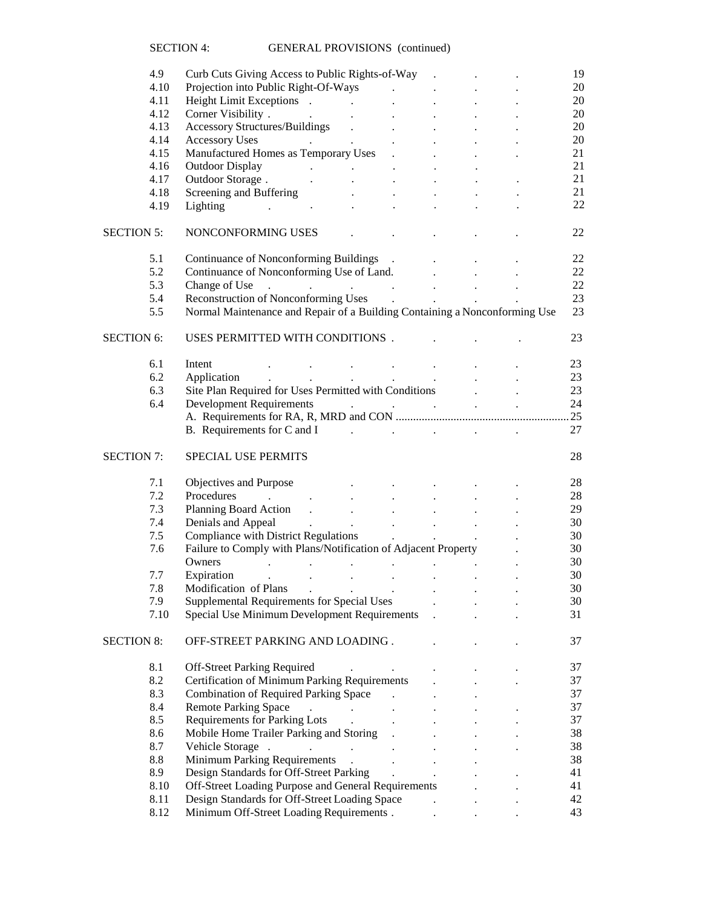# SECTION 4: **GENERAL PROVISIONS** (continued)

|                   | 4.9<br>4.10<br>4.11<br>4.12<br>4.13<br>4.14<br>4.15<br>4.16<br>4.17<br>4.18<br>4.19 | Curb Cuts Giving Access to Public Rights-of-Way.<br>Projection into Public Right-Of-Ways<br><b>Contract Contract</b><br>Height Limit Exceptions . The contract of the contract of the contract of the contract of the contract of the contract of the contract of the contract of the contract of the contract of the contract of the contract of the<br>$\ddot{\phantom{a}}$<br>Corner Visibility.<br>and the contract of the contract of<br>$\Box$<br>$\mathbb{Z}^2$<br><b>Accessory Uses</b><br>$\mathcal{L}^{\mathcal{L}}(\mathcal{L}^{\mathcal{L}}(\mathcal{L}^{\mathcal{L}}(\mathcal{L}^{\mathcal{L}}(\mathcal{L}^{\mathcal{L}}(\mathcal{L}^{\mathcal{L}}(\mathcal{L}^{\mathcal{L}}(\mathcal{L}^{\mathcal{L}}(\mathcal{L}^{\mathcal{L}}(\mathcal{L}^{\mathcal{L}}(\mathcal{L}^{\mathcal{L}}(\mathcal{L}^{\mathcal{L}}(\mathcal{L}^{\mathcal{L}}(\mathcal{L}^{\mathcal{L}}(\mathcal{L}^{\mathcal{L}}(\mathcal{L}^{\mathcal{L}}(\mathcal{L}^{\mathcal{L$<br><b>All Contracts</b><br>$\ddot{\phantom{a}}$<br>Manufactured Homes as Temporary Uses<br>$\ddot{\phantom{a}}$<br>$\ddot{\phantom{a}}$<br><b>Outdoor Display</b><br>$\mathcal{L}(\mathcal{A})$ and $\mathcal{L}(\mathcal{A})$ and $\mathcal{L}(\mathcal{A})$ and<br>Outdoor Storage.<br>$\ddot{\phantom{a}}$<br>Screening and Buffering<br>Lighting<br>$\ddot{\phantom{0}}$<br>$\sim$<br>$\ddot{\phantom{a}}$ | $\ddot{\phantom{a}}$<br>$\ddot{\phantom{0}}$<br>$\ddot{\phantom{a}}$                                                 | 19<br>20<br>20<br>20<br>20<br>20<br>21<br>21<br>21<br>21<br>22       |
|-------------------|-------------------------------------------------------------------------------------|-----------------------------------------------------------------------------------------------------------------------------------------------------------------------------------------------------------------------------------------------------------------------------------------------------------------------------------------------------------------------------------------------------------------------------------------------------------------------------------------------------------------------------------------------------------------------------------------------------------------------------------------------------------------------------------------------------------------------------------------------------------------------------------------------------------------------------------------------------------------------------------------------------------------------------------------------------------------------------------------------------------------------------------------------------------------------------------------------------------------------------------------------------------------------------------------------------------------------------------------------------------------------------------------------------------------------------------------------------------------------------|----------------------------------------------------------------------------------------------------------------------|----------------------------------------------------------------------|
| <b>SECTION 5:</b> |                                                                                     | NONCONFORMING USES                                                                                                                                                                                                                                                                                                                                                                                                                                                                                                                                                                                                                                                                                                                                                                                                                                                                                                                                                                                                                                                                                                                                                                                                                                                                                                                                                          |                                                                                                                      | 22                                                                   |
|                   | 5.1<br>5.2<br>5.3<br>5.4<br>5.5                                                     | Continuance of Nonconforming Buildings<br>$\sim$<br>Continuance of Nonconforming Use of Land.<br>$\ddot{\phantom{a}}$<br>Change of Use<br>$\mathcal{L}^{\mathcal{L}}$ and $\mathcal{L}^{\mathcal{L}}$ are the set of the set of $\mathcal{L}^{\mathcal{L}}$<br>$\ddot{\phantom{a}}$<br>Reconstruction of Nonconforming Uses .<br>$\sim$<br>Normal Maintenance and Repair of a Building Containing a Nonconforming Use                                                                                                                                                                                                                                                                                                                                                                                                                                                                                                                                                                                                                                                                                                                                                                                                                                                                                                                                                       | $\ddot{\phantom{a}}$<br>and the company of the                                                                       | 22<br>22<br>22<br>23<br>23                                           |
| <b>SECTION 6:</b> |                                                                                     | USES PERMITTED WITH CONDITIONS.                                                                                                                                                                                                                                                                                                                                                                                                                                                                                                                                                                                                                                                                                                                                                                                                                                                                                                                                                                                                                                                                                                                                                                                                                                                                                                                                             |                                                                                                                      | 23                                                                   |
|                   | 6.1<br>6.2<br>6.3<br>6.4                                                            | Intent<br><b>All Committee</b><br>Application<br>$\mathcal{L}^{\mathcal{A}}$ and $\mathcal{L}^{\mathcal{A}}$ are the set of the set of the set of $\mathcal{L}^{\mathcal{A}}$<br>Site Plan Required for Uses Permitted with Conditions<br><b>Development Requirements</b><br>$\mathcal{L}^{\mathcal{A}}$ . The contribution of the contribution of the contribution of $\mathcal{L}^{\mathcal{A}}$<br>B. Requirements for C and I<br>the contract of the contract of the contract of                                                                                                                                                                                                                                                                                                                                                                                                                                                                                                                                                                                                                                                                                                                                                                                                                                                                                        | $\mathbf{r} = \mathbf{r} \cdot \mathbf{r}$                                                                           | 23<br>23<br>23<br>24<br>27                                           |
| <b>SECTION 7:</b> |                                                                                     | SPECIAL USE PERMITS                                                                                                                                                                                                                                                                                                                                                                                                                                                                                                                                                                                                                                                                                                                                                                                                                                                                                                                                                                                                                                                                                                                                                                                                                                                                                                                                                         |                                                                                                                      | 28                                                                   |
|                   | 7.1<br>7.2<br>7.3<br>7.4<br>7.5<br>7.6<br>7.7<br>7.8                                | Objectives and Purpose<br>Procedures<br>$\mathcal{L}^{\text{max}}$ , $\mathcal{L}^{\text{max}}$<br>$\sim$<br>Planning Board Action<br>$\Delta \sim 10$<br>$\sim$<br>$\ddot{\phantom{a}}$<br>Denials and Appeal<br>$\mathbf{A}$<br>$\mathcal{L}^{\text{max}}$<br>$\mathcal{L}^{\text{max}}$<br>Compliance with District Regulations<br>$\Delta \sim 10$<br>Failure to Comply with Plans/Notification of Adjacent Property<br>Owners<br>$\mathcal{L}(\mathcal{A})$ and $\mathcal{L}(\mathcal{A})$ are the set of the set of the set of the set of the set of the set of the set of the set of the set of the set of the set of the set of the set of the set of the set of the set of the set<br>Expiration<br>Modification of Plans                                                                                                                                                                                                                                                                                                                                                                                                                                                                                                                                                                                                                                          | $\ddot{\phantom{a}}$<br>$\mathcal{L}^{\text{max}}$<br>$\mathbf{r}$                                                   | 28<br>28<br>29<br>30<br>30<br>30<br>30<br>30<br>30                   |
|                   | 7.9                                                                                 | the control of the control of the<br>Supplemental Requirements for Special Uses<br>$\mathcal{L}^{\text{max}}$                                                                                                                                                                                                                                                                                                                                                                                                                                                                                                                                                                                                                                                                                                                                                                                                                                                                                                                                                                                                                                                                                                                                                                                                                                                               |                                                                                                                      | 30                                                                   |
|                   | 7.10                                                                                | Special Use Minimum Development Requirements<br>$\ddot{\phantom{a}}$                                                                                                                                                                                                                                                                                                                                                                                                                                                                                                                                                                                                                                                                                                                                                                                                                                                                                                                                                                                                                                                                                                                                                                                                                                                                                                        |                                                                                                                      | 31                                                                   |
| <b>SECTION 8:</b> |                                                                                     | OFF-STREET PARKING AND LOADING.                                                                                                                                                                                                                                                                                                                                                                                                                                                                                                                                                                                                                                                                                                                                                                                                                                                                                                                                                                                                                                                                                                                                                                                                                                                                                                                                             |                                                                                                                      | 37                                                                   |
|                   | 8.1<br>8.2<br>8.3<br>8.4<br>8.5<br>8.6<br>8.7<br>8.8<br>8.9<br>8.10<br>8.11<br>8.12 | <b>Off-Street Parking Required</b><br><b>Contractor</b><br>$\bullet$<br><b>Certification of Minimum Parking Requirements</b><br><b>Combination of Required Parking Space</b><br>$\sim 10^{10}$ and $\sim 10^{10}$<br>$\ddot{\phantom{a}}$<br><b>Remote Parking Space</b><br>$\mathcal{L}^{\mathcal{L}}$ and $\mathcal{L}^{\mathcal{L}}$ are the set of the set of $\mathcal{L}^{\mathcal{L}}$<br>$\ddot{\phantom{a}}$<br>Requirements for Parking Lots .<br>$\sim 10^{-10}$ km s $^{-1}$<br>Mobile Home Trailer Parking and Storing<br>$\ddot{\phantom{a}}$<br>$\ddot{\phantom{0}}$<br>Vehicle Storage.<br>$\mathcal{L}(\mathcal{A})$ and $\mathcal{L}(\mathcal{A})$ are the set of the set of $\mathcal{L}(\mathcal{A})$<br>$\Box$<br><b>Minimum Parking Requirements</b><br>$\sim 10^{-10}$ and $\sim 10^{-10}$<br>$\sim 10$<br>$\sim$<br>Design Standards for Off-Street Parking<br>$\sim$<br>$\mathcal{L}^{\pm}$<br>Off-Street Loading Purpose and General Requirements<br>Design Standards for Off-Street Loading Space<br>$\ddot{\phantom{0}}$<br>Minimum Off-Street Loading Requirements.<br>$\ddot{\phantom{a}}$                                                                                                                                                                                                                                                    | $\ddot{\phantom{0}}$<br>$\ddot{\phantom{0}}$<br>$\ddot{\phantom{a}}$<br>$\ddot{\phantom{0}}$<br>$\ddot{\phantom{0}}$ | 37<br>37<br>37<br>37<br>37<br>38<br>38<br>38<br>41<br>41<br>42<br>43 |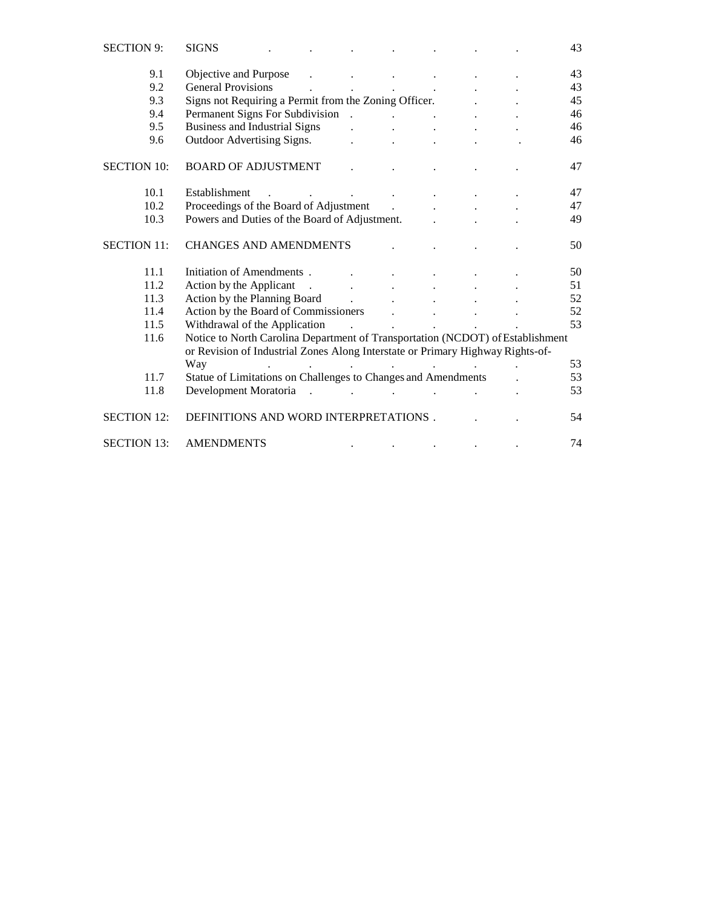| <b>SECTION 9:</b>  | <b>SIGNS</b>                                                                         |                                            |                                                                       |                                     |                                                                                                     | 43 |
|--------------------|--------------------------------------------------------------------------------------|--------------------------------------------|-----------------------------------------------------------------------|-------------------------------------|-----------------------------------------------------------------------------------------------------|----|
| 9.1                | Objective and Purpose                                                                |                                            | $\mathbf{r}$ , and $\mathbf{r}$ , and $\mathbf{r}$ , and $\mathbf{r}$ | $\sim$ 10 $\pm$                     |                                                                                                     | 43 |
| 9.2                | <b>General Provisions</b>                                                            |                                            |                                                                       |                                     | the contract of the contract of the contract of the contract of the contract of                     | 43 |
| 9.3                | Signs not Requiring a Permit from the Zoning Officer.                                |                                            |                                                                       |                                     |                                                                                                     | 45 |
| 9.4                |                                                                                      |                                            |                                                                       |                                     |                                                                                                     | 46 |
| 9.5                | Business and Industrial Signs                                                        | $\mathcal{L}$ and $\mathcal{L}$            |                                                                       |                                     | $\mathcal{L}^{\mathcal{A}}$ and $\mathcal{L}^{\mathcal{A}}$ are the set of the set of $\mathcal{A}$ | 46 |
| 9.6                | Outdoor Advertising Signs.                                                           |                                            | $\mathbf{L}$ and $\mathbf{L}$                                         | $\mathcal{L}^{\text{max}}$          |                                                                                                     | 46 |
| <b>SECTION 10:</b> | <b>BOARD OF ADJUSTMENT</b>                                                           |                                            |                                                                       |                                     |                                                                                                     | 47 |
| 10.1               | Establishment                                                                        | and the state of the state of the state of |                                                                       |                                     |                                                                                                     | 47 |
| 10.2               | Proceedings of the Board of Adjustment .                                             |                                            |                                                                       | $\ddot{\phantom{a}}$                |                                                                                                     | 47 |
| 10.3               | Powers and Duties of the Board of Adjustment.                                        |                                            |                                                                       |                                     |                                                                                                     | 49 |
| <b>SECTION 11:</b> | <b>CHANGES AND AMENDMENTS</b>                                                        |                                            |                                                                       |                                     |                                                                                                     | 50 |
| 11.1               | Initiation of Amendments.                                                            |                                            |                                                                       | $\bullet$                           |                                                                                                     | 50 |
| 11.2               | Action by the Applicant                                                              |                                            |                                                                       |                                     | the control of the control of the control of the control of                                         | 51 |
| 11.3               |                                                                                      |                                            |                                                                       | $\mathbb{Z}^{\mathbb{Z}^{\times}}$  |                                                                                                     | 52 |
| 11.4               | Action by the Board of Commissioners and the community of the Board of Commissioners |                                            |                                                                       |                                     |                                                                                                     | 52 |
| 11.5               | Withdrawal of the Application                                                        |                                            |                                                                       | and the contract of the contract of |                                                                                                     | 53 |
| 11.6               | Notice to North Carolina Department of Transportation (NCDOT) of Establishment       |                                            |                                                                       |                                     |                                                                                                     |    |
|                    | or Revision of Industrial Zones Along Interstate or Primary Highway Rights-of-       |                                            |                                                                       |                                     |                                                                                                     |    |
|                    | Way<br>$\sim 100$ km s $^{-1}$                                                       | and the company of the                     |                                                                       | and the state of the state of       |                                                                                                     | 53 |
| 11.7               | Statue of Limitations on Challenges to Changes and Amendments                        |                                            |                                                                       |                                     |                                                                                                     | 53 |
| 11.8               | Development Moratoria.                                                               |                                            | $\mathbf{L}^{(1)}$ and $\mathbf{L}^{(2)}$                             |                                     |                                                                                                     | 53 |
| <b>SECTION 12:</b> | DEFINITIONS AND WORD INTERPRETATIONS.                                                |                                            |                                                                       |                                     |                                                                                                     | 54 |
| <b>SECTION 13:</b> | <b>AMENDMENTS</b>                                                                    |                                            |                                                                       |                                     |                                                                                                     | 74 |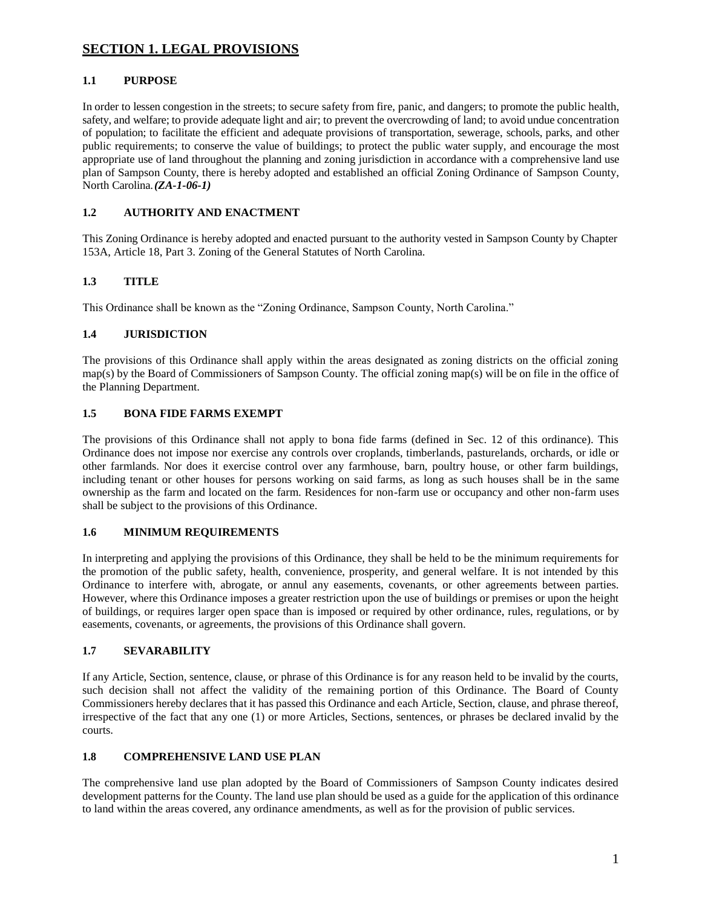# **SECTION 1. LEGAL PROVISIONS**

### **1.1 PURPOSE**

In order to lessen congestion in the streets; to secure safety from fire, panic, and dangers; to promote the public health, safety, and welfare; to provide adequate light and air; to prevent the overcrowding of land; to avoid undue concentration of population; to facilitate the efficient and adequate provisions of transportation, sewerage, schools, parks, and other public requirements; to conserve the value of buildings; to protect the public water supply, and encourage the most appropriate use of land throughout the planning and zoning jurisdiction in accordance with a comprehensive land use plan of Sampson County, there is hereby adopted and established an official Zoning Ordinance of Sampson County, North Carolina.*(ZA-1-06-1)*

### **1.2 AUTHORITY AND ENACTMENT**

This Zoning Ordinance is hereby adopted and enacted pursuant to the authority vested in Sampson County by Chapter 153A, Article 18, Part 3. Zoning of the General Statutes of North Carolina.

### **1.3 TITLE**

This Ordinance shall be known as the "Zoning Ordinance, Sampson County, North Carolina."

### **1.4 JURISDICTION**

The provisions of this Ordinance shall apply within the areas designated as zoning districts on the official zoning map(s) by the Board of Commissioners of Sampson County. The official zoning map(s) will be on file in the office of the Planning Department.

### **1.5 BONA FIDE FARMS EXEMPT**

The provisions of this Ordinance shall not apply to bona fide farms (defined in Sec. 12 of this ordinance). This Ordinance does not impose nor exercise any controls over croplands, timberlands, pasturelands, orchards, or idle or other farmlands. Nor does it exercise control over any farmhouse, barn, poultry house, or other farm buildings, including tenant or other houses for persons working on said farms, as long as such houses shall be in the same ownership as the farm and located on the farm. Residences for non-farm use or occupancy and other non-farm uses shall be subject to the provisions of this Ordinance.

### **1.6 MINIMUM REQUIREMENTS**

In interpreting and applying the provisions of this Ordinance, they shall be held to be the minimum requirements for the promotion of the public safety, health, convenience, prosperity, and general welfare. It is not intended by this Ordinance to interfere with, abrogate, or annul any easements, covenants, or other agreements between parties. However, where this Ordinance imposes a greater restriction upon the use of buildings or premises or upon the height of buildings, or requires larger open space than is imposed or required by other ordinance, rules, regulations, or by easements, covenants, or agreements, the provisions of this Ordinance shall govern.

### **1.7 SEVARABILITY**

If any Article, Section, sentence, clause, or phrase of this Ordinance is for any reason held to be invalid by the courts, such decision shall not affect the validity of the remaining portion of this Ordinance. The Board of County Commissioners hereby declares that it has passed this Ordinance and each Article, Section, clause, and phrase thereof, irrespective of the fact that any one (1) or more Articles, Sections, sentences, or phrases be declared invalid by the courts.

### **1.8 COMPREHENSIVE LAND USE PLAN**

The comprehensive land use plan adopted by the Board of Commissioners of Sampson County indicates desired development patterns for the County. The land use plan should be used as a guide for the application of this ordinance to land within the areas covered, any ordinance amendments, as well as for the provision of public services.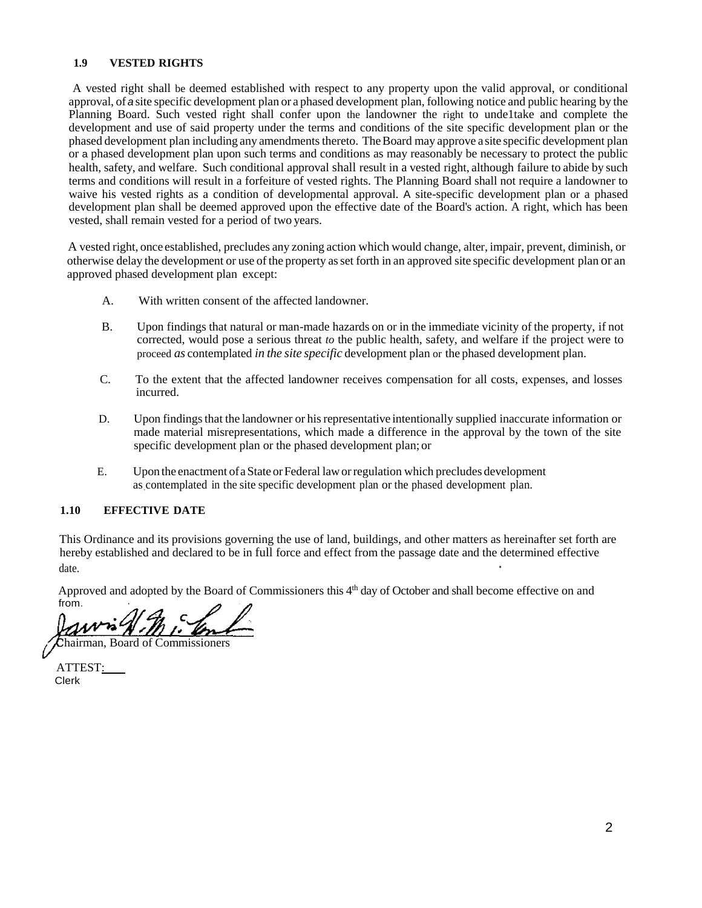### **1.9 VESTED RIGHTS**

A vested right shall be deemed established with respect to any property upon the valid approval, or conditional approval, of *a* site specific development plan or a phased development plan, following notice and public hearing by the Planning Board. Such vested right shall confer upon the landowner the right to unde1take and complete the development and use of said property under the terms and conditions of the site specific development plan or the phased development plan including any amendments thereto. The Board may approve a site specific development plan or a phased development plan upon such terms and conditions as may reasonably be necessary to protect the public health, safety, and welfare. Such conditional approval shall result in a vested right, although failure to abide by such terms and conditions will result in a forfeiture of vested rights. The Planning Board shall not require a landowner to waive his vested rights as a condition of developmental approval. A site-specific development plan or a phased development plan shall be deemed approved upon the effective date of the Board's action. A right, which has been vested, shall remain vested for a period of two years.

A vested right, once established, precludes any zoning action which would change, alter, impair, prevent, diminish, or otherwise delay the development or use of the property asset forth in an approved site specific development plan or an approved phased development plan except:

- A. With written consent of the affected landowner.
- B. Upon findings that natural or man-made hazards on or in the immediate vicinity of the property, if not corrected, would pose a serious threat *to* the public health, safety, and welfare if the project were to proceed *as* contemplated *in the site specific* development plan or the phased development plan.
- C. To the extent that the affected landowner receives compensation for all costs, expenses, and losses incurred.
- D. Upon findings that the landowner or his representative intentionally supplied inaccurate information or made material misrepresentations, which made a difference in the approval by the town of the site specific development plan or the phased development plan; or
- E. Upon the enactment ofaStateorFederal laworregulation which precludes development as contemplated in the site specific development plan or the phased development plan.

### **1.10 EFFECTIVE DATE**

This Ordinance and its provisions governing the use of land, buildings, and other matters as hereinafter set forth are hereby established and declared to be in full force and effect from the passage date and the determined effective date.

Approved and adopted by the Board of Commissioners this 4<sup>th</sup> day of October and shall become effective on and from.

hairman, Board of Commissioners

ATTEST: Clerk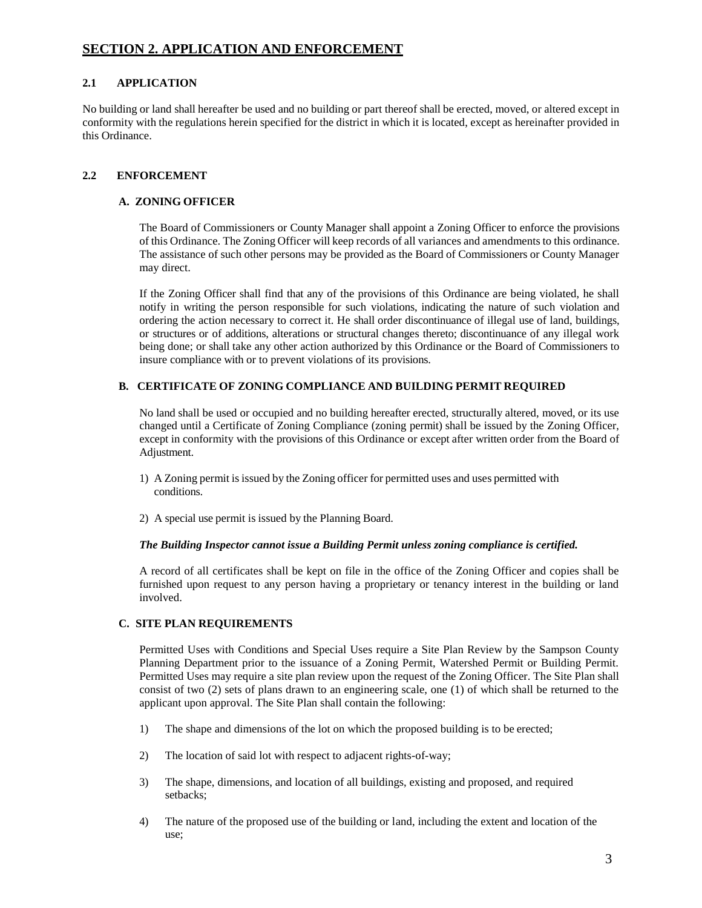# **SECTION 2. APPLICATION AND ENFORCEMENT**

### **2.1 APPLICATION**

No building or land shall hereafter be used and no building or part thereof shall be erected, moved, or altered except in conformity with the regulations herein specified for the district in which it is located, except as hereinafter provided in this Ordinance.

### **2.2 ENFORCEMENT**

### **A. ZONING OFFICER**

The Board of Commissioners or County Manager shall appoint a Zoning Officer to enforce the provisions of this Ordinance. The Zoning Officer will keep records of all variances and amendments to this ordinance. The assistance of such other persons may be provided as the Board of Commissioners or County Manager may direct.

If the Zoning Officer shall find that any of the provisions of this Ordinance are being violated, he shall notify in writing the person responsible for such violations, indicating the nature of such violation and ordering the action necessary to correct it. He shall order discontinuance of illegal use of land, buildings, or structures or of additions, alterations or structural changes thereto; discontinuance of any illegal work being done; or shall take any other action authorized by this Ordinance or the Board of Commissioners to insure compliance with or to prevent violations of its provisions.

### **B. CERTIFICATE OF ZONING COMPLIANCE AND BUILDING PERMIT REQUIRED**

No land shall be used or occupied and no building hereafter erected, structurally altered, moved, or its use changed until a Certificate of Zoning Compliance (zoning permit) shall be issued by the Zoning Officer, except in conformity with the provisions of this Ordinance or except after written order from the Board of Adjustment.

- 1) A Zoning permit is issued by the Zoning officer for permitted uses and uses permitted with conditions.
- 2) A special use permit is issued by the Planning Board.

### *The Building Inspector cannot issue a Building Permit unless zoning compliance is certified.*

A record of all certificates shall be kept on file in the office of the Zoning Officer and copies shall be furnished upon request to any person having a proprietary or tenancy interest in the building or land involved.

### **C. SITE PLAN REQUIREMENTS**

Permitted Uses with Conditions and Special Uses require a Site Plan Review by the Sampson County Planning Department prior to the issuance of a Zoning Permit, Watershed Permit or Building Permit. Permitted Uses may require a site plan review upon the request of the Zoning Officer. The Site Plan shall consist of two (2) sets of plans drawn to an engineering scale, one (1) of which shall be returned to the applicant upon approval. The Site Plan shall contain the following:

- 1) The shape and dimensions of the lot on which the proposed building is to be erected;
- 2) The location of said lot with respect to adjacent rights-of-way;
- 3) The shape, dimensions, and location of all buildings, existing and proposed, and required setbacks;
- 4) The nature of the proposed use of the building or land, including the extent and location of the use;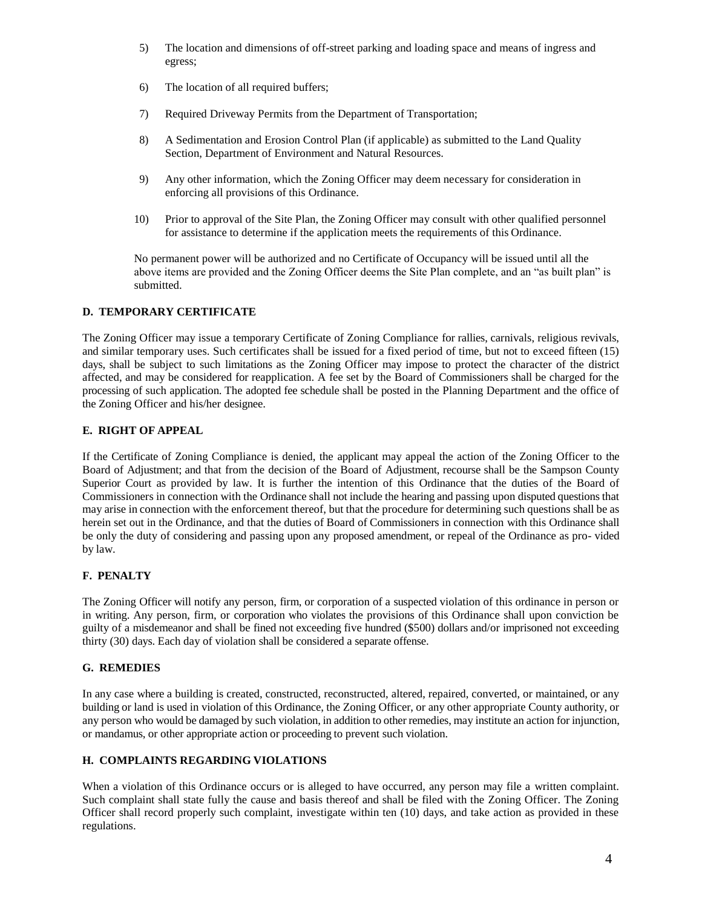- 5) The location and dimensions of off-street parking and loading space and means of ingress and egress;
- 6) The location of all required buffers;
- 7) Required Driveway Permits from the Department of Transportation;
- 8) A Sedimentation and Erosion Control Plan (if applicable) as submitted to the Land Quality Section, Department of Environment and Natural Resources.
- 9) Any other information, which the Zoning Officer may deem necessary for consideration in enforcing all provisions of this Ordinance.
- 10) Prior to approval of the Site Plan, the Zoning Officer may consult with other qualified personnel for assistance to determine if the application meets the requirements of this Ordinance.

No permanent power will be authorized and no Certificate of Occupancy will be issued until all the above items are provided and the Zoning Officer deems the Site Plan complete, and an "as built plan" is submitted.

# **D. TEMPORARY CERTIFICATE**

The Zoning Officer may issue a temporary Certificate of Zoning Compliance for rallies, carnivals, religious revivals, and similar temporary uses. Such certificates shall be issued for a fixed period of time, but not to exceed fifteen (15) days, shall be subject to such limitations as the Zoning Officer may impose to protect the character of the district affected, and may be considered for reapplication. A fee set by the Board of Commissioners shall be charged for the processing of such application. The adopted fee schedule shall be posted in the Planning Department and the office of the Zoning Officer and his/her designee.

### **E. RIGHT OF APPEAL**

If the Certificate of Zoning Compliance is denied, the applicant may appeal the action of the Zoning Officer to the Board of Adjustment; and that from the decision of the Board of Adjustment, recourse shall be the Sampson County Superior Court as provided by law. It is further the intention of this Ordinance that the duties of the Board of Commissioners in connection with the Ordinance shall not include the hearing and passing upon disputed questions that may arise in connection with the enforcement thereof, but that the procedure for determining such questions shall be as herein set out in the Ordinance, and that the duties of Board of Commissioners in connection with this Ordinance shall be only the duty of considering and passing upon any proposed amendment, or repeal of the Ordinance as pro- vided by law.

# **F. PENALTY**

The Zoning Officer will notify any person, firm, or corporation of a suspected violation of this ordinance in person or in writing. Any person, firm, or corporation who violates the provisions of this Ordinance shall upon conviction be guilty of a misdemeanor and shall be fined not exceeding five hundred (\$500) dollars and/or imprisoned not exceeding thirty (30) days. Each day of violation shall be considered a separate offense.

### **G. REMEDIES**

In any case where a building is created, constructed, reconstructed, altered, repaired, converted, or maintained, or any building or land is used in violation of this Ordinance, the Zoning Officer, or any other appropriate County authority, or any person who would be damaged by such violation, in addition to other remedies, may institute an action for injunction, or mandamus, or other appropriate action or proceeding to prevent such violation.

### **H. COMPLAINTS REGARDING VIOLATIONS**

When a violation of this Ordinance occurs or is alleged to have occurred, any person may file a written complaint. Such complaint shall state fully the cause and basis thereof and shall be filed with the Zoning Officer. The Zoning Officer shall record properly such complaint, investigate within ten (10) days, and take action as provided in these regulations.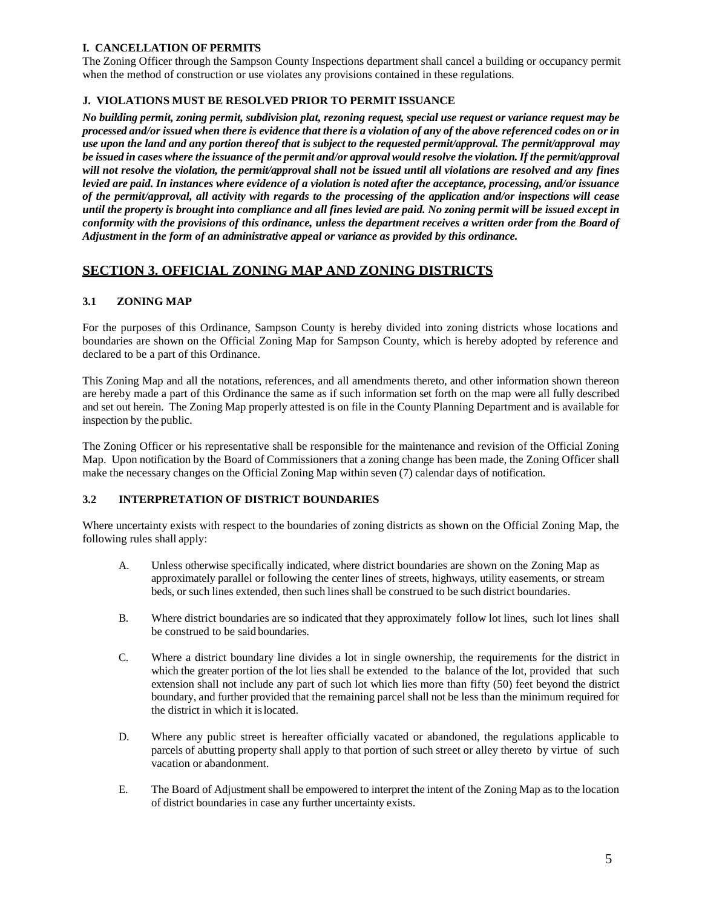### **I. CANCELLATION OF PERMITS**

The Zoning Officer through the Sampson County Inspections department shall cancel a building or occupancy permit when the method of construction or use violates any provisions contained in these regulations.

# **J. VIOLATIONS MUST BE RESOLVED PRIOR TO PERMIT ISSUANCE**

No building permit, zoning permit, subdivision plat, rezoning request, special use request or variance request may be processed and/or issued when there is evidence that there is a violation of any of the above referenced codes on or in *use upon the land and any portion thereof that is subject to the requested permit/approval. The permit/approval may be issued in cases where the issuance of the permit and/or approval would resolve the violation. If the permit/approval* will not resolve the violation, the permit/approval shall not be issued until all violations are resolved and any fines *levied are paid. In instances where evidence of a violation is noted after the acceptance, processing, and/or issuance of the permit/approval, all activity with regards to the processing of the application and/or inspections will cease until the property is brought into compliance and all fines levied are paid. No zoning permit will be issued except in conformity with the provisions of this ordinance, unless the department receives a written order from the Board of Adjustment in the form of an administrative appeal or variance as provided by this ordinance.*

# **SECTION 3. OFFICIAL ZONING MAP AND ZONING DISTRICTS**

# **3.1 ZONING MAP**

For the purposes of this Ordinance, Sampson County is hereby divided into zoning districts whose locations and boundaries are shown on the Official Zoning Map for Sampson County, which is hereby adopted by reference and declared to be a part of this Ordinance.

This Zoning Map and all the notations, references, and all amendments thereto, and other information shown thereon are hereby made a part of this Ordinance the same as if such information set forth on the map were all fully described and set out herein. The Zoning Map properly attested is on file in the County Planning Department and is available for inspection by the public.

The Zoning Officer or his representative shall be responsible for the maintenance and revision of the Official Zoning Map. Upon notification by the Board of Commissioners that a zoning change has been made, the Zoning Officer shall make the necessary changes on the Official Zoning Map within seven (7) calendar days of notification.

### **3.2 INTERPRETATION OF DISTRICT BOUNDARIES**

Where uncertainty exists with respect to the boundaries of zoning districts as shown on the Official Zoning Map, the following rules shall apply:

- A. Unless otherwise specifically indicated, where district boundaries are shown on the Zoning Map as approximately parallel or following the center lines of streets, highways, utility easements, or stream beds, or such lines extended, then such lines shall be construed to be such district boundaries.
- B. Where district boundaries are so indicated that they approximately follow lot lines, such lot lines shall be construed to be said boundaries.
- C. Where a district boundary line divides a lot in single ownership, the requirements for the district in which the greater portion of the lot lies shall be extended to the balance of the lot, provided that such extension shall not include any part of such lot which lies more than fifty (50) feet beyond the district boundary, and further provided that the remaining parcel shall not be less than the minimum required for the district in which it islocated.
- D. Where any public street is hereafter officially vacated or abandoned, the regulations applicable to parcels of abutting property shall apply to that portion of such street or alley thereto by virtue of such vacation or abandonment.
- E. The Board of Adjustment shall be empowered to interpret the intent of the Zoning Map as to the location of district boundaries in case any further uncertainty exists.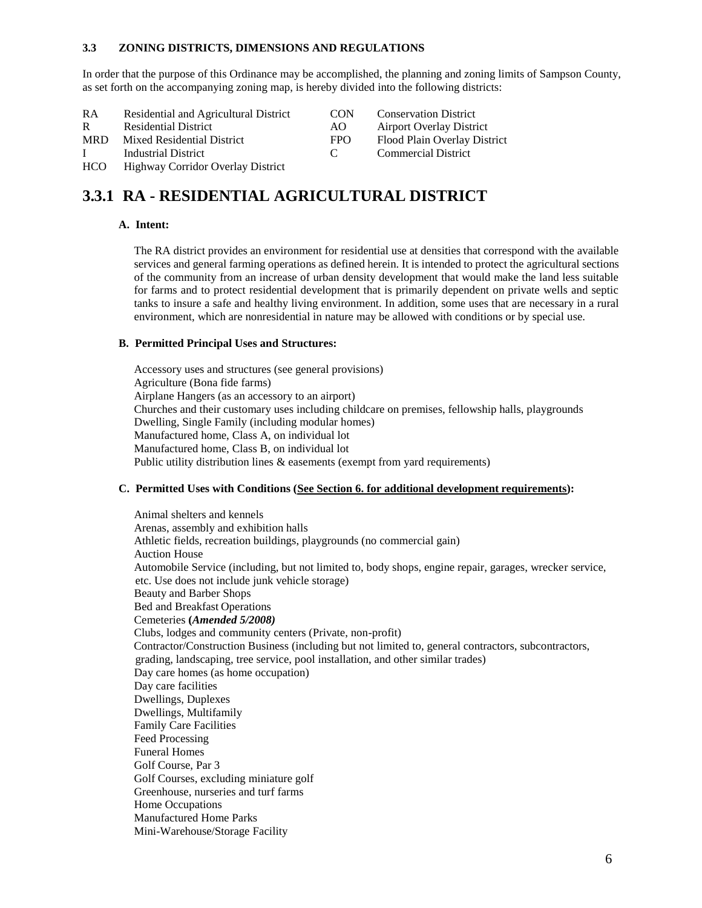### **3.3 ZONING DISTRICTS, DIMENSIONS AND REGULATIONS**

In order that the purpose of this Ordinance may be accomplished, the planning and zoning limits of Sampson County, as set forth on the accompanying zoning map, is hereby divided into the following districts:

| RA           | Residential and Agricultural District    | <b>CON</b>    | <b>Conservation District</b>    |
|--------------|------------------------------------------|---------------|---------------------------------|
| R            | <b>Residential District</b>              | AO.           | <b>Airport Overlay District</b> |
| <b>MRD</b>   | Mixed Residential District               | FPO.          | Flood Plain Overlay District    |
| $\mathbf{I}$ | Industrial District                      | $\mathcal{C}$ | <b>Commercial District</b>      |
| <b>HCO</b>   | <b>Highway Corridor Overlay District</b> |               |                                 |

# **3.3.1 RA - RESIDENTIAL AGRICULTURAL DISTRICT**

#### **A. Intent:**

The RA district provides an environment for residential use at densities that correspond with the available services and general farming operations as defined herein. It is intended to protect the agricultural sections of the community from an increase of urban density development that would make the land less suitable for farms and to protect residential development that is primarily dependent on private wells and septic tanks to insure a safe and healthy living environment. In addition, some uses that are necessary in a rural environment, which are nonresidential in nature may be allowed with conditions or by special use.

### **B. Permitted Principal Uses and Structures:**

Accessory uses and structures (see general provisions) Agriculture (Bona fide farms) Airplane Hangers (as an accessory to an airport) Churches and their customary uses including childcare on premises, fellowship halls, playgrounds Dwelling, Single Family (including modular homes) Manufactured home, Class A, on individual lot Manufactured home, Class B, on individual lot Public utility distribution lines & easements (exempt from yard requirements)

### **C. Permitted Uses with Conditions (See Section 6. for additional development requirements):**

Animal shelters and kennels Arenas, assembly and exhibition halls Athletic fields, recreation buildings, playgrounds (no commercial gain) Auction House Automobile Service (including, but not limited to, body shops, engine repair, garages, wrecker service, etc. Use does not include junk vehicle storage) Beauty and Barber Shops Bed and Breakfast Operations Cemeteries **(***Amended 5/2008)* Clubs, lodges and community centers (Private, non-profit) Contractor/Construction Business (including but not limited to, general contractors, subcontractors, grading, landscaping, tree service, pool installation, and other similar trades) Day care homes (as home occupation) Day care facilities Dwellings, Duplexes Dwellings, Multifamily Family Care Facilities Feed Processing Funeral Homes Golf Course, Par 3 Golf Courses, excluding miniature golf Greenhouse, nurseries and turf farms Home Occupations Manufactured Home Parks Mini-Warehouse/Storage Facility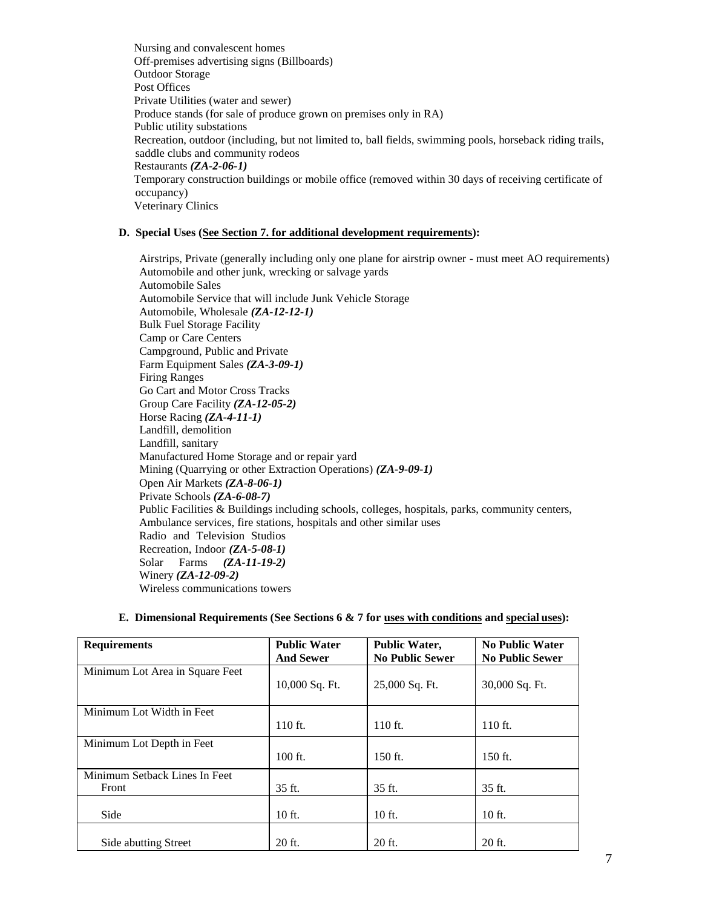Nursing and convalescent homes Off-premises advertising signs (Billboards) Outdoor Storage Post Offices Private Utilities (water and sewer) Produce stands (for sale of produce grown on premises only in RA) Public utility substations Recreation, outdoor (including, but not limited to, ball fields, swimming pools, horseback riding trails, saddle clubs and community rodeos Restaurants *(ZA-2-06-1)* Temporary construction buildings or mobile office (removed within 30 days of receiving certificate of occupancy) Veterinary Clinics

### **D. Special Uses (See Section 7. for additional development requirements):**

Airstrips, Private (generally including only one plane for airstrip owner - must meet AO requirements) Automobile and other junk, wrecking or salvage yards Automobile Sales Automobile Service that will include Junk Vehicle Storage Automobile, Wholesale *(ZA-12-12-1)* Bulk Fuel Storage Facility Camp or Care Centers Campground, Public and Private Farm Equipment Sales *(ZA-3-09-1)* Firing Ranges Go Cart and Motor Cross Tracks Group Care Facility *(ZA-12-05-2)*  Horse Racing *(ZA-4-11-1)*  Landfill, demolition Landfill, sanitary Manufactured Home Storage and or repair yard Mining (Quarrying or other Extraction Operations) *(ZA-9-09-1)* Open Air Markets *(ZA-8-06-1)* Private Schools *(ZA-6-08-7)* Public Facilities & Buildings including schools, colleges, hospitals, parks, community centers, Ambulance services, fire stations, hospitals and other similar uses Radio and Television Studios Recreation, Indoor *(ZA-5-08-1)*  Solar Farms *(ZA-11-19-2)*  Winery *(ZA-12-09-2)* Wireless communications towers

| <b>Requirements</b>             | <b>Public Water</b><br><b>And Sewer</b> | <b>Public Water,</b><br><b>No Public Sewer</b> | <b>No Public Water</b><br><b>No Public Sewer</b> |
|---------------------------------|-----------------------------------------|------------------------------------------------|--------------------------------------------------|
| Minimum Lot Area in Square Feet | 10,000 Sq. Ft.                          | 25,000 Sq. Ft.                                 | 30,000 Sq. Ft.                                   |
| Minimum Lot Width in Feet       |                                         |                                                |                                                  |
|                                 | $110$ ft.                               | $110$ ft.                                      | $110$ ft.                                        |
| Minimum Lot Depth in Feet       |                                         |                                                |                                                  |
|                                 | $100$ ft.                               | $150$ ft.                                      | 150 ft.                                          |
| Minimum Setback Lines In Feet   |                                         |                                                |                                                  |
| Front                           | 35 ft.                                  | 35 ft.                                         | 35 ft.                                           |
|                                 |                                         |                                                |                                                  |
| Side                            | 10 ft.                                  | $10$ ft.                                       | 10 ft.                                           |
| Side abutting Street            | $20$ ft.                                | $20$ ft.                                       | $20$ ft.                                         |

# **E. Dimensional Requirements (See Sections 6 & 7 for uses with conditions and special uses):**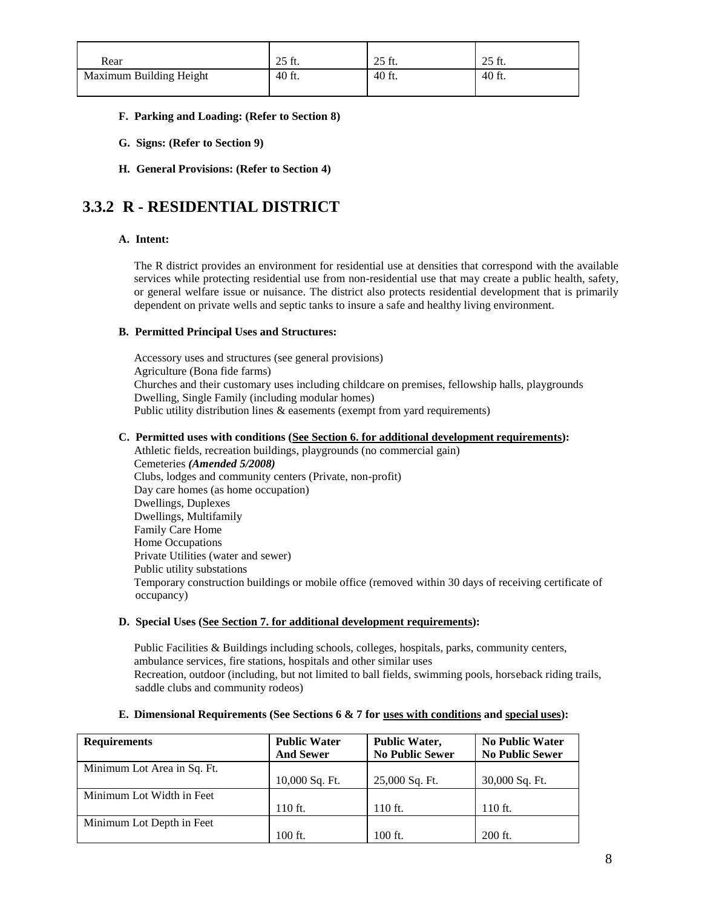| Rear                    | 25 ft. | 25 ft. | ገድ ብ<br>$2J_{\rm H}$ |
|-------------------------|--------|--------|----------------------|
| Maximum Building Height | 40 ft. | 40 ft. | 40 ft.               |

- **F. Parking and Loading: (Refer to Section 8)**
- **G. Signs: (Refer to Section 9)**
- **H. General Provisions: (Refer to Section 4)**

# **3.3.2 R - RESIDENTIAL DISTRICT**

### **A. Intent:**

The R district provides an environment for residential use at densities that correspond with the available services while protecting residential use from non-residential use that may create a public health, safety, or general welfare issue or nuisance. The district also protects residential development that is primarily dependent on private wells and septic tanks to insure a safe and healthy living environment.

### **B. Permitted Principal Uses and Structures:**

Accessory uses and structures (see general provisions) Agriculture (Bona fide farms) Churches and their customary uses including childcare on premises, fellowship halls, playgrounds Dwelling, Single Family (including modular homes) Public utility distribution lines & easements (exempt from yard requirements)

### **C. Permitted uses with conditions (See Section 6. for additional development requirements):**

Athletic fields, recreation buildings, playgrounds (no commercial gain) Cemeteries *(Amended 5/2008)* Clubs, lodges and community centers (Private, non-profit) Day care homes (as home occupation) Dwellings, Duplexes Dwellings, Multifamily Family Care Home Home Occupations Private Utilities (water and sewer) Public utility substations Temporary construction buildings or mobile office (removed within 30 days of receiving certificate of occupancy)

#### **D. Special Uses (See Section 7. for additional development requirements):**

Public Facilities & Buildings including schools, colleges, hospitals, parks, community centers, ambulance services, fire stations, hospitals and other similar uses Recreation, outdoor (including, but not limited to ball fields, swimming pools, horseback riding trails, saddle clubs and community rodeos)

| <b>Requirements</b>         | <b>Public Water</b> | <b>Public Water,</b>   | <b>No Public Water</b> |
|-----------------------------|---------------------|------------------------|------------------------|
|                             | <b>And Sewer</b>    | <b>No Public Sewer</b> | <b>No Public Sewer</b> |
| Minimum Lot Area in Sq. Ft. |                     |                        |                        |
|                             | $10,000$ Sq. Ft.    | $25,000$ Sq. Ft.       | 30,000 Sq. Ft.         |
| Minimum Lot Width in Feet   |                     |                        |                        |
|                             | $110$ ft.           | 110 ft.                | 110 ft.                |
| Minimum Lot Depth in Feet   |                     |                        |                        |
|                             | $100$ ft.           | 100 ft.                | 200 ft.                |

#### **E. Dimensional Requirements (See Sections 6 & 7 for uses with conditions and special uses):**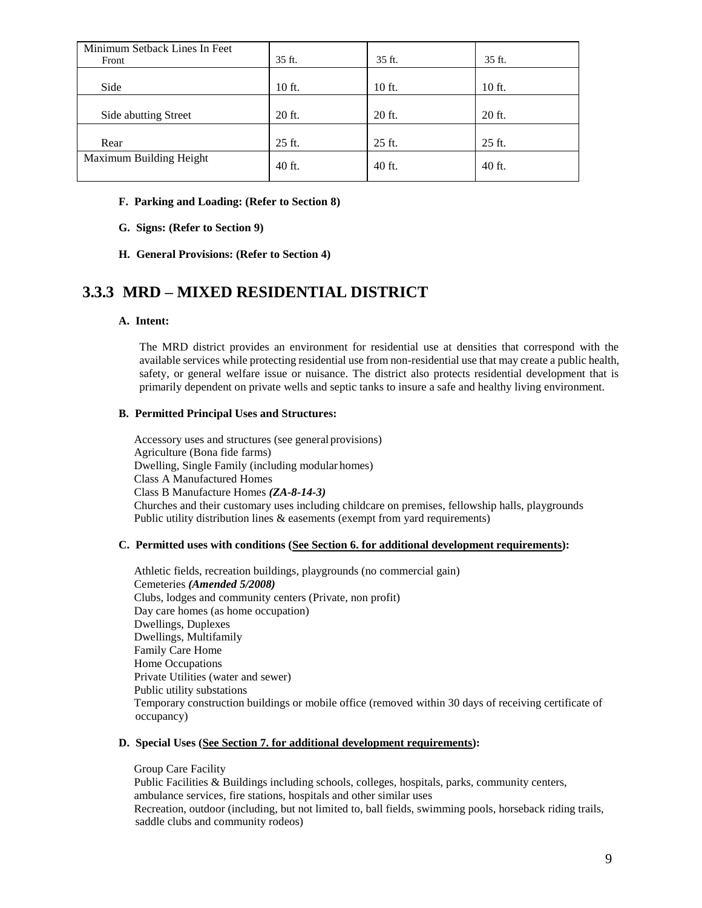| Minimum Setback Lines In Feet |          |          |        |
|-------------------------------|----------|----------|--------|
| Front                         | 35 ft.   | 35 ft.   | 35 ft. |
|                               |          |          |        |
| Side                          | $10$ ft. | $10$ ft. | 10 ft. |
|                               |          |          |        |
| Side abutting Street          | 20 ft.   | 20 ft.   | 20 ft. |
|                               |          |          |        |
| Rear                          | 25 ft.   | 25 ft.   | 25 ft. |
| Maximum Building Height       | 40 ft.   | 40 ft.   | 40 ft. |

### **F. Parking and Loading: (Refer to Section 8)**

- **G. Signs: (Refer to Section 9)**
- **H. General Provisions: (Refer to Section 4)**

# **3.3.3 MRD – MIXED RESIDENTIAL DISTRICT**

### **A. Intent:**

The MRD district provides an environment for residential use at densities that correspond with the available services while protecting residential use from non-residential use that may create a public health, safety, or general welfare issue or nuisance. The district also protects residential development that is primarily dependent on private wells and septic tanks to insure a safe and healthy living environment.

### **B. Permitted Principal Uses and Structures:**

Accessory uses and structures (see general provisions) Agriculture (Bona fide farms) Dwelling, Single Family (including modular homes) Class A Manufactured Homes Class B Manufacture Homes *(ZA-8-14-3)* Churches and their customary uses including childcare on premises, fellowship halls, playgrounds Public utility distribution lines & easements (exempt from yard requirements)

#### **C. Permitted uses with conditions (See Section 6. for additional development requirements):**

Athletic fields, recreation buildings, playgrounds (no commercial gain) Cemeteries *(Amended 5/2008)* Clubs, lodges and community centers (Private, non profit) Day care homes (as home occupation) Dwellings, Duplexes Dwellings, Multifamily Family Care Home Home Occupations Private Utilities (water and sewer) Public utility substations Temporary construction buildings or mobile office (removed within 30 days of receiving certificate of occupancy)

#### **D. Special Uses (See Section 7. for additional development requirements):**

### Group Care Facility

Public Facilities & Buildings including schools, colleges, hospitals, parks, community centers, ambulance services, fire stations, hospitals and other similar uses Recreation, outdoor (including, but not limited to, ball fields, swimming pools, horseback riding trails, saddle clubs and community rodeos)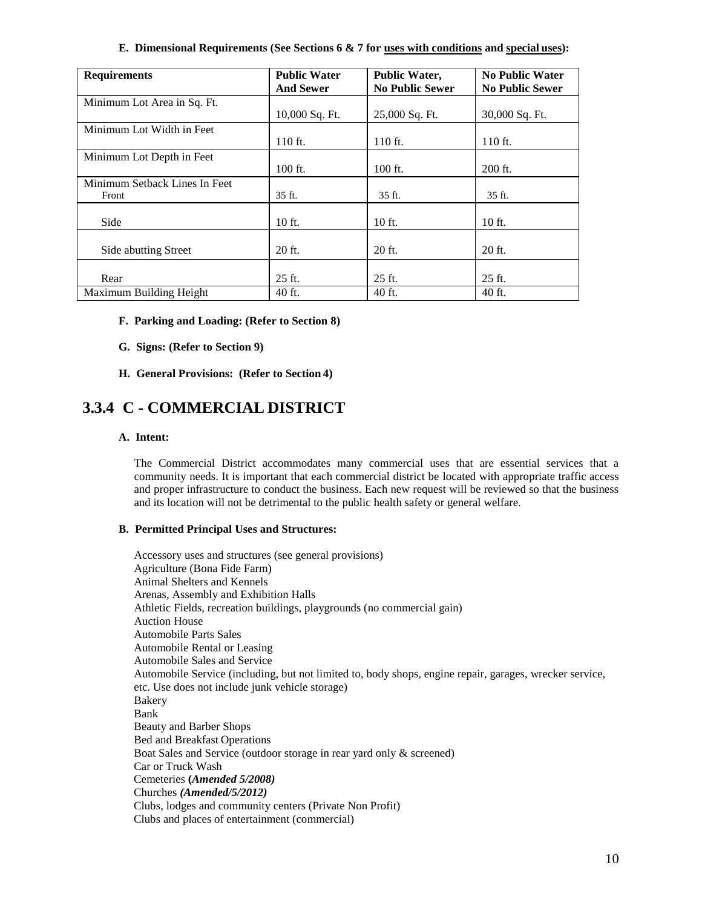### **E. Dimensional Requirements (See Sections 6 & 7 for uses with conditions and special uses):**

| <b>Requirements</b>           | <b>Public Water</b> | <b>Public Water,</b>   | <b>No Public Water</b> |
|-------------------------------|---------------------|------------------------|------------------------|
|                               | <b>And Sewer</b>    | <b>No Public Sewer</b> | <b>No Public Sewer</b> |
| Minimum Lot Area in Sq. Ft.   |                     |                        |                        |
|                               | 10,000 Sq. Ft.      | $25,000$ Sq. Ft.       | 30,000 Sq. Ft.         |
| Minimum Lot Width in Feet     |                     |                        |                        |
|                               | $110$ ft.           | $110$ ft.              | 110 ft.                |
| Minimum Lot Depth in Feet     |                     |                        |                        |
|                               | $100$ ft.           | $100$ ft.              | 200 ft.                |
| Minimum Setback Lines In Feet |                     |                        |                        |
| Front                         | 35 ft.              | 35 ft.                 | 35 ft.                 |
|                               |                     |                        |                        |
| Side                          | $10$ ft.            | $10$ ft.               | 10 ft.                 |
|                               |                     |                        |                        |
| Side abutting Street          | 20 ft.              | 20 ft.                 | 20 ft.                 |
|                               |                     |                        |                        |
| Rear                          | 25 ft.              | 25 ft.                 | 25 ft.                 |
| Maximum Building Height       | 40 ft.              | 40 ft.                 | 40 ft.                 |

- **F. Parking and Loading: (Refer to Section 8)**
- **G. Signs: (Refer to Section 9)**
- **H. General Provisions: (Refer to Section 4)**

# **3.3.4 C - COMMERCIAL DISTRICT**

# **A. Intent:**

The Commercial District accommodates many commercial uses that are essential services that a community needs. It is important that each commercial district be located with appropriate traffic access and proper infrastructure to conduct the business. Each new request will be reviewed so that the business and its location will not be detrimental to the public health safety or general welfare.

### **B. Permitted Principal Uses and Structures:**

Accessory uses and structures (see general provisions) Agriculture (Bona Fide Farm) Animal Shelters and Kennels Arenas, Assembly and Exhibition Halls Athletic Fields, recreation buildings, playgrounds (no commercial gain) Auction House Automobile Parts Sales Automobile Rental or Leasing Automobile Sales and Service Automobile Service (including, but not limited to, body shops, engine repair, garages, wrecker service, etc. Use does not include junk vehicle storage) Bakery Bank Beauty and Barber Shops Bed and Breakfast Operations Boat Sales and Service (outdoor storage in rear yard only & screened) Car or Truck Wash Cemeteries **(***Amended 5/2008)* Churches *(Amended/5/2012)* Clubs, lodges and community centers (Private Non Profit) Clubs and places of entertainment (commercial)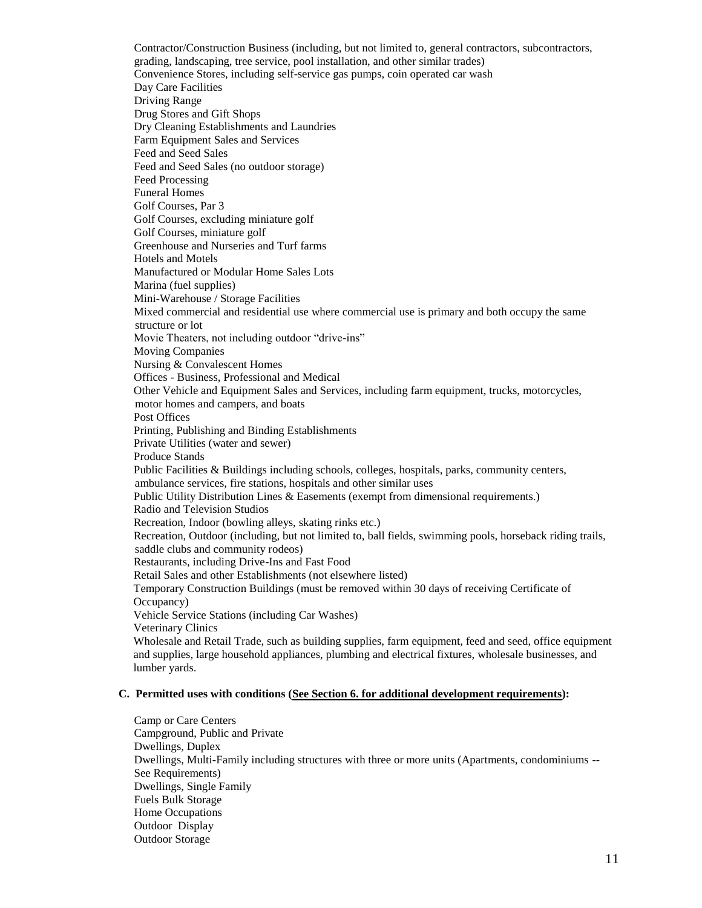Contractor/Construction Business (including, but not limited to, general contractors, subcontractors, grading, landscaping, tree service, pool installation, and other similar trades) Convenience Stores, including self-service gas pumps, coin operated car wash Day Care Facilities Driving Range Drug Stores and Gift Shops Dry Cleaning Establishments and Laundries Farm Equipment Sales and Services Feed and Seed Sales Feed and Seed Sales (no outdoor storage) Feed Processing Funeral Homes Golf Courses, Par 3 Golf Courses, excluding miniature golf Golf Courses, miniature golf Greenhouse and Nurseries and Turf farms Hotels and Motels Manufactured or Modular Home Sales Lots Marina (fuel supplies) Mini-Warehouse / Storage Facilities Mixed commercial and residential use where commercial use is primary and both occupy the same structure or lot Movie Theaters, not including outdoor "drive-ins" Moving Companies Nursing & Convalescent Homes Offices - Business, Professional and Medical Other Vehicle and Equipment Sales and Services, including farm equipment, trucks, motorcycles, motor homes and campers, and boats Post Offices Printing, Publishing and Binding Establishments Private Utilities (water and sewer) Produce Stands Public Facilities & Buildings including schools, colleges, hospitals, parks, community centers, ambulance services, fire stations, hospitals and other similar uses Public Utility Distribution Lines & Easements (exempt from dimensional requirements.) Radio and Television Studios Recreation, Indoor (bowling alleys, skating rinks etc.) Recreation, Outdoor (including, but not limited to, ball fields, swimming pools, horseback riding trails, saddle clubs and community rodeos) Restaurants, including Drive-Ins and Fast Food Retail Sales and other Establishments (not elsewhere listed) Temporary Construction Buildings (must be removed within 30 days of receiving Certificate of Occupancy) Vehicle Service Stations (including Car Washes) Veterinary Clinics Wholesale and Retail Trade, such as building supplies, farm equipment, feed and seed, office equipment and supplies, large household appliances, plumbing and electrical fixtures, wholesale businesses, and lumber yards.

#### **C. Permitted uses with conditions (See Section 6. for additional development requirements):**

Camp or Care Centers Campground, Public and Private Dwellings, Duplex Dwellings, Multi-Family including structures with three or more units (Apartments, condominiums -- See Requirements) Dwellings, Single Family Fuels Bulk Storage Home Occupations Outdoor Display Outdoor Storage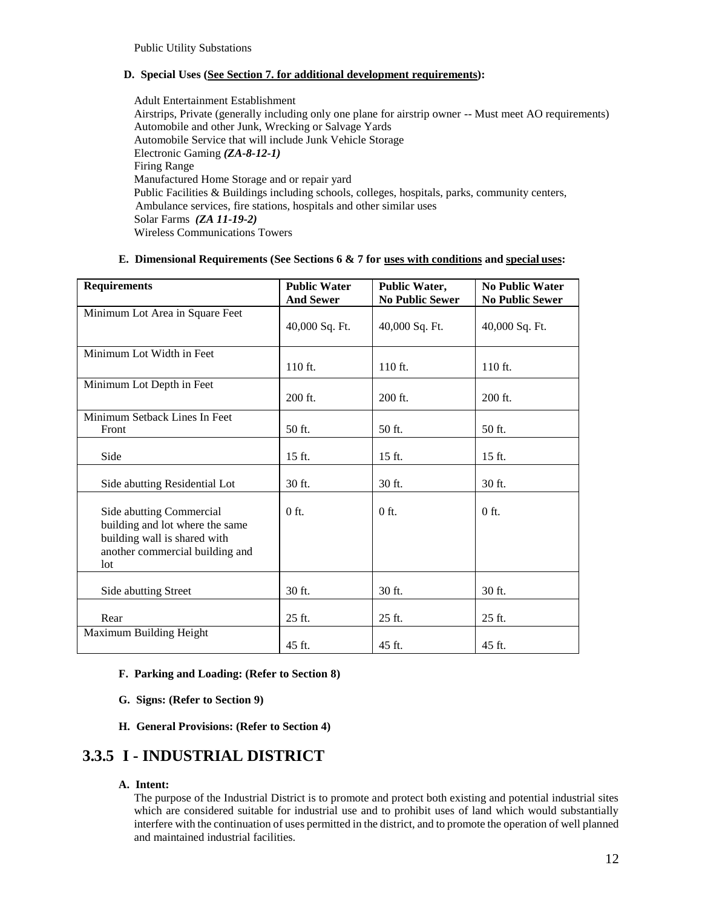### **D. Special Uses (See Section 7. for additional development requirements):**

Adult Entertainment Establishment Airstrips, Private (generally including only one plane for airstrip owner -- Must meet AO requirements) Automobile and other Junk, Wrecking or Salvage Yards Automobile Service that will include Junk Vehicle Storage Electronic Gaming *(ZA-8-12-1)* Firing Range Manufactured Home Storage and or repair yard Public Facilities & Buildings including schools, colleges, hospitals, parks, community centers, Ambulance services, fire stations, hospitals and other similar uses Solar Farms *(ZA 11-19-2)* Wireless Communications Towers

### **E. Dimensional Requirements (See Sections 6 & 7 for uses with conditions and special uses:**

| <b>Requirements</b>                                                                                                                   | <b>Public Water</b><br><b>And Sewer</b> | Public Water,<br><b>No Public Sewer</b> | <b>No Public Water</b><br><b>No Public Sewer</b> |
|---------------------------------------------------------------------------------------------------------------------------------------|-----------------------------------------|-----------------------------------------|--------------------------------------------------|
| Minimum Lot Area in Square Feet                                                                                                       | 40,000 Sq. Ft.                          | 40,000 Sq. Ft.                          | 40,000 Sq. Ft.                                   |
| Minimum Lot Width in Feet                                                                                                             | 110 ft.                                 | 110 ft.                                 | 110 ft.                                          |
| Minimum Lot Depth in Feet                                                                                                             | 200 ft.                                 | $200$ ft.                               | 200 ft.                                          |
| Minimum Setback Lines In Feet<br>Front                                                                                                | 50 ft.                                  | 50 ft.                                  | 50 ft.                                           |
| Side                                                                                                                                  | 15 ft.                                  | 15 ft.                                  | 15 ft.                                           |
| Side abutting Residential Lot                                                                                                         | 30 ft.                                  | 30 ft.                                  | 30 ft.                                           |
| Side abutting Commercial<br>building and lot where the same<br>building wall is shared with<br>another commercial building and<br>lot | $0$ ft.                                 | $0$ ft.                                 | $0$ ft.                                          |
| Side abutting Street                                                                                                                  | 30 ft.                                  | 30 ft.                                  | 30 ft.                                           |
| Rear                                                                                                                                  | 25 ft.                                  | 25 ft.                                  | 25 ft.                                           |
| Maximum Building Height                                                                                                               | 45 ft.                                  | 45 ft.                                  | 45 ft.                                           |

### **F. Parking and Loading: (Refer to Section 8)**

- **G. Signs: (Refer to Section 9)**
- **H. General Provisions: (Refer to Section 4)**

# **3.3.5 I - INDUSTRIAL DISTRICT**

# **A. Intent:**

The purpose of the Industrial District is to promote and protect both existing and potential industrial sites which are considered suitable for industrial use and to prohibit uses of land which would substantially interfere with the continuation of uses permitted in the district, and to promote the operation of well planned and maintained industrial facilities.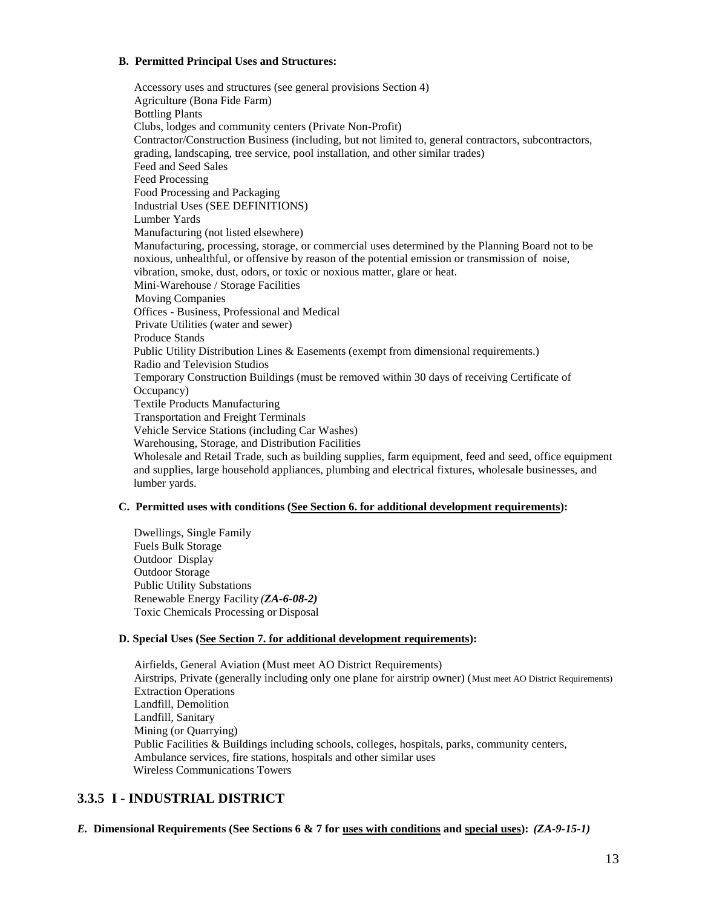#### **B. Permitted Principal Uses and Structures:**

Accessory uses and structures (see general provisions Section 4) Agriculture (Bona Fide Farm) Bottling Plants Clubs, lodges and community centers (Private Non-Profit) Contractor/Construction Business (including, but not limited to, general contractors, subcontractors, grading, landscaping, tree service, pool installation, and other similar trades) Feed and Seed Sales Feed Processing Food Processing and Packaging Industrial Uses (SEE DEFINITIONS) Lumber Yards Manufacturing (not listed elsewhere) Manufacturing, processing, storage, or commercial uses determined by the Planning Board not to be noxious, unhealthful, or offensive by reason of the potential emission or transmission of noise, vibration, smoke, dust, odors, or toxic or noxious matter, glare or heat. Mini-Warehouse / Storage Facilities Moving Companies Offices - Business, Professional and Medical Private Utilities (water and sewer) Produce Stands Public Utility Distribution Lines & Easements (exempt from dimensional requirements.) Radio and Television Studios Temporary Construction Buildings (must be removed within 30 days of receiving Certificate of Occupancy) Textile Products Manufacturing Transportation and Freight Terminals Vehicle Service Stations (including Car Washes) Warehousing, Storage, and Distribution Facilities Wholesale and Retail Trade, such as building supplies, farm equipment, feed and seed, office equipment and supplies, large household appliances, plumbing and electrical fixtures, wholesale businesses, and lumber yards.

### **C. Permitted uses with conditions (See Section 6. for additional development requirements):**

Dwellings, Single Family Fuels Bulk Storage Outdoor Display Outdoor Storage Public Utility Substations Renewable Energy Facility *(ZA-6-08-2)* Toxic Chemicals Processing or Disposal

#### **D. Special Uses (See Section 7. for additional development requirements):**

Airfields, General Aviation (Must meet AO District Requirements) Airstrips, Private (generally including only one plane for airstrip owner) (Must meet AO District Requirements) Extraction Operations Landfill, Demolition Landfill, Sanitary Mining (or Quarrying) Public Facilities & Buildings including schools, colleges, hospitals, parks, community centers, Ambulance services, fire stations, hospitals and other similar uses Wireless Communications Towers

# **3.3.5 I - INDUSTRIAL DISTRICT**

*E.* **Dimensional Requirements (See Sections 6 & 7 for uses with conditions and special uses):** *(ZA-9-15-1)*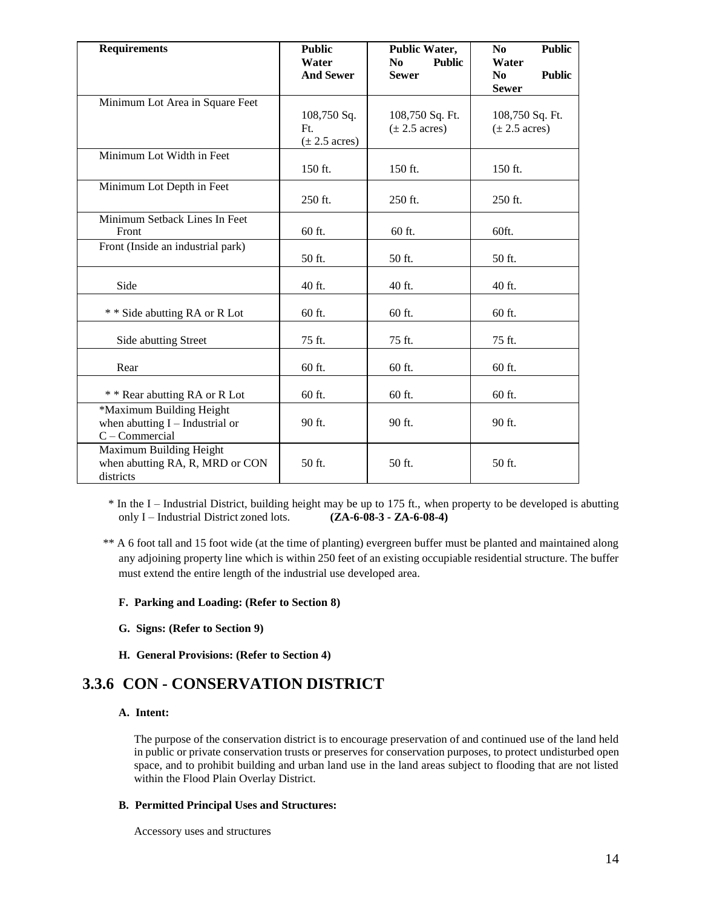| <b>Requirements</b>                                                               | <b>Public</b><br>Water                          | Public Water,<br>N <sub>0</sub><br><b>Public</b> | <b>Public</b><br>N <sub>0</sub><br>Water     |
|-----------------------------------------------------------------------------------|-------------------------------------------------|--------------------------------------------------|----------------------------------------------|
|                                                                                   | <b>And Sewer</b>                                | <b>Sewer</b>                                     | <b>Public</b><br>N <sub>0</sub>              |
|                                                                                   |                                                 |                                                  | <b>Sewer</b>                                 |
| Minimum Lot Area in Square Feet                                                   | 108,750 Sq.<br>Ft.<br>$(\pm 2.5 \text{ acres})$ | 108,750 Sq. Ft.<br>$(\pm 2.5 \text{ acres})$     | 108,750 Sq. Ft.<br>$(\pm 2.5 \text{ acres})$ |
| Minimum Lot Width in Feet                                                         | 150 ft.                                         | 150 ft.                                          | 150 ft.                                      |
| Minimum Lot Depth in Feet                                                         | 250 ft.                                         | 250 ft.                                          | 250 ft.                                      |
| Minimum Setback Lines In Feet<br>Front                                            | 60 ft.                                          | 60 ft.                                           | 60ft.                                        |
| Front (Inside an industrial park)                                                 | 50 ft.                                          | 50 ft.                                           | 50 ft.                                       |
| Side                                                                              | 40 ft.                                          | 40 ft.                                           | 40 ft.                                       |
| * * Side abutting RA or R Lot                                                     | 60 ft.                                          | 60 ft.                                           | 60 ft.                                       |
| Side abutting Street                                                              | 75 ft.                                          | 75 ft.                                           | 75 ft.                                       |
| Rear                                                                              | $60$ ft.                                        | $60$ ft.                                         | $60$ ft.                                     |
| * * Rear abutting RA or R Lot                                                     | 60 ft.                                          | 60 ft.                                           | 60 ft.                                       |
| *Maximum Building Height<br>when abutting $I$ – Industrial or<br>$C$ – Commercial | 90 ft.                                          | 90 ft.                                           | 90 ft.                                       |
| Maximum Building Height<br>when abutting RA, R, MRD or CON<br>districts           | 50 ft.                                          | 50 ft.                                           | 50 ft.                                       |

\* In the I – Industrial District, building height may be up to 175 ft., when property to be developed is abutting only I – Industrial District zoned lots. **(ZA-6-08-3 - ZA-6-08-4)**

\*\* A 6 foot tall and 15 foot wide (at the time of planting) evergreen buffer must be planted and maintained along any adjoining property line which is within 250 feet of an existing occupiable residential structure. The buffer must extend the entire length of the industrial use developed area.

### **F. Parking and Loading: (Refer to Section 8)**

- **G. Signs: (Refer to Section 9)**
- **H. General Provisions: (Refer to Section 4)**

# **3.3.6 CON - CONSERVATION DISTRICT**

# **A. Intent:**

The purpose of the conservation district is to encourage preservation of and continued use of the land held in public or private conservation trusts or preserves for conservation purposes, to protect undisturbed open space, and to prohibit building and urban land use in the land areas subject to flooding that are not listed within the Flood Plain Overlay District.

#### **B. Permitted Principal Uses and Structures:**

Accessory uses and structures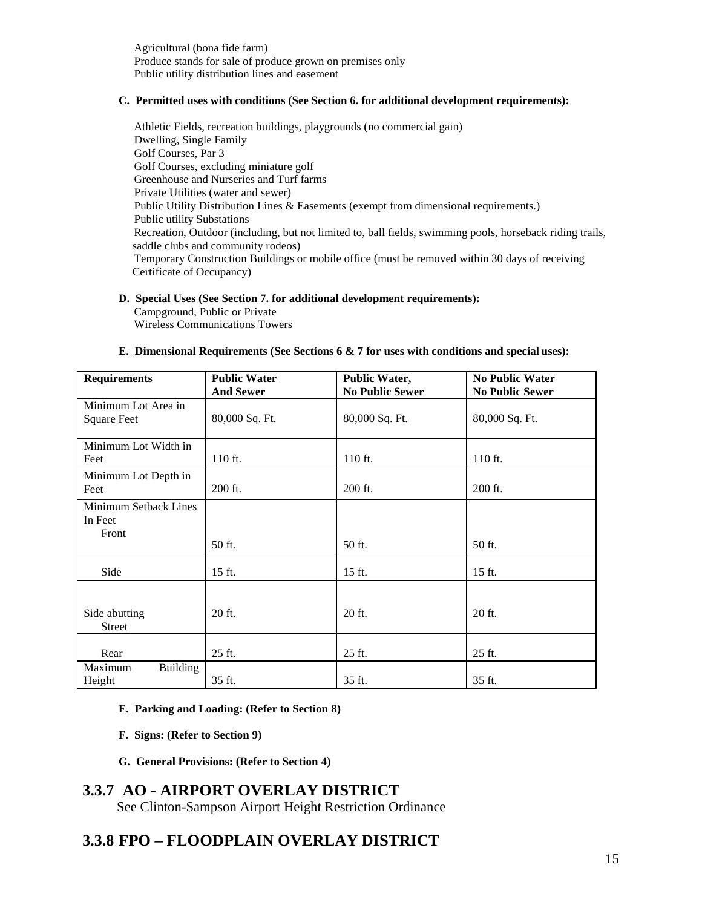Agricultural (bona fide farm) Produce stands for sale of produce grown on premises only Public utility distribution lines and easement

### **C. Permitted uses with conditions (See Section 6. for additional development requirements):**

Athletic Fields, recreation buildings, playgrounds (no commercial gain) Dwelling, Single Family Golf Courses, Par 3 Golf Courses, excluding miniature golf Greenhouse and Nurseries and Turf farms Private Utilities (water and sewer) Public Utility Distribution Lines & Easements (exempt from dimensional requirements.) Public utility Substations Recreation, Outdoor (including, but not limited to, ball fields, swimming pools, horseback riding trails, saddle clubs and community rodeos) Temporary Construction Buildings or mobile office (must be removed within 30 days of receiving Certificate of Occupancy)

**D. Special Uses (See Section 7. for additional development requirements):** Campground, Public or Private Wireless Communications Towers

| <b>Requirements</b>                       | <b>Public Water</b> | Public Water,          | <b>No Public Water</b> |
|-------------------------------------------|---------------------|------------------------|------------------------|
|                                           | <b>And Sewer</b>    | <b>No Public Sewer</b> | <b>No Public Sewer</b> |
| Minimum Lot Area in<br><b>Square Feet</b> | 80,000 Sq. Ft.      | 80,000 Sq. Ft.         | 80,000 Sq. Ft.         |
| Minimum Lot Width in<br>Feet              | 110 ft.             | 110 ft.                | 110 ft.                |
| Minimum Lot Depth in<br>Feet              | 200 ft.             | 200 ft.                | 200 ft.                |
| Minimum Setback Lines<br>In Feet<br>Front |                     |                        |                        |
|                                           | 50 ft.              | 50 ft.                 | 50 ft.                 |
| Side                                      | 15 ft.              | 15 ft.                 | 15 ft.                 |
| Side abutting<br>Street                   | 20 ft.              | 20 ft.                 | 20 ft.                 |
| Rear                                      | 25 ft.              | 25 ft.                 | 25 ft.                 |
| Maximum<br><b>Building</b><br>Height      | 35 ft.              | 35 ft.                 | 35 ft.                 |

**E. Dimensional Requirements (See Sections 6 & 7 for uses with conditions and special uses):**

- **E. Parking and Loading: (Refer to Section 8)**
- **F. Signs: (Refer to Section 9)**
- **G. General Provisions: (Refer to Section 4)**

# **3.3.7 AO - AIRPORT OVERLAY DISTRICT**

See Clinton-Sampson Airport Height Restriction Ordinance

# **3.3.8 FPO – FLOODPLAIN OVERLAY DISTRICT**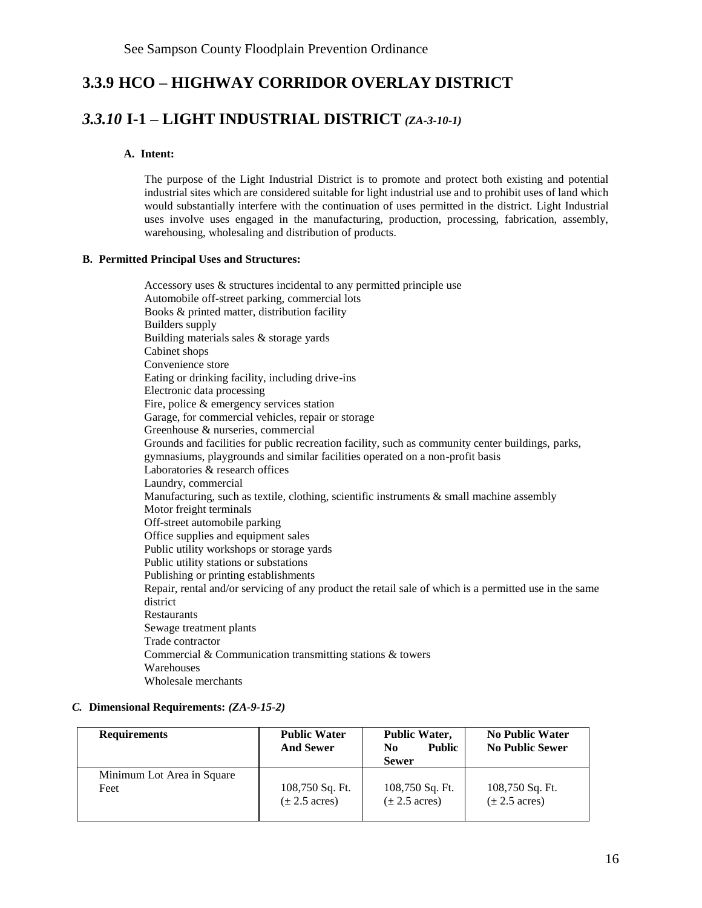# **3.3.9 HCO – HIGHWAY CORRIDOR OVERLAY DISTRICT**

# *3.3.10* **I-1 – LIGHT INDUSTRIAL DISTRICT** *(ZA-3-10-1)*

# **A. Intent:**

The purpose of the Light Industrial District is to promote and protect both existing and potential industrial sites which are considered suitable for light industrial use and to prohibit uses of land which would substantially interfere with the continuation of uses permitted in the district. Light Industrial uses involve uses engaged in the manufacturing, production, processing, fabrication, assembly, warehousing, wholesaling and distribution of products.

### **B. Permitted Principal Uses and Structures:**

Accessory uses & structures incidental to any permitted principle use Automobile off-street parking, commercial lots Books & printed matter, distribution facility Builders supply Building materials sales & storage yards Cabinet shops Convenience store Eating or drinking facility, including drive-ins Electronic data processing Fire, police & emergency services station Garage, for commercial vehicles, repair or storage Greenhouse & nurseries, commercial Grounds and facilities for public recreation facility, such as community center buildings, parks, gymnasiums, playgrounds and similar facilities operated on a non-profit basis Laboratories & research offices Laundry, commercial Manufacturing, such as textile, clothing, scientific instruments  $\&$  small machine assembly Motor freight terminals Off-street automobile parking Office supplies and equipment sales Public utility workshops or storage yards Public utility stations or substations Publishing or printing establishments Repair, rental and/or servicing of any product the retail sale of which is a permitted use in the same district Restaurants Sewage treatment plants Trade contractor Commercial & Communication transmitting stations & towers Warehouses Wholesale merchants

### *C.* **Dimensional Requirements:** *(ZA-9-15-2)*

| <b>Requirements</b>                | <b>Public Water</b><br><b>And Sewer</b> | <b>Public Water,</b><br><b>Public</b><br>No.<br><b>Sewer</b> | <b>No Public Water</b><br><b>No Public Sewer</b> |
|------------------------------------|-----------------------------------------|--------------------------------------------------------------|--------------------------------------------------|
| Minimum Lot Area in Square<br>Feet | $108,750$ Sq. Ft.                       | $108,750$ Sq. Ft.                                            | $108,750$ Sq. Ft.<br>$(\pm 2.5 \text{ acres})$   |
|                                    | $(\pm 2.5 \text{ acres})$               | $(\pm 2.5 \text{ acres})$                                    |                                                  |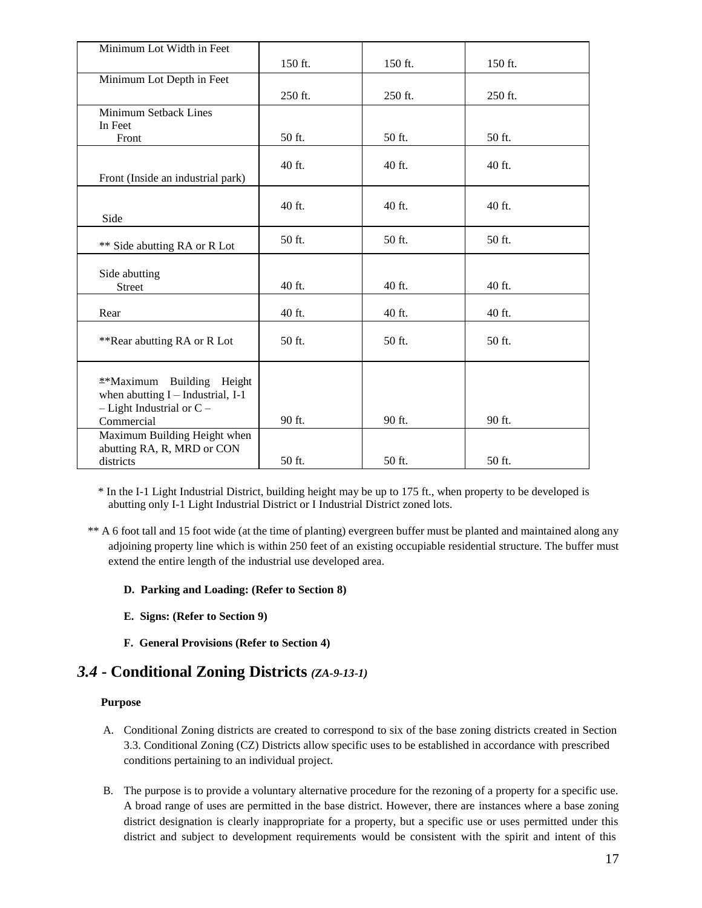| Minimum Lot Width in Feet               |         |         |         |
|-----------------------------------------|---------|---------|---------|
|                                         | 150 ft. | 150 ft. | 150 ft. |
| Minimum Lot Depth in Feet               |         |         |         |
|                                         | 250 ft. | 250 ft. | 250 ft. |
| Minimum Setback Lines                   |         |         |         |
| In Feet                                 |         |         |         |
| Front                                   | 50 ft.  | 50 ft.  | 50 ft.  |
|                                         | 40 ft.  | 40 ft.  | 40 ft.  |
| Front (Inside an industrial park)       |         |         |         |
|                                         |         |         |         |
|                                         | 40 ft.  | 40 ft.  | 40 ft.  |
| Side                                    |         |         |         |
|                                         | 50 ft.  | 50 ft.  | 50 ft.  |
| ** Side abutting RA or R Lot            |         |         |         |
| Side abutting                           |         |         |         |
| <b>Street</b>                           | 40 ft.  | 40 ft.  | 40 ft.  |
|                                         |         |         |         |
| Rear                                    | 40 ft.  | 40 ft.  | 40 ft.  |
|                                         |         |         |         |
| **Rear abutting RA or R Lot             | 50 ft.  | 50 ft.  | 50 ft.  |
|                                         |         |         |         |
| **Maximum Building Height               |         |         |         |
| when abutting $I$ – Industrial, I-1     |         |         |         |
| $-$ Light Industrial or $C -$           |         |         |         |
| Commercial                              | 90 ft.  | 90 ft.  | 90 ft.  |
| Maximum Building Height when            |         |         |         |
| abutting RA, R, MRD or CON<br>districts | 50 ft.  | 50 ft.  | 50 ft.  |
|                                         |         |         |         |

\* In the I-1 Light Industrial District, building height may be up to 175 ft., when property to be developed is abutting only I-1 Light Industrial District or I Industrial District zoned lots.

\*\* A 6 foot tall and 15 foot wide (at the time of planting) evergreen buffer must be planted and maintained along any adjoining property line which is within 250 feet of an existing occupiable residential structure. The buffer must extend the entire length of the industrial use developed area.

### **D. Parking and Loading: (Refer to Section 8)**

- **E. Signs: (Refer to Section 9)**
- **F. General Provisions (Refer to Section 4)**

# *3.4* **- Conditional Zoning Districts** *(ZA-9-13-1)*

### **Purpose**

- A. Conditional Zoning districts are created to correspond to six of the base zoning districts created in Section 3.3. Conditional Zoning (CZ) Districts allow specific uses to be established in accordance with prescribed conditions pertaining to an individual project.
- B. The purpose is to provide a voluntary alternative procedure for the rezoning of a property for a specific use. A broad range of uses are permitted in the base district. However, there are instances where a base zoning district designation is clearly inappropriate for a property, but a specific use or uses permitted under this district and subject to development requirements would be consistent with the spirit and intent of this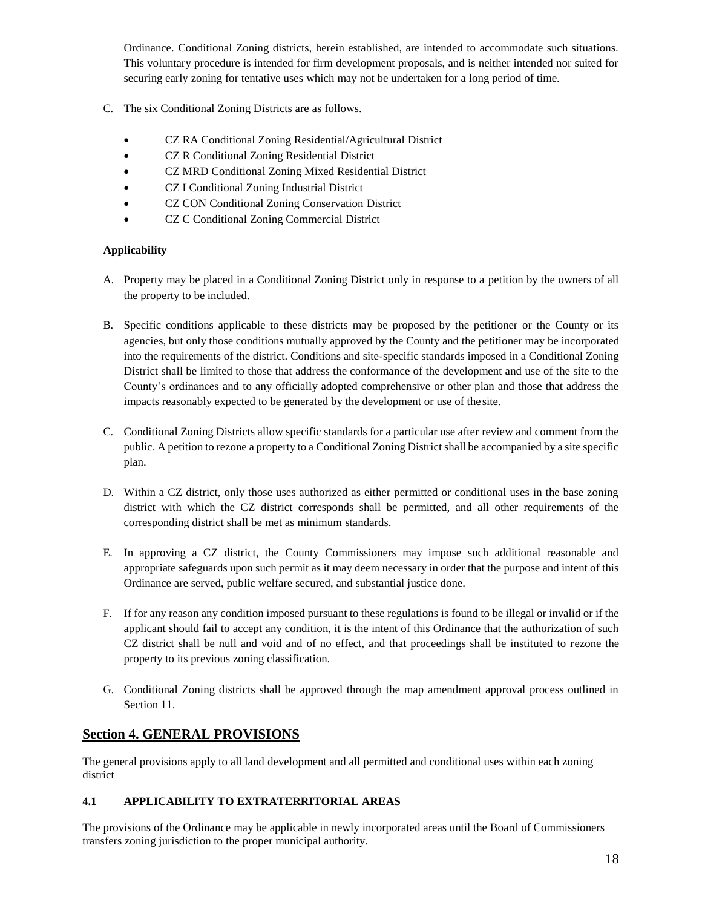Ordinance. Conditional Zoning districts, herein established, are intended to accommodate such situations. This voluntary procedure is intended for firm development proposals, and is neither intended nor suited for securing early zoning for tentative uses which may not be undertaken for a long period of time.

- C. The six Conditional Zoning Districts are as follows.
	- CZ RA Conditional Zoning Residential/Agricultural District
	- CZ R Conditional Zoning Residential District
	- CZ MRD Conditional Zoning Mixed Residential District
	- CZ I Conditional Zoning Industrial District
	- CZ CON Conditional Zoning Conservation District
	- CZ C Conditional Zoning Commercial District

### **Applicability**

- A. Property may be placed in a Conditional Zoning District only in response to a petition by the owners of all the property to be included.
- B. Specific conditions applicable to these districts may be proposed by the petitioner or the County or its agencies, but only those conditions mutually approved by the County and the petitioner may be incorporated into the requirements of the district. Conditions and site-specific standards imposed in a Conditional Zoning District shall be limited to those that address the conformance of the development and use of the site to the County's ordinances and to any officially adopted comprehensive or other plan and those that address the impacts reasonably expected to be generated by the development or use of the site.
- C. Conditional Zoning Districts allow specific standards for a particular use after review and comment from the public. A petition to rezone a property to a Conditional Zoning District shall be accompanied by a site specific plan.
- D. Within a CZ district, only those uses authorized as either permitted or conditional uses in the base zoning district with which the CZ district corresponds shall be permitted, and all other requirements of the corresponding district shall be met as minimum standards.
- E. In approving a CZ district, the County Commissioners may impose such additional reasonable and appropriate safeguards upon such permit as it may deem necessary in order that the purpose and intent of this Ordinance are served, public welfare secured, and substantial justice done.
- F. If for any reason any condition imposed pursuant to these regulations is found to be illegal or invalid or if the applicant should fail to accept any condition, it is the intent of this Ordinance that the authorization of such CZ district shall be null and void and of no effect, and that proceedings shall be instituted to rezone the property to its previous zoning classification.
- G. Conditional Zoning districts shall be approved through the map amendment approval process outlined in Section 11.

# **Section 4. GENERAL PROVISIONS**

The general provisions apply to all land development and all permitted and conditional uses within each zoning district

### **4.1 APPLICABILITY TO EXTRATERRITORIAL AREAS**

The provisions of the Ordinance may be applicable in newly incorporated areas until the Board of Commissioners transfers zoning jurisdiction to the proper municipal authority.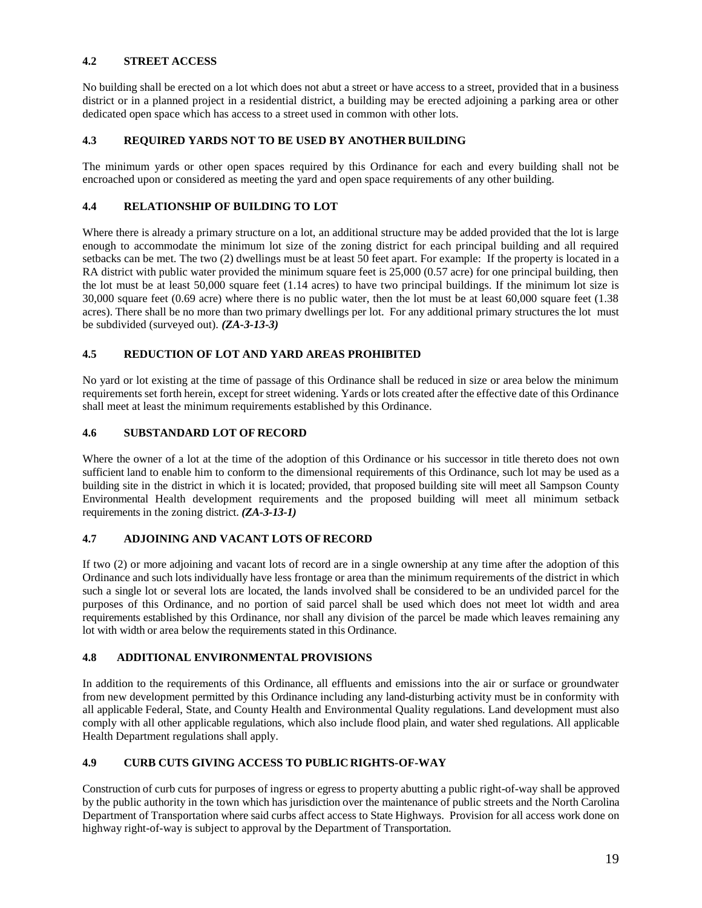### **4.2 STREET ACCESS**

No building shall be erected on a lot which does not abut a street or have access to a street, provided that in a business district or in a planned project in a residential district, a building may be erected adjoining a parking area or other dedicated open space which has access to a street used in common with other lots.

### **4.3 REQUIRED YARDS NOT TO BE USED BY ANOTHER BUILDING**

The minimum yards or other open spaces required by this Ordinance for each and every building shall not be encroached upon or considered as meeting the yard and open space requirements of any other building.

### **4.4 RELATIONSHIP OF BUILDING TO LOT**

Where there is already a primary structure on a lot, an additional structure may be added provided that the lot is large enough to accommodate the minimum lot size of the zoning district for each principal building and all required setbacks can be met. The two (2) dwellings must be at least 50 feet apart. For example: If the property is located in a RA district with public water provided the minimum square feet is 25,000 (0.57 acre) for one principal building, then the lot must be at least 50,000 square feet (1.14 acres) to have two principal buildings. If the minimum lot size is 30,000 square feet (0.69 acre) where there is no public water, then the lot must be at least 60,000 square feet (1.38 acres). There shall be no more than two primary dwellings per lot. For any additional primary structures the lot must be subdivided (surveyed out). *(ZA-3-13-3)*

### **4.5 REDUCTION OF LOT AND YARD AREAS PROHIBITED**

No yard or lot existing at the time of passage of this Ordinance shall be reduced in size or area below the minimum requirements set forth herein, except for street widening. Yards or lots created after the effective date of this Ordinance shall meet at least the minimum requirements established by this Ordinance.

### **4.6 SUBSTANDARD LOT OF RECORD**

Where the owner of a lot at the time of the adoption of this Ordinance or his successor in title thereto does not own sufficient land to enable him to conform to the dimensional requirements of this Ordinance, such lot may be used as a building site in the district in which it is located; provided, that proposed building site will meet all Sampson County Environmental Health development requirements and the proposed building will meet all minimum setback requirements in the zoning district. *(ZA-3-13-1)*

### **4.7 ADJOINING AND VACANT LOTS OF RECORD**

If two (2) or more adjoining and vacant lots of record are in a single ownership at any time after the adoption of this Ordinance and such lots individually have less frontage or area than the minimum requirements of the district in which such a single lot or several lots are located, the lands involved shall be considered to be an undivided parcel for the purposes of this Ordinance, and no portion of said parcel shall be used which does not meet lot width and area requirements established by this Ordinance, nor shall any division of the parcel be made which leaves remaining any lot with width or area below the requirements stated in this Ordinance.

### **4.8 ADDITIONAL ENVIRONMENTAL PROVISIONS**

In addition to the requirements of this Ordinance, all effluents and emissions into the air or surface or groundwater from new development permitted by this Ordinance including any land-disturbing activity must be in conformity with all applicable Federal, State, and County Health and Environmental Quality regulations. Land development must also comply with all other applicable regulations, which also include flood plain, and water shed regulations. All applicable Health Department regulations shall apply.

# **4.9 CURB CUTS GIVING ACCESS TO PUBLICRIGHTS-OF-WAY**

Construction of curb cuts for purposes of ingress or egress to property abutting a public right-of-way shall be approved by the public authority in the town which has jurisdiction over the maintenance of public streets and the North Carolina Department of Transportation where said curbs affect access to State Highways. Provision for all access work done on highway right-of-way is subject to approval by the Department of Transportation.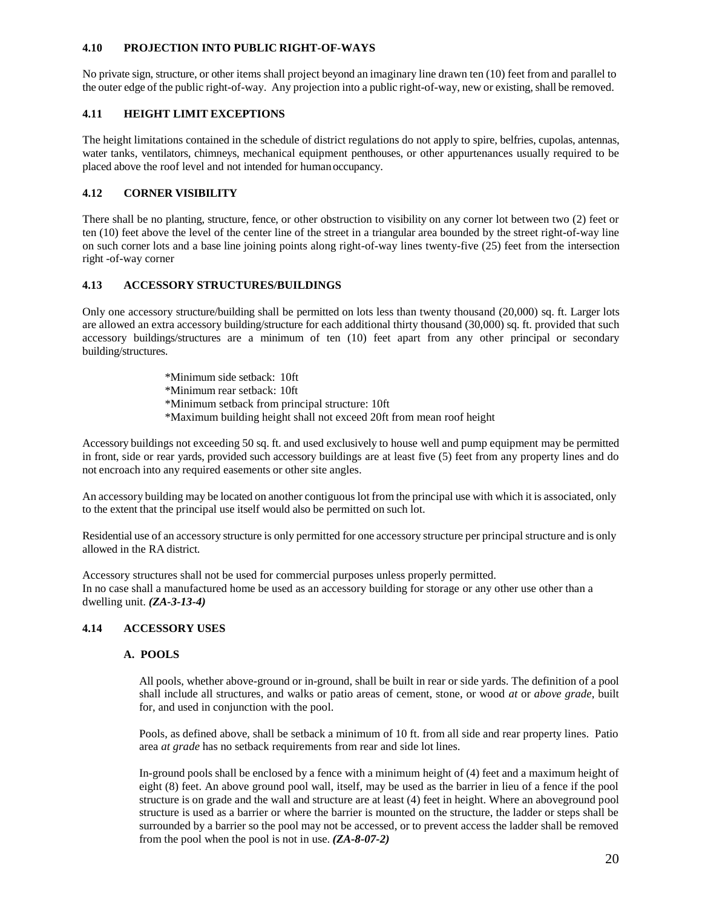### **4.10 PROJECTION INTO PUBLIC RIGHT-OF-WAYS**

No private sign, structure, or other items shall project beyond an imaginary line drawn ten (10) feet from and parallel to the outer edge of the public right-of-way. Any projection into a public right-of-way, new or existing, shall be removed.

### **4.11 HEIGHT LIMIT EXCEPTIONS**

The height limitations contained in the schedule of district regulations do not apply to spire, belfries, cupolas, antennas, water tanks, ventilators, chimneys, mechanical equipment penthouses, or other appurtenances usually required to be placed above the roof level and not intended for humanoccupancy.

### **4.12 CORNER VISIBILITY**

There shall be no planting, structure, fence, or other obstruction to visibility on any corner lot between two (2) feet or ten (10) feet above the level of the center line of the street in a triangular area bounded by the street right-of-way line on such corner lots and a base line joining points along right-of-way lines twenty-five (25) feet from the intersection right -of-way corner

### **4.13 ACCESSORY STRUCTURES/BUILDINGS**

Only one accessory structure/building shall be permitted on lots less than twenty thousand (20,000) sq. ft. Larger lots are allowed an extra accessory building/structure for each additional thirty thousand (30,000) sq. ft. provided that such accessory buildings/structures are a minimum of ten (10) feet apart from any other principal or secondary building/structures.

> \*Minimum side setback: 10ft \*Minimum rear setback: 10ft \*Minimum setback from principal structure: 10ft \*Maximum building height shall not exceed 20ft from mean roof height

Accessory buildings not exceeding 50 sq. ft. and used exclusively to house well and pump equipment may be permitted in front, side or rear yards, provided such accessory buildings are at least five (5) feet from any property lines and do not encroach into any required easements or other site angles.

An accessory building may be located on another contiguous lot from the principal use with which it is associated, only to the extent that the principal use itself would also be permitted on such lot.

Residential use of an accessory structure is only permitted for one accessory structure per principal structure and is only allowed in the RA district.

Accessory structures shall not be used for commercial purposes unless properly permitted. In no case shall a manufactured home be used as an accessory building for storage or any other use other than a dwelling unit. *(ZA-3-13-4)*

### **4.14 ACCESSORY USES**

### **A. POOLS**

All pools, whether above-ground or in-ground, shall be built in rear or side yards. The definition of a pool shall include all structures, and walks or patio areas of cement, stone, or wood *at* or *above grade*, built for, and used in conjunction with the pool.

Pools, as defined above, shall be setback a minimum of 10 ft. from all side and rear property lines. Patio area *at grade* has no setback requirements from rear and side lot lines.

In-ground pools shall be enclosed by a fence with a minimum height of (4) feet and a maximum height of eight (8) feet. An above ground pool wall, itself, may be used as the barrier in lieu of a fence if the pool structure is on grade and the wall and structure are at least (4) feet in height. Where an aboveground pool structure is used as a barrier or where the barrier is mounted on the structure, the ladder or steps shall be surrounded by a barrier so the pool may not be accessed, or to prevent access the ladder shall be removed from the pool when the pool is not in use. *(ZA-8-07-2)*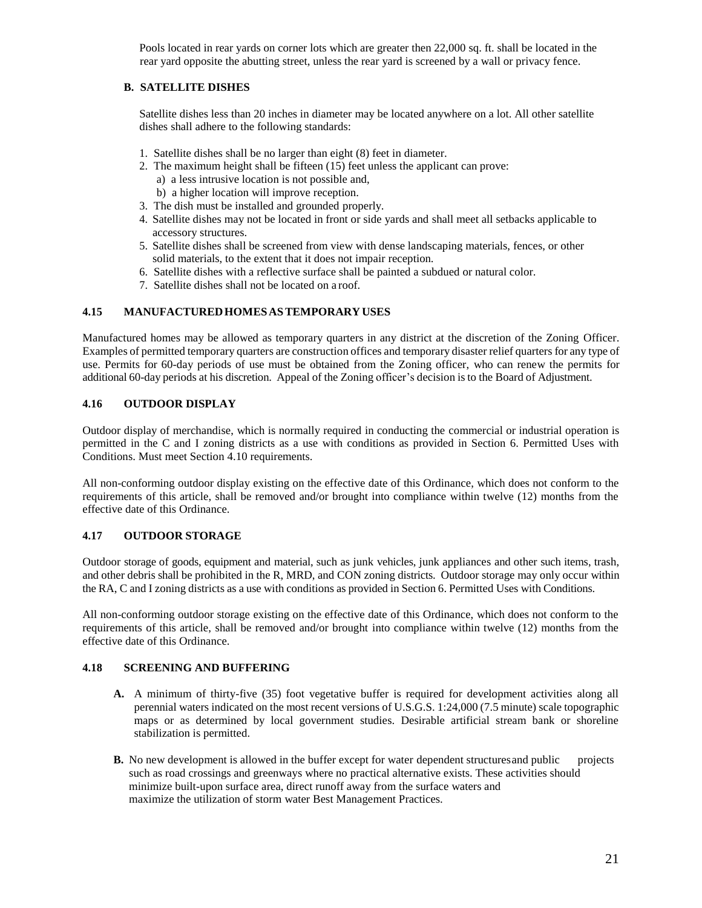Pools located in rear yards on corner lots which are greater then 22,000 sq. ft. shall be located in the rear yard opposite the abutting street, unless the rear yard is screened by a wall or privacy fence.

### **B. SATELLITE DISHES**

Satellite dishes less than 20 inches in diameter may be located anywhere on a lot. All other satellite dishes shall adhere to the following standards:

- 1. Satellite dishes shall be no larger than eight (8) feet in diameter.
- 2. The maximum height shall be fifteen (15) feet unless the applicant can prove: a) a less intrusive location is not possible and,
	- b) a higher location will improve reception.
- 3. The dish must be installed and grounded properly.
- 4. Satellite dishes may not be located in front or side yards and shall meet all setbacks applicable to accessory structures.
- 5. Satellite dishes shall be screened from view with dense landscaping materials, fences, or other solid materials, to the extent that it does not impair reception.
- 6. Satellite dishes with a reflective surface shall be painted a subdued or natural color.
- 7. Satellite dishes shall not be located on a roof.

### **4.15 MANUFACTUREDHOMESASTEMPORARY USES**

Manufactured homes may be allowed as temporary quarters in any district at the discretion of the Zoning Officer. Examples of permitted temporary quarters are construction offices and temporary disaster relief quarters for any type of use. Permits for 60-day periods of use must be obtained from the Zoning officer, who can renew the permits for additional 60-day periods at his discretion. Appeal of the Zoning officer's decision is to the Board of Adjustment.

### **4.16 OUTDOOR DISPLAY**

Outdoor display of merchandise, which is normally required in conducting the commercial or industrial operation is permitted in the C and I zoning districts as a use with conditions as provided in Section 6. Permitted Uses with Conditions. Must meet Section 4.10 requirements.

All non-conforming outdoor display existing on the effective date of this Ordinance, which does not conform to the requirements of this article, shall be removed and/or brought into compliance within twelve (12) months from the effective date of this Ordinance.

### **4.17 OUTDOOR STORAGE**

Outdoor storage of goods, equipment and material, such as junk vehicles, junk appliances and other such items, trash, and other debris shall be prohibited in the R, MRD, and CON zoning districts. Outdoor storage may only occur within the RA, C and I zoning districts as a use with conditions as provided in Section 6. Permitted Uses with Conditions.

All non-conforming outdoor storage existing on the effective date of this Ordinance, which does not conform to the requirements of this article, shall be removed and/or brought into compliance within twelve (12) months from the effective date of this Ordinance.

### **4.18 SCREENING AND BUFFERING**

- **A.** A minimum of thirty-five (35) foot vegetative buffer is required for development activities along all perennial waters indicated on the most recent versions of U.S.G.S. 1:24,000 (7.5 minute) scale topographic maps or as determined by local government studies. Desirable artificial stream bank or shoreline stabilization is permitted.
- **B.** No new development is allowed in the buffer except for water dependent structures and public projects such as road crossings and greenways where no practical alternative exists. These activities should minimize built-upon surface area, direct runoff away from the surface waters and maximize the utilization of storm water Best Management Practices.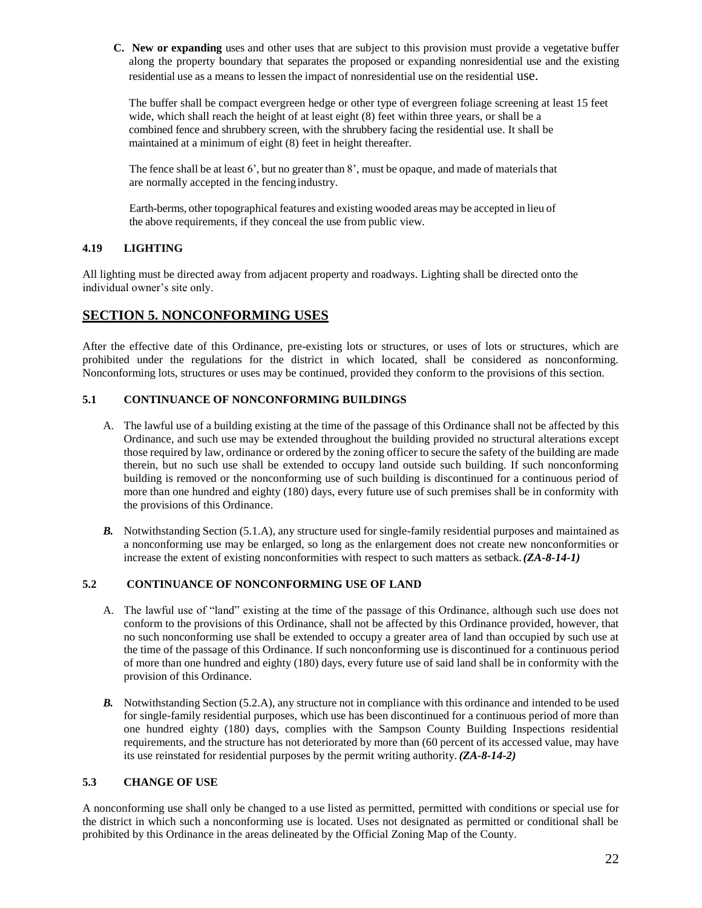**C. New or expanding** uses and other uses that are subject to this provision must provide a vegetative buffer along the property boundary that separates the proposed or expanding nonresidential use and the existing residential use as a means to lessen the impact of nonresidential use on the residential use.

The buffer shall be compact evergreen hedge or other type of evergreen foliage screening at least 15 feet wide, which shall reach the height of at least eight (8) feet within three years, or shall be a combined fence and shrubbery screen, with the shrubbery facing the residential use. It shall be maintained at a minimum of eight (8) feet in height thereafter.

The fence shall be at least 6', but no greater than 8', must be opaque, and made of materials that are normally accepted in the fencingindustry.

Earth-berms, other topographical features and existing wooded areas may be accepted in lieu of the above requirements, if they conceal the use from public view.

### **4.19 LIGHTING**

All lighting must be directed away from adjacent property and roadways. Lighting shall be directed onto the individual owner's site only.

# <span id="page-25-0"></span>**SECTION 5. NONCONFORMING USES**

After the effective date of this Ordinance, pre-existing lots or structures, or uses of lots or structures, which are prohibited under the regulations for the district in which located, shall be considered as nonconforming. Nonconforming lots, structures or uses may be continued, provided they conform to the provisions of this section.

### <span id="page-25-1"></span>**5.1 CONTINUANCE OF NONCONFORMING BUILDINGS**

- A. The lawful use of a building existing at the time of the passage of this Ordinance shall not be affected by this Ordinance, and such use may be extended throughout the building provided no structural alterations except those required by law, ordinance or ordered by the zoning officer to secure the safety of the building are made therein, but no such use shall be extended to occupy land outside such building. If such nonconforming building is removed or the nonconforming use of such building is discontinued for a continuous period of more than one hundred and eighty (180) days, every future use of such premises shall be in conformity with the provisions of this Ordinance.
- **B.** Notwithstanding Section (5.1.A), any structure used for single-family residential purposes and maintained as a nonconforming use may be enlarged, so long as the enlargement does not create new nonconformities or increase the extent of existing nonconformities with respect to such matters as setback.*(ZA-8-14-1)*

### <span id="page-25-2"></span>**5.2 CONTINUANCE OF NONCONFORMING USE OF LAND**

- A. The lawful use of "land" existing at the time of the passage of this Ordinance, although such use does not conform to the provisions of this Ordinance, shall not be affected by this Ordinance provided, however, that no such nonconforming use shall be extended to occupy a greater area of land than occupied by such use at the time of the passage of this Ordinance. If such nonconforming use is discontinued for a continuous period of more than one hundred and eighty (180) days, every future use of said land shall be in conformity with the provision of this Ordinance.
- **B.** Notwithstanding Section (5.2.A), any structure not in compliance with this ordinance and intended to be used for single-family residential purposes, which use has been discontinued for a continuous period of more than one hundred eighty (180) days, complies with the Sampson County Building Inspections residential requirements, and the structure has not deteriorated by more than (60 percent of its accessed value, may have its use reinstated for residential purposes by the permit writing authority. *(ZA-8-14-2)*

### <span id="page-25-3"></span>**5.3 CHANGE OF USE**

A nonconforming use shall only be changed to a use listed as permitted, permitted with conditions or special use for the district in which such a nonconforming use is located. Uses not designated as permitted or conditional shall be prohibited by this Ordinance in the areas delineated by the Official Zoning Map of the County.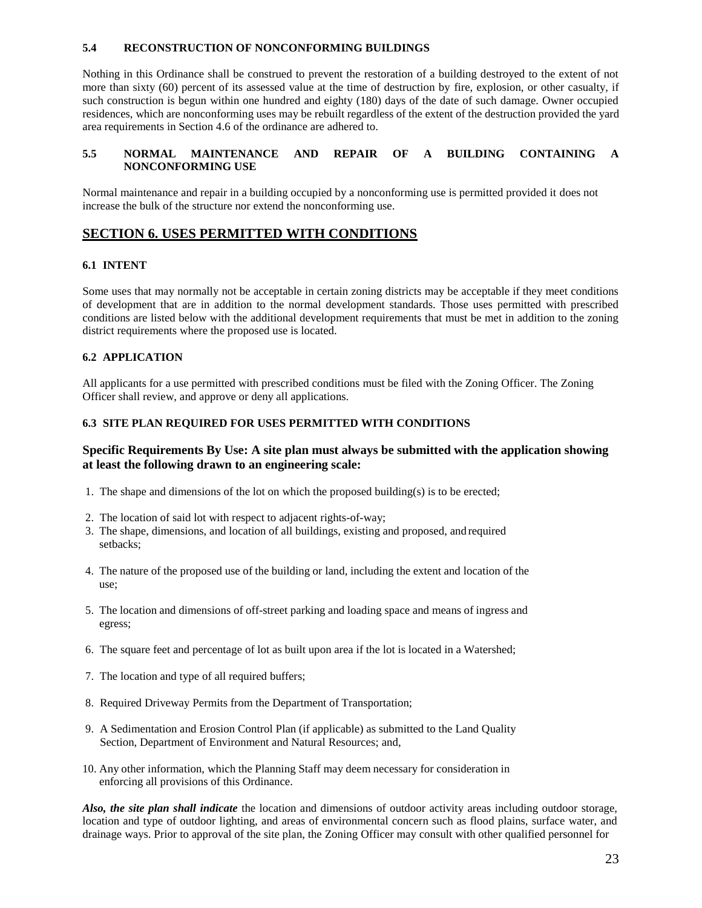### **5.4 RECONSTRUCTION OF NONCONFORMING BUILDINGS**

Nothing in this Ordinance shall be construed to prevent the restoration of a building destroyed to the extent of not more than sixty (60) percent of its assessed value at the time of destruction by fire, explosion, or other casualty, if such construction is begun within one hundred and eighty (180) days of the date of such damage. Owner occupied residences, which are nonconforming uses may be rebuilt regardless of the extent of the destruction provided the yard area requirements in Section 4.6 of the ordinance are adhered to.

### <span id="page-26-0"></span>**5.5 NORMAL MAINTENANCE AND REPAIR OF A BUILDING CONTAINING A NONCONFORMING USE**

Normal maintenance and repair in a building occupied by a nonconforming use is permitted provided it does not increase the bulk of the structure nor extend the nonconforming use.

# <span id="page-26-1"></span>**SECTION 6. USES PERMITTED WITH CONDITIONS**

### <span id="page-26-2"></span>**6.1 INTENT**

Some uses that may normally not be acceptable in certain zoning districts may be acceptable if they meet conditions of development that are in addition to the normal development standards. Those uses permitted with prescribed conditions are listed below with the additional development requirements that must be met in addition to the zoning district requirements where the proposed use is located.

### <span id="page-26-3"></span>**6.2 APPLICATION**

All applicants for a use permitted with prescribed conditions must be filed with the Zoning Officer. The Zoning Officer shall review, and approve or deny all applications.

### <span id="page-26-4"></span>**6.3 SITE PLAN REQUIRED FOR USES PERMITTED WITH CONDITIONS**

### **Specific Requirements By Use: A site plan must always be submitted with the application showing at least the following drawn to an engineering scale:**

- 1. The shape and dimensions of the lot on which the proposed building(s) is to be erected;
- 2. The location of said lot with respect to adjacent rights-of-way;
- 3. The shape, dimensions, and location of all buildings, existing and proposed, and required setbacks;
- 4. The nature of the proposed use of the building or land, including the extent and location of the use;
- 5. The location and dimensions of off-street parking and loading space and means of ingress and egress;
- 6. The square feet and percentage of lot as built upon area if the lot is located in a Watershed;
- 7. The location and type of all required buffers;
- 8. Required Driveway Permits from the Department of Transportation;
- 9. A Sedimentation and Erosion Control Plan (if applicable) as submitted to the Land Quality Section, Department of Environment and Natural Resources; and,
- 10. Any other information, which the Planning Staff may deem necessary for consideration in enforcing all provisions of this Ordinance.

*Also, the site plan shall indicate* the location and dimensions of outdoor activity areas including outdoor storage, location and type of outdoor lighting, and areas of environmental concern such as flood plains, surface water, and drainage ways. Prior to approval of the site plan, the Zoning Officer may consult with other qualified personnel for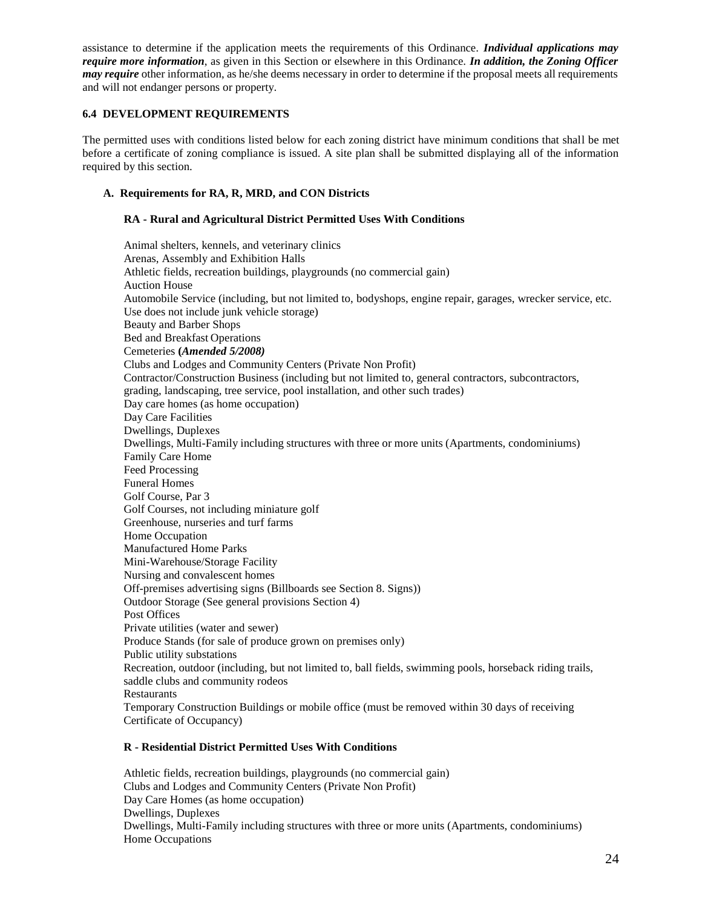assistance to determine if the application meets the requirements of this Ordinance. *Individual applications may require more information*, as given in this Section or elsewhere in this Ordinance. *In addition, the Zoning Officer may require* other information, as he/she deems necessary in order to determine if the proposal meets all requirements and will not endanger persons or property.

### <span id="page-27-0"></span>**6.4 DEVELOPMENT REQUIREMENTS**

The permitted uses with conditions listed below for each zoning district have minimum conditions that shall be met before a certificate of zoning compliance is issued. A site plan shall be submitted displaying all of the information required by this section.

### **A. Requirements for RA, R, MRD, and CON Districts**

### **RA - Rural and Agricultural District Permitted Uses With Conditions**

Animal shelters, kennels, and veterinary clinics Arenas, Assembly and Exhibition Halls Athletic fields, recreation buildings, playgrounds (no commercial gain) Auction House Automobile Service (including, but not limited to, bodyshops, engine repair, garages, wrecker service, etc. Use does not include junk vehicle storage) Beauty and Barber Shops Bed and Breakfast Operations Cemeteries **(***Amended 5/2008)* Clubs and Lodges and Community Centers (Private Non Profit) Contractor/Construction Business (including but not limited to, general contractors, subcontractors, grading, landscaping, tree service, pool installation, and other such trades) Day care homes (as home occupation) Day Care Facilities Dwellings, Duplexes Dwellings, Multi-Family including structures with three or more units (Apartments, condominiums) Family Care Home Feed Processing Funeral Homes Golf Course, Par 3 Golf Courses, not including miniature golf Greenhouse, nurseries and turf farms Home Occupation Manufactured Home Parks Mini-Warehouse/Storage Facility Nursing and convalescent homes Off-premises advertising signs (Billboards see Section 8. Signs)) Outdoor Storage (See general provisions Section 4) Post Offices Private utilities (water and sewer) Produce Stands (for sale of produce grown on premises only) Public utility substations Recreation, outdoor (including, but not limited to, ball fields, swimming pools, horseback riding trails, saddle clubs and community rodeos Restaurants Temporary Construction Buildings or mobile office (must be removed within 30 days of receiving Certificate of Occupancy)

### **R - Residential District Permitted Uses With Conditions**

Athletic fields, recreation buildings, playgrounds (no commercial gain) Clubs and Lodges and Community Centers (Private Non Profit) Day Care Homes (as home occupation) Dwellings, Duplexes Dwellings, Multi-Family including structures with three or more units (Apartments, condominiums) Home Occupations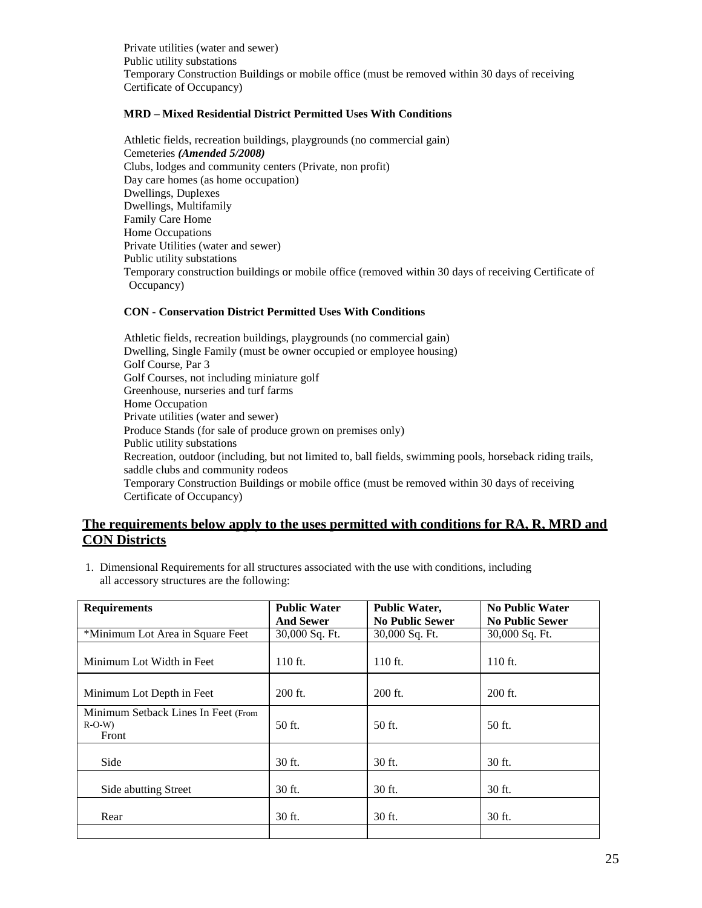Private utilities (water and sewer) Public utility substations Temporary Construction Buildings or mobile office (must be removed within 30 days of receiving Certificate of Occupancy)

### **MRD – Mixed Residential District Permitted Uses With Conditions**

Athletic fields, recreation buildings, playgrounds (no commercial gain) Cemeteries *(Amended 5/2008)* Clubs, lodges and community centers (Private, non profit) Day care homes (as home occupation) Dwellings, Duplexes Dwellings, Multifamily Family Care Home Home Occupations Private Utilities (water and sewer) Public utility substations Temporary construction buildings or mobile office (removed within 30 days of receiving Certificate of Occupancy)

### **CON - Conservation District Permitted Uses With Conditions**

Athletic fields, recreation buildings, playgrounds (no commercial gain) Dwelling, Single Family (must be owner occupied or employee housing) Golf Course, Par 3 Golf Courses, not including miniature golf Greenhouse, nurseries and turf farms Home Occupation Private utilities (water and sewer) Produce Stands (for sale of produce grown on premises only) Public utility substations Recreation, outdoor (including, but not limited to, ball fields, swimming pools, horseback riding trails, saddle clubs and community rodeos Temporary Construction Buildings or mobile office (must be removed within 30 days of receiving Certificate of Occupancy)

# **The requirements below apply to the uses permitted with conditions for RA, R, MRD and CON Districts**

1. Dimensional Requirements for all structures associated with the use with conditions, including all accessory structures are the following:

| <b>Requirements</b>                 | <b>Public Water</b>                | <b>Public Water,</b>                     | <b>No Public Water</b>                   |
|-------------------------------------|------------------------------------|------------------------------------------|------------------------------------------|
| *Minimum Lot Area in Square Feet    | <b>And Sewer</b><br>30,000 Sq. Ft. | <b>No Public Sewer</b><br>30,000 Sq. Ft. | <b>No Public Sewer</b><br>30,000 Sq. Ft. |
|                                     |                                    |                                          |                                          |
| Minimum Lot Width in Feet           | $110$ ft.                          | $110$ ft.                                | 110 ft.                                  |
|                                     |                                    |                                          |                                          |
| Minimum Lot Depth in Feet           | $200$ ft.                          | $200$ ft.                                | $200$ ft.                                |
| Minimum Setback Lines In Feet (From |                                    |                                          |                                          |
| $R-O-W$<br>Front                    | 50 ft.                             | $50$ ft.                                 | 50 ft.                                   |
|                                     |                                    |                                          |                                          |
| Side                                | 30 ft.                             | 30 ft.                                   | 30 ft.                                   |
| Side abutting Street                | 30 ft.                             | 30 ft.                                   | 30 ft.                                   |
|                                     |                                    |                                          |                                          |
| Rear                                | 30 ft.                             | 30 ft.                                   | 30 ft.                                   |
|                                     |                                    |                                          |                                          |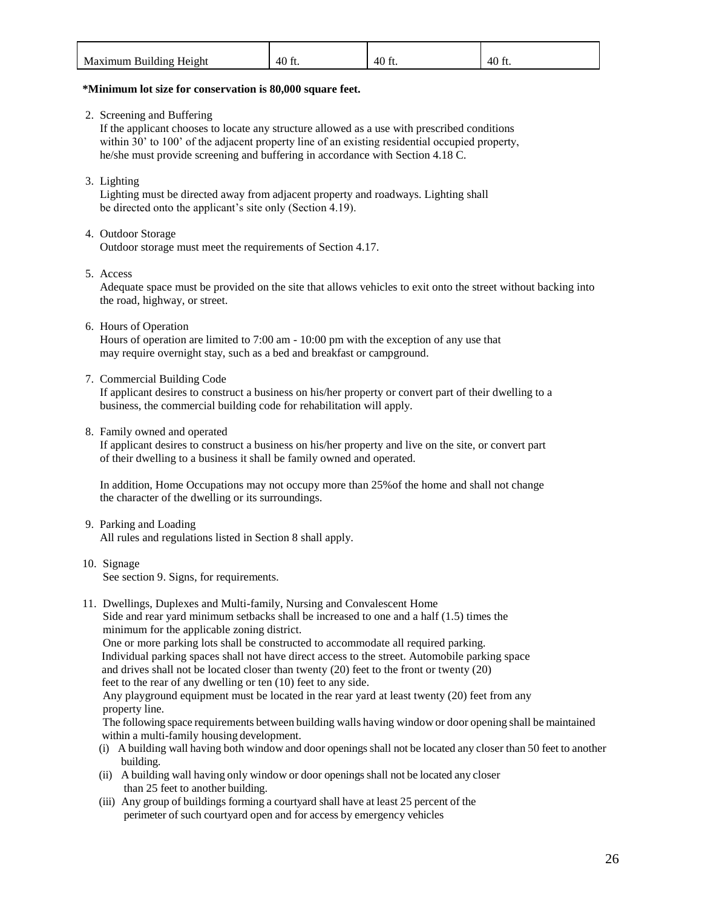| Maximum Building Height | 40 ft. | 40 ft. | 40 ft. |
|-------------------------|--------|--------|--------|

### **\*Minimum lot size for conservation is 80,000 square feet.**

2. Screening and Buffering

If the applicant chooses to locate any structure allowed as a use with prescribed conditions within 30' to 100' of the adjacent property line of an existing residential occupied property, he/she must provide screening and buffering in accordance with Section 4.18 C.

3. Lighting

Lighting must be directed away from adjacent property and roadways. Lighting shall be directed onto the applicant's site only (Section 4.19).

- 4. Outdoor Storage Outdoor storage must meet the requirements of Section 4.17.
- 5. Access

Adequate space must be provided on the site that allows vehicles to exit onto the street without backing into the road, highway, or street.

6. Hours of Operation

Hours of operation are limited to 7:00 am - 10:00 pm with the exception of any use that may require overnight stay, such as a bed and breakfast or campground.

7. Commercial Building Code

If applicant desires to construct a business on his/her property or convert part of their dwelling to a business, the commercial building code for rehabilitation will apply.

8. Family owned and operated

If applicant desires to construct a business on his/her property and live on the site, or convert part of their dwelling to a business it shall be family owned and operated.

In addition, Home Occupations may not occupy more than 25%of the home and shall not change the character of the dwelling or its surroundings.

9. Parking and Loading

All rules and regulations listed in Section 8 shall apply.

10. Signage

See section 9. Signs, for requirements.

- 11. Dwellings, Duplexes and Multi-family, Nursing and Convalescent Home Side and rear yard minimum setbacks shall be increased to one and a half  $(1.5)$  times the minimum for the applicable zoning district. One or more parking lots shall be constructed to accommodate all required parking. Individual parking spaces shall not have direct access to the street. Automobile parking space and drives shall not be located closer than twenty (20) feet to the front or twenty (20) feet to the rear of any dwelling or ten (10) feet to any side. Any playground equipment must be located in the rear yard at least twenty (20) feet from any property line. The following space requirements between building walls having window or door opening shall be maintained within a multi-family housing development. (i) A building wall having both window and door openingsshall not be located any closer than 50 feet to another building.
	- (ii) A building wall having only window or door openings shall not be located any closer than 25 feet to another building.
	- (iii) Any group of buildings forming a courtyard shall have at least 25 percent of the perimeter of such courtyard open and for access by emergency vehicles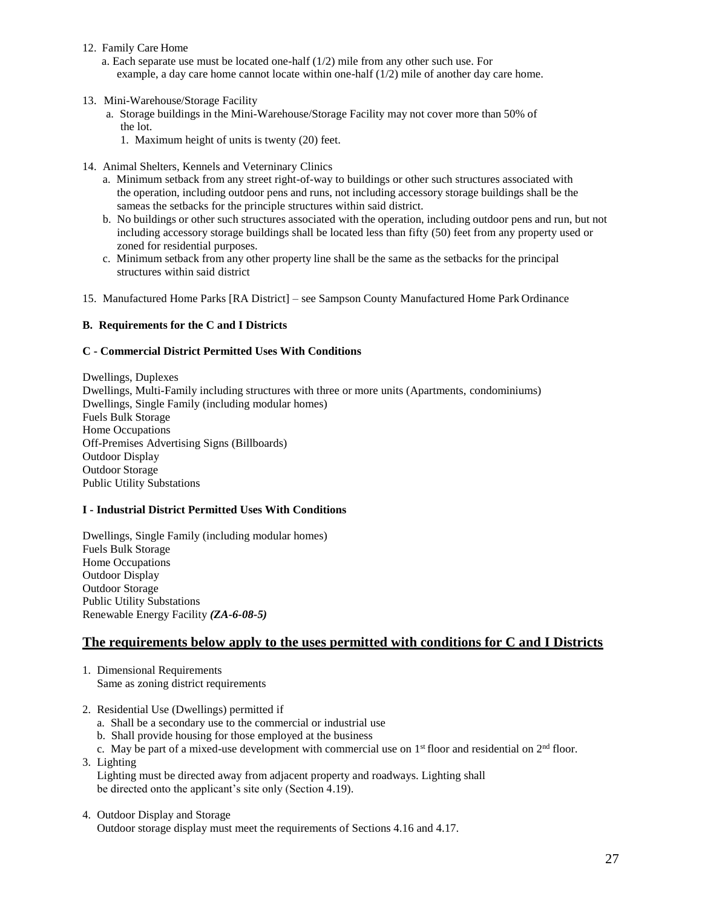- 12. Family Care Home
	- a. Each separate use must be located one-half (1/2) mile from any other such use. For example, a day care home cannot locate within one-half (1/2) mile of another day care home.
- 13. Mini-Warehouse/Storage Facility
	- a. Storage buildings in the Mini-Warehouse/Storage Facility may not cover more than 50% of the lot.
		- 1. Maximum height of units is twenty (20) feet.
- 14. Animal Shelters, Kennels and Veterninary Clinics
	- a. Minimum setback from any street right-of-way to buildings or other such structures associated with the operation, including outdoor pens and runs, not including accessory storage buildings shall be the sameas the setbacks for the principle structures within said district.
	- b. No buildings or other such structures associated with the operation, including outdoor pens and run, but not including accessory storage buildings shall be located less than fifty (50) feet from any property used or zoned for residential purposes.
	- c. Minimum setback from any other property line shall be the same as the setbacks for the principal structures within said district
- 15. Manufactured Home Parks [RA District] see Sampson County Manufactured Home Park Ordinance

### **B. Requirements for the C and I Districts**

### **C - Commercial District Permitted Uses With Conditions**

Dwellings, Duplexes Dwellings, Multi-Family including structures with three or more units (Apartments, condominiums) Dwellings, Single Family (including modular homes) Fuels Bulk Storage Home Occupations Off-Premises Advertising Signs (Billboards) Outdoor Display Outdoor Storage Public Utility Substations

#### **I - Industrial District Permitted Uses With Conditions**

Dwellings, Single Family (including modular homes) Fuels Bulk Storage Home Occupations Outdoor Display Outdoor Storage Public Utility Substations Renewable Energy Facility *(ZA-6-08-5)*

# **The requirements below apply to the uses permitted with conditions for C and I Districts**

- 1. Dimensional Requirements Same as zoning district requirements
- 2. Residential Use (Dwellings) permitted if
	- a. Shall be a secondary use to the commercial or industrial use
	- b. Shall provide housing for those employed at the business
	- c. May be part of a mixed-use development with commercial use on  $1<sup>st</sup>$  floor and residential on  $2<sup>nd</sup>$  floor.
- 3. Lighting

Lighting must be directed away from adjacent property and roadways. Lighting shall be directed onto the applicant's site only (Section 4.19).

4. Outdoor Display and Storage

Outdoor storage display must meet the requirements of Sections 4.16 and 4.17.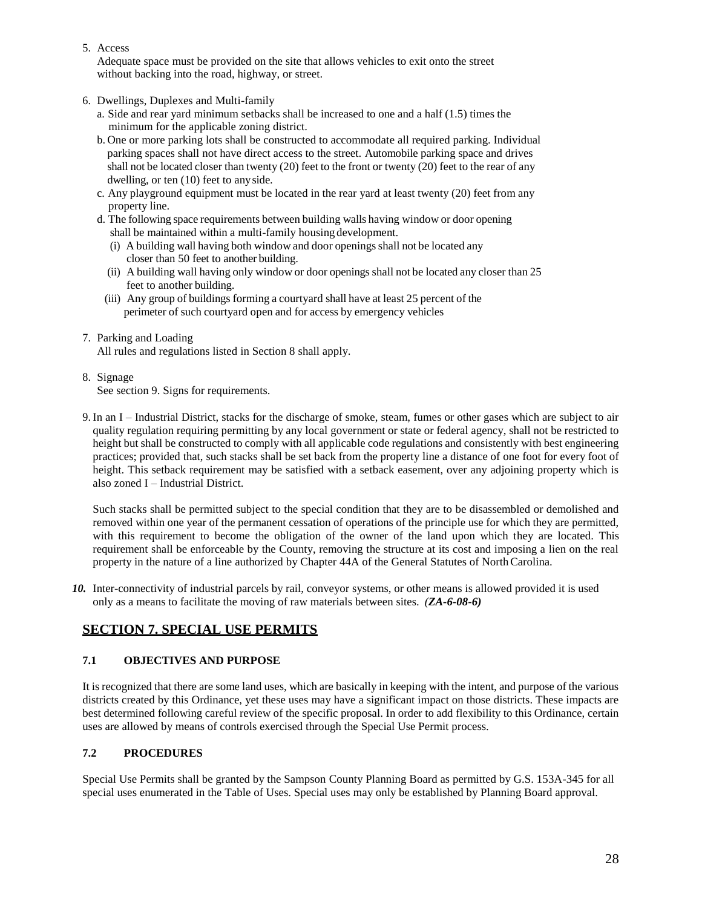5. Access

Adequate space must be provided on the site that allows vehicles to exit onto the street without backing into the road, highway, or street.

- 6. Dwellings, Duplexes and Multi-family
	- a. Side and rear yard minimum setbacks shall be increased to one and a half (1.5) times the minimum for the applicable zoning district.
	- b. One or more parking lots shall be constructed to accommodate all required parking. Individual parking spaces shall not have direct access to the street. Automobile parking space and drives shall not be located closer than twenty (20) feet to the front or twenty (20) feet to the rear of any dwelling, or ten  $(10)$  feet to any side.
	- c. Any playground equipment must be located in the rear yard at least twenty (20) feet from any property line.
	- d. The following space requirements between building walls having window or door opening shall be maintained within a multi-family housing development.
		- (i) A building wall having both window and door openingsshall not be located any closer than 50 feet to another building.
		- (ii) A building wall having only window or door openingsshall not be located any closer than 25 feet to another building.
		- (iii) Any group of buildings forming a courtyard shall have at least 25 percent of the perimeter of such courtyard open and for access by emergency vehicles
- 7. Parking and Loading

All rules and regulations listed in Section 8 shall apply.

8. Signage See section 9. Signs for requirements.

9. In an I – Industrial District, stacks for the discharge of smoke, steam, fumes or other gases which are subject to air quality regulation requiring permitting by any local government or state or federal agency, shall not be restricted to height but shall be constructed to comply with all applicable code regulations and consistently with best engineering practices; provided that, such stacks shall be set back from the property line a distance of one foot for every foot of height. This setback requirement may be satisfied with a setback easement, over any adjoining property which is also zoned I – Industrial District.

Such stacks shall be permitted subject to the special condition that they are to be disassembled or demolished and removed within one year of the permanent cessation of operations of the principle use for which they are permitted, with this requirement to become the obligation of the owner of the land upon which they are located. This requirement shall be enforceable by the County, removing the structure at its cost and imposing a lien on the real property in the nature of a line authorized by Chapter 44A of the General Statutes of NorthCarolina.

*10.* Inter-connectivity of industrial parcels by rail, conveyor systems, or other means is allowed provided it is used only as a means to facilitate the moving of raw materials between sites. *(ZA-6-08-6)*

# <span id="page-31-0"></span>**SECTION 7. SPECIAL USE PERMITS**

# <span id="page-31-1"></span>**7.1 OBJECTIVES AND PURPOSE**

It is recognized that there are some land uses, which are basically in keeping with the intent, and purpose of the various districts created by this Ordinance, yet these uses may have a significant impact on those districts. These impacts are best determined following careful review of the specific proposal. In order to add flexibility to this Ordinance, certain uses are allowed by means of controls exercised through the Special Use Permit process.

# <span id="page-31-2"></span>**7.2 PROCEDURES**

Special Use Permits shall be granted by the Sampson County Planning Board as permitted by G.S. 153A-345 for all special uses enumerated in the Table of Uses. Special uses may only be established by Planning Board approval.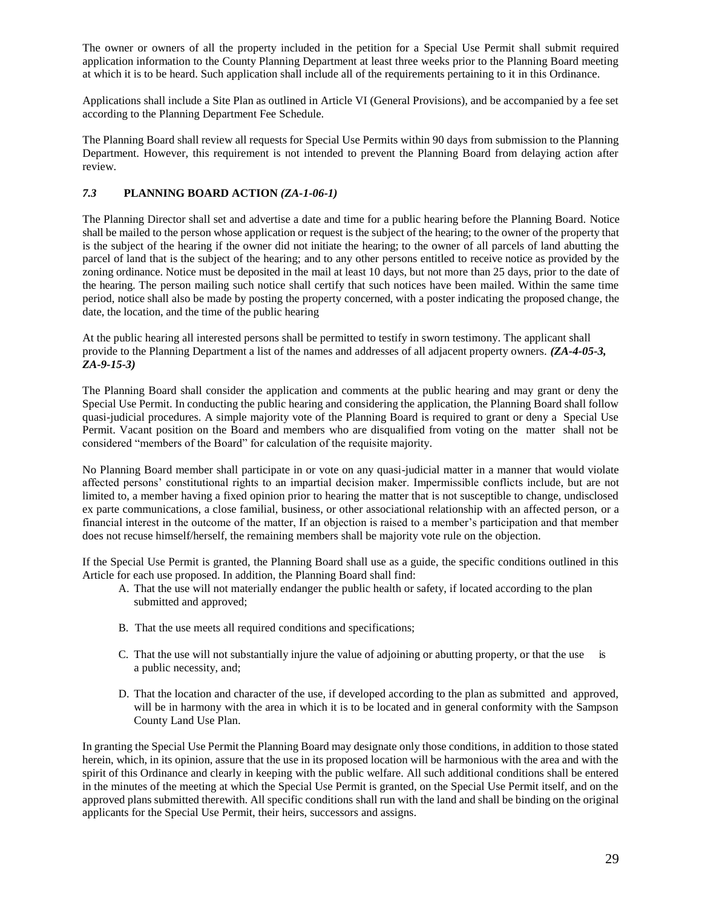The owner or owners of all the property included in the petition for a Special Use Permit shall submit required application information to the County Planning Department at least three weeks prior to the Planning Board meeting at which it is to be heard. Such application shall include all of the requirements pertaining to it in this Ordinance.

Applications shall include a Site Plan as outlined in Article VI (General Provisions), and be accompanied by a fee set according to the Planning Department Fee Schedule.

The Planning Board shall review all requests for Special Use Permits within 90 days from submission to the Planning Department. However, this requirement is not intended to prevent the Planning Board from delaying action after review.

### *7.3* **PLANNING BOARD ACTION** *(ZA-1-06-1)*

The Planning Director shall set and advertise a date and time for a public hearing before the Planning Board. Notice shall be mailed to the person whose application or request is the subject of the hearing; to the owner of the property that is the subject of the hearing if the owner did not initiate the hearing; to the owner of all parcels of land abutting the parcel of land that is the subject of the hearing; and to any other persons entitled to receive notice as provided by the zoning ordinance. Notice must be deposited in the mail at least 10 days, but not more than 25 days, prior to the date of the hearing. The person mailing such notice shall certify that such notices have been mailed. Within the same time period, notice shall also be made by posting the property concerned, with a poster indicating the proposed change, the date, the location, and the time of the public hearing

At the public hearing all interested persons shall be permitted to testify in sworn testimony. The applicant shall provide to the Planning Department a list of the names and addresses of all adjacent property owners. *(ZA-4-05-3, ZA-9-15-3)*

The Planning Board shall consider the application and comments at the public hearing and may grant or deny the Special Use Permit. In conducting the public hearing and considering the application, the Planning Board shall follow quasi-judicial procedures. A simple majority vote of the Planning Board is required to grant or deny a Special Use Permit. Vacant position on the Board and members who are disqualified from voting on the matter shall not be considered "members of the Board" for calculation of the requisite majority.

No Planning Board member shall participate in or vote on any quasi-judicial matter in a manner that would violate affected persons' constitutional rights to an impartial decision maker. Impermissible conflicts include, but are not limited to, a member having a fixed opinion prior to hearing the matter that is not susceptible to change, undisclosed ex parte communications, a close familial, business, or other associational relationship with an affected person, or a financial interest in the outcome of the matter, If an objection is raised to a member's participation and that member does not recuse himself/herself, the remaining members shall be majority vote rule on the objection.

If the Special Use Permit is granted, the Planning Board shall use as a guide, the specific conditions outlined in this Article for each use proposed. In addition, the Planning Board shall find:

- A. That the use will not materially endanger the public health or safety, if located according to the plan submitted and approved;
- B. That the use meets all required conditions and specifications;
- C. That the use will not substantially injure the value of adjoining or abutting property, or that the use is a public necessity, and;
- D. That the location and character of the use, if developed according to the plan as submitted and approved, will be in harmony with the area in which it is to be located and in general conformity with the Sampson County Land Use Plan.

In granting the Special Use Permit the Planning Board may designate only those conditions, in addition to those stated herein, which, in its opinion, assure that the use in its proposed location will be harmonious with the area and with the spirit of this Ordinance and clearly in keeping with the public welfare. All such additional conditions shall be entered in the minutes of the meeting at which the Special Use Permit is granted, on the Special Use Permit itself, and on the approved plans submitted therewith. All specific conditions shall run with the land and shall be binding on the original applicants for the Special Use Permit, their heirs, successors and assigns.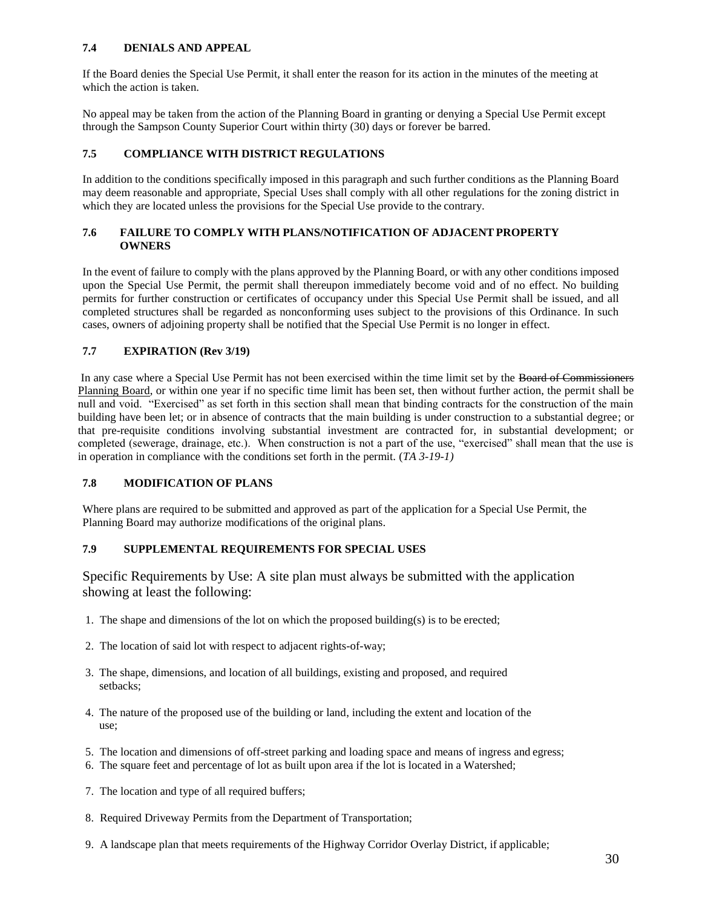### <span id="page-33-0"></span>**7.4 DENIALS AND APPEAL**

If the Board denies the Special Use Permit, it shall enter the reason for its action in the minutes of the meeting at which the action is taken.

No appeal may be taken from the action of the Planning Board in granting or denying a Special Use Permit except through the Sampson County Superior Court within thirty (30) days or forever be barred.

### <span id="page-33-1"></span>**7.5 COMPLIANCE WITH DISTRICT REGULATIONS**

In addition to the conditions specifically imposed in this paragraph and such further conditions as the Planning Board may deem reasonable and appropriate, Special Uses shall comply with all other regulations for the zoning district in which they are located unless the provisions for the Special Use provide to the contrary.

### **7.6 FAILURE TO COMPLY WITH PLANS/NOTIFICATION OF ADJACENT PROPERTY OWNERS**

In the event of failure to comply with the plans approved by the Planning Board, or with any other conditions imposed upon the Special Use Permit, the permit shall thereupon immediately become void and of no effect. No building permits for further construction or certificates of occupancy under this Special Use Permit shall be issued, and all completed structures shall be regarded as nonconforming uses subject to the provisions of this Ordinance. In such cases, owners of adjoining property shall be notified that the Special Use Permit is no longer in effect.

### <span id="page-33-2"></span>**7.7 EXPIRATION (Rev 3/19)**

In any case where a Special Use Permit has not been exercised within the time limit set by the Board of Commissioners Planning Board, or within one year if no specific time limit has been set, then without further action, the permit shall be null and void. "Exercised" as set forth in this section shall mean that binding contracts for the construction of the main building have been let; or in absence of contracts that the main building is under construction to a substantial degree; or that pre-requisite conditions involving substantial investment are contracted for, in substantial development; or completed (sewerage, drainage, etc.). When construction is not a part of the use, "exercised" shall mean that the use is in operation in compliance with the conditions set forth in the permit. (*TA 3-19-1)*

### <span id="page-33-3"></span>**7.8 MODIFICATION OF PLANS**

Where plans are required to be submitted and approved as part of the application for a Special Use Permit, the Planning Board may authorize modifications of the original plans.

### <span id="page-33-4"></span>**7.9 SUPPLEMENTAL REQUIREMENTS FOR SPECIAL USES**

Specific Requirements by Use: A site plan must always be submitted with the application showing at least the following:

- 1. The shape and dimensions of the lot on which the proposed building(s) is to be erected;
- 2. The location of said lot with respect to adjacent rights-of-way;
- 3. The shape, dimensions, and location of all buildings, existing and proposed, and required setbacks;
- 4. The nature of the proposed use of the building or land, including the extent and location of the use;
- 5. The location and dimensions of off-street parking and loading space and means of ingress and egress;
- 6. The square feet and percentage of lot as built upon area if the lot is located in a Watershed;
- 7. The location and type of all required buffers;
- 8. Required Driveway Permits from the Department of Transportation;
- 9. A landscape plan that meets requirements of the Highway Corridor Overlay District, if applicable;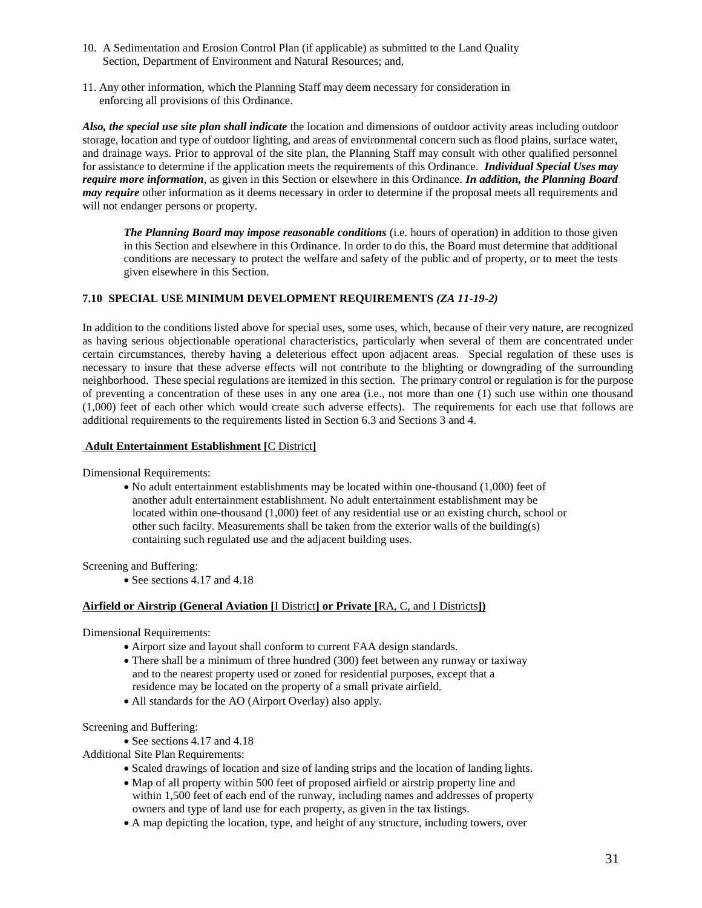- 10. A Sedimentation and Erosion Control Plan (if applicable) as submitted to the Land Quality Section, Department of Environment and Natural Resources; and,
- 11. Any other information, which the Planning Staff may deem necessary for consideration in enforcing all provisions of this Ordinance.

*Also, the special use site plan shall indicate* the location and dimensions of outdoor activity areas including outdoor storage, location and type of outdoor lighting, and areas of environmental concern such as flood plains, surface water, and drainage ways. Prior to approval of the site plan, the Planning Staff may consult with other qualified personnel for assistance to determine if the application meets the requirements of this Ordinance. *Individual Special Uses may require more information*, as given in this Section or elsewhere in this Ordinance. *In addition, the Planning Board may require* other information as it deems necessary in order to determine if the proposal meets all requirements and will not endanger persons or property.

*The Planning Board may impose reasonable conditions* (i.e. hours of operation) in addition to those given in this Section and elsewhere in this Ordinance. In order to do this, the Board must determine that additional conditions are necessary to protect the welfare and safety of the public and of property, or to meet the tests given elsewhere in this Section.

# <span id="page-34-0"></span>**7.10 SPECIAL USE MINIMUM DEVELOPMENT REQUIREMENTS** *(ZA 11-19-2)*

In addition to the conditions listed above for special uses, some uses, which, because of their very nature, are recognized as having serious objectionable operational characteristics, particularly when several of them are concentrated under certain circumstances, thereby having a deleterious effect upon adjacent areas. Special regulation of these uses is necessary to insure that these adverse effects will not contribute to the blighting or downgrading of the surrounding neighborhood. These special regulations are itemized in this section. The primary control or regulation is for the purpose of preventing a concentration of these uses in any one area (i.e., not more than one (1) such use within one thousand (1,000) feet of each other which would create such adverse effects). The requirements for each use that follows are additional requirements to the requirements listed in Section 6.3 and Sections 3 and 4.

### **Adult Entertainment Establishment [**C District**]**

Dimensional Requirements:

• No adult entertainment establishments may be located within one-thousand (1,000) feet of another adult entertainment establishment. No adult entertainment establishment may be located within one-thousand (1,000) feet of any residential use or an existing church, school or other such facilty. Measurements shall be taken from the exterior walls of the building(s) containing such regulated use and the adjacent building uses.

Screening and Buffering:

• See sections 4.17 and 4.18

### **Airfield or Airstrip (General Aviation [**I District**] or Private [**RA, C, and I Districts**])**

Dimensional Requirements:

- Airport size and layout shall conform to current FAA design standards.
- There shall be a minimum of three hundred (300) feet between any runway or taxiway and to the nearest property used or zoned for residential purposes, except that a residence may be located on the property of a small private airfield.
- All standards for the AO (Airport Overlay) also apply.

Screening and Buffering:

• See sections 4.17 and 4.18

Additional Site Plan Requirements:

- Scaled drawings of location and size of landing strips and the location of landing lights.
- Map of all property within 500 feet of proposed airfield or airstrip property line and within 1,500 feet of each end of the runway, including names and addresses of property owners and type of land use for each property, as given in the tax listings.
- A map depicting the location, type, and height of any structure, including towers, over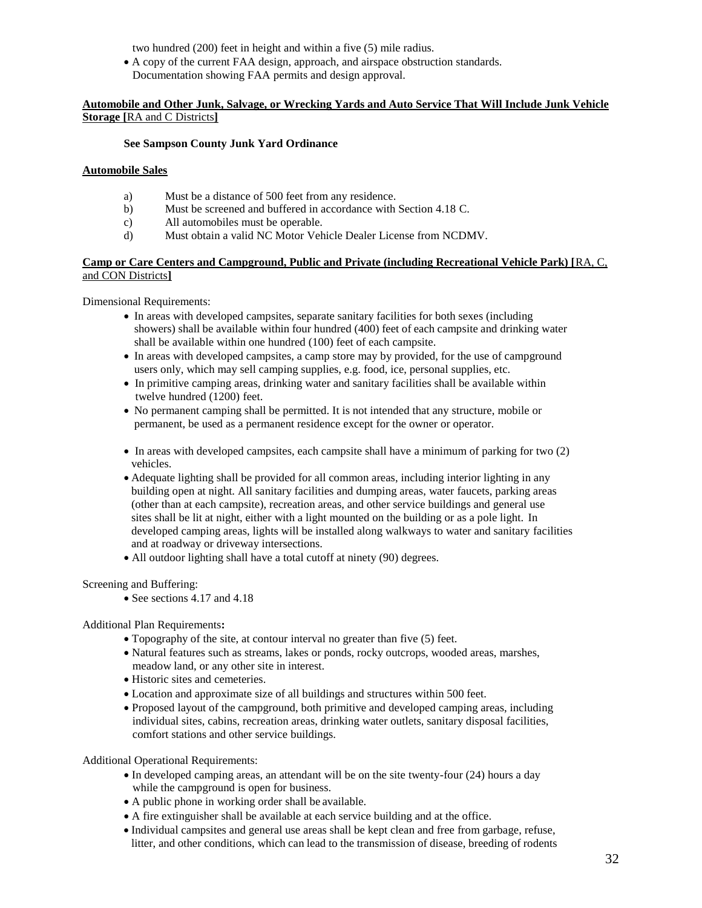two hundred (200) feet in height and within a five (5) mile radius.

• A copy of the current FAA design, approach, and airspace obstruction standards. Documentation showing FAA permits and design approval.

### **Automobile and Other Junk, Salvage, or Wrecking Yards and Auto Service That Will Include Junk Vehicle Storage [**RA and C Districts**]**

### **See Sampson County Junk Yard Ordinance**

### **Automobile Sales**

- a) Must be a distance of 500 feet from any residence.
- b) Must be screened and buffered in accordance with Section 4.18 C.
- c) All automobiles must be operable.
- d) Must obtain a valid NC Motor Vehicle Dealer License from NCDMV.

### **Camp or Care Centers and Campground, Public and Private (including Recreational Vehicle Park) [**RA, C, and CON Districts**]**

Dimensional Requirements:

- In areas with developed campsites, separate sanitary facilities for both sexes (including showers) shall be available within four hundred (400) feet of each campsite and drinking water shall be available within one hundred (100) feet of each campsite.
- In areas with developed campsites, a camp store may by provided, for the use of campground users only, which may sell camping supplies, e.g. food, ice, personal supplies, etc.
- In primitive camping areas, drinking water and sanitary facilities shall be available within twelve hundred (1200) feet.
- No permanent camping shall be permitted. It is not intended that any structure, mobile or permanent, be used as a permanent residence except for the owner or operator.
- In areas with developed campsites, each campsite shall have a minimum of parking for two (2) vehicles.
- Adequate lighting shall be provided for all common areas, including interior lighting in any building open at night. All sanitary facilities and dumping areas, water faucets, parking areas (other than at each campsite), recreation areas, and other service buildings and general use sites shall be lit at night, either with a light mounted on the building or as a pole light. In developed camping areas, lights will be installed along walkways to water and sanitary facilities and at roadway or driveway intersections.
- All outdoor lighting shall have a total cutoff at ninety (90) degrees.

Screening and Buffering:

• See sections 4.17 and 4.18

Additional Plan Requirements**:**

- Topography of the site, at contour interval no greater than five (5) feet.
- Natural features such as streams, lakes or ponds, rocky outcrops, wooded areas, marshes, meadow land, or any other site in interest.
- Historic sites and cemeteries.
- Location and approximate size of all buildings and structures within 500 feet.
- Proposed layout of the campground, both primitive and developed camping areas, including individual sites, cabins, recreation areas, drinking water outlets, sanitary disposal facilities, comfort stations and other service buildings.

Additional Operational Requirements:

- In developed camping areas, an attendant will be on the site twenty-four (24) hours a day while the campground is open for business.
- A public phone in working order shall be available.
- A fire extinguisher shall be available at each service building and at the office.
- Individual campsites and general use areas shall be kept clean and free from garbage, refuse, litter, and other conditions, which can lead to the transmission of disease, breeding of rodents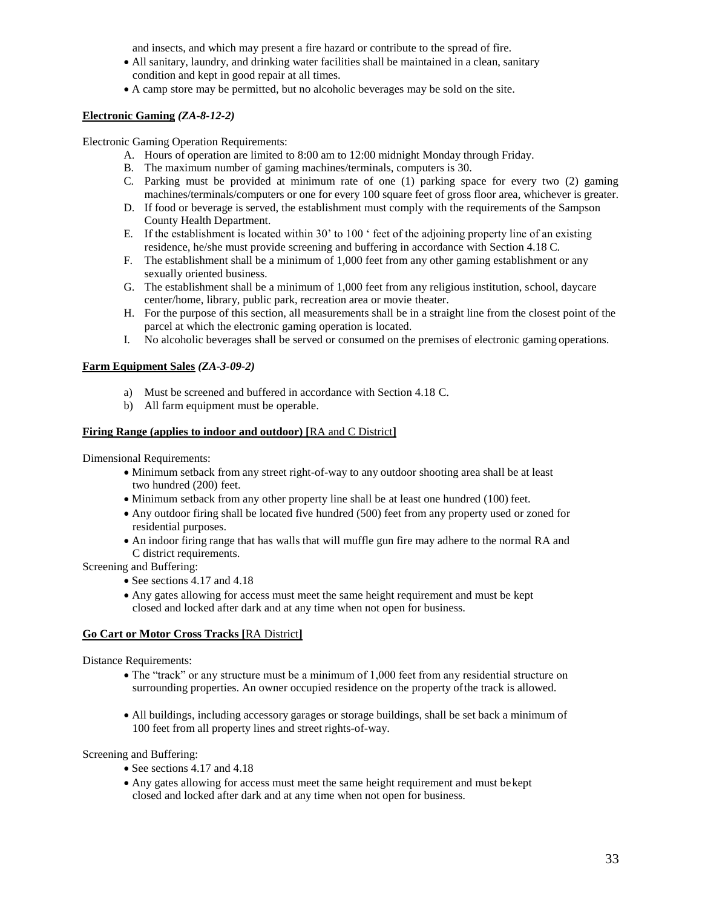and insects, and which may present a fire hazard or contribute to the spread of fire.

- All sanitary, laundry, and drinking water facilities shall be maintained in a clean, sanitary condition and kept in good repair at all times.
- A camp store may be permitted, but no alcoholic beverages may be sold on the site.

#### **Electronic Gaming** *(ZA-8-12-2)*

Electronic Gaming Operation Requirements:

- A. Hours of operation are limited to 8:00 am to 12:00 midnight Monday through Friday.
- B. The maximum number of gaming machines/terminals, computers is 30.
- C. Parking must be provided at minimum rate of one (1) parking space for every two (2) gaming machines/terminals/computers or one for every 100 square feet of gross floor area, whichever is greater.
- D. If food or beverage is served, the establishment must comply with the requirements of the Sampson County Health Department.
- E. If the establishment is located within 30' to 100 ' feet of the adjoining property line of an existing residence, he/she must provide screening and buffering in accordance with Section 4.18 C.
- F. The establishment shall be a minimum of 1,000 feet from any other gaming establishment or any sexually oriented business.
- G. The establishment shall be a minimum of 1,000 feet from any religious institution, school, daycare center/home, library, public park, recreation area or movie theater.
- H. For the purpose of this section, all measurements shall be in a straight line from the closest point of the parcel at which the electronic gaming operation is located.
- I. No alcoholic beverages shall be served or consumed on the premises of electronic gaming operations.

#### **Farm Equipment Sales** *(ZA-3-09-2)*

- a) Must be screened and buffered in accordance with Section 4.18 C.
- b) All farm equipment must be operable.

#### **Firing Range (applies to indoor and outdoor) [**RA and C District**]**

Dimensional Requirements:

- Minimum setback from any street right-of-way to any outdoor shooting area shall be at least two hundred (200) feet.
- Minimum setback from any other property line shall be at least one hundred (100) feet.
- Any outdoor firing shall be located five hundred (500) feet from any property used or zoned for residential purposes.
- An indoor firing range that has walls that will muffle gun fire may adhere to the normal RA and C district requirements.

Screening and Buffering:

- See sections 4.17 and 4.18
- Any gates allowing for access must meet the same height requirement and must be kept closed and locked after dark and at any time when not open for business.

### **Go Cart or Motor Cross Tracks [**RA District**]**

Distance Requirements:

- The "track" or any structure must be a minimum of 1,000 feet from any residential structure on surrounding properties. An owner occupied residence on the property ofthe track is allowed.
- All buildings, including accessory garages or storage buildings, shall be set back a minimum of 100 feet from all property lines and street rights-of-way.

Screening and Buffering:

- See sections 4.17 and 4.18
- Any gates allowing for access must meet the same height requirement and must bekept closed and locked after dark and at any time when not open for business.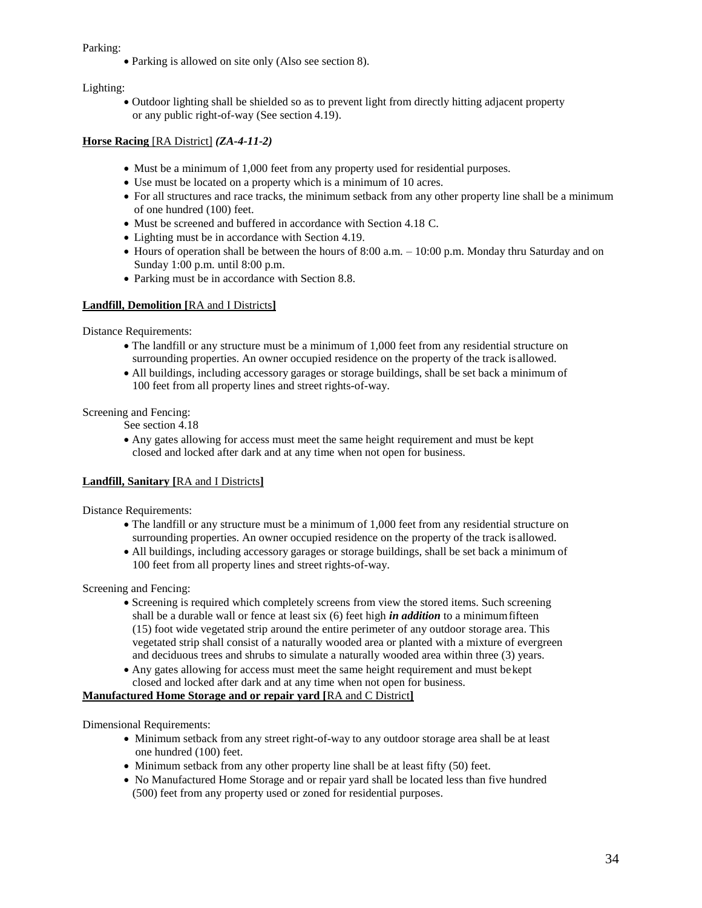Parking:

• Parking is allowed on site only (Also see section 8).

Lighting:

• Outdoor lighting shall be shielded so as to prevent light from directly hitting adjacent property or any public right-of-way (See section 4.19).

## **Horse Racing** [RA District] *(ZA-4-11-2)*

- Must be a minimum of 1,000 feet from any property used for residential purposes.
- Use must be located on a property which is a minimum of 10 acres.
- For all structures and race tracks, the minimum setback from any other property line shall be a minimum of one hundred (100) feet.
- Must be screened and buffered in accordance with Section 4.18 C.
- Lighting must be in accordance with Section 4.19.
- Hours of operation shall be between the hours of 8:00 a.m. 10:00 p.m. Monday thru Saturday and on Sunday 1:00 p.m. until 8:00 p.m.
- Parking must be in accordance with Section 8.8.

### **Landfill, Demolition [**RA and I Districts**]**

Distance Requirements:

- The landfill or any structure must be a minimum of 1,000 feet from any residential structure on surrounding properties. An owner occupied residence on the property of the track is allowed.
- All buildings, including accessory garages or storage buildings, shall be set back a minimum of 100 feet from all property lines and street rights-of-way.

### Screening and Fencing:

See section 4.18

• Any gates allowing for access must meet the same height requirement and must be kept closed and locked after dark and at any time when not open for business.

## **Landfill, Sanitary [**RA and I Districts**]**

Distance Requirements:

- The landfill or any structure must be a minimum of 1,000 feet from any residential structure on surrounding properties. An owner occupied residence on the property of the track is allowed.
- All buildings, including accessory garages or storage buildings, shall be set back a minimum of 100 feet from all property lines and street rights-of-way.

Screening and Fencing:

- Screening is required which completely screens from view the stored items. Such screening shall be a durable wall or fence at least six (6) feet high *in addition* to a minimumfifteen (15) foot wide vegetated strip around the entire perimeter of any outdoor storage area. This vegetated strip shall consist of a naturally wooded area or planted with a mixture of evergreen and deciduous trees and shrubs to simulate a naturally wooded area within three (3) years.
- Any gates allowing for access must meet the same height requirement and must bekept closed and locked after dark and at any time when not open for business.

#### **Manufactured Home Storage and or repair yard [**RA and C District**]**

Dimensional Requirements:

- Minimum setback from any street right-of-way to any outdoor storage area shall be at least one hundred (100) feet.
- Minimum setback from any other property line shall be at least fifty (50) feet.
- No Manufactured Home Storage and or repair yard shall be located less than five hundred (500) feet from any property used or zoned for residential purposes.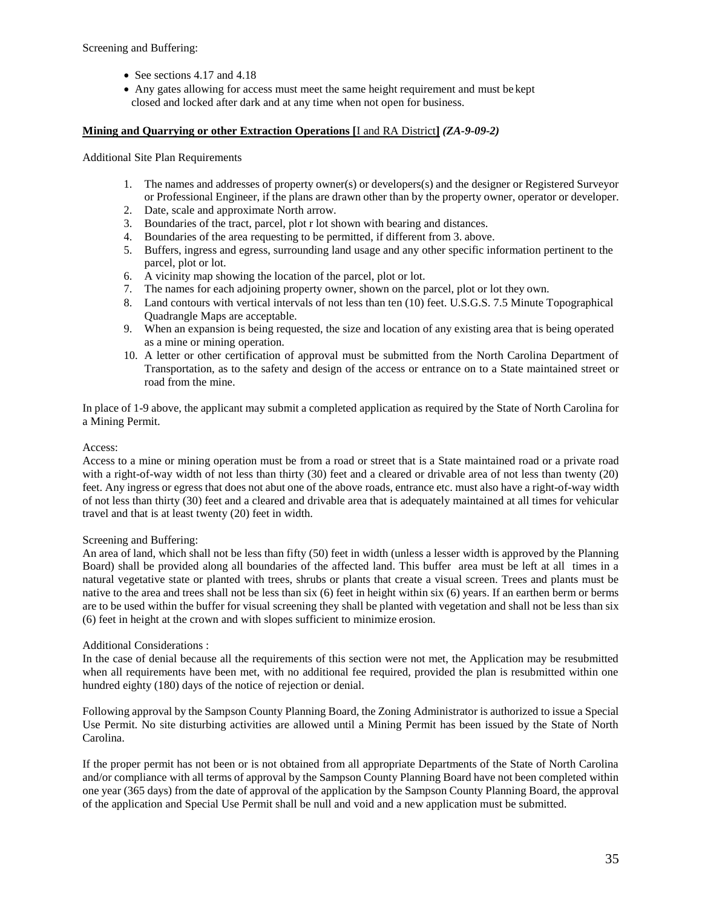Screening and Buffering:

- See sections 4.17 and 4.18
- Any gates allowing for access must meet the same height requirement and must be kept closed and locked after dark and at any time when not open for business.

#### **Mining and Quarrying or other Extraction Operations [**I and RA District**]** *(ZA-9-09-2)*

Additional Site Plan Requirements

- 1. The names and addresses of property owner(s) or developers(s) and the designer or Registered Surveyor or Professional Engineer, if the plans are drawn other than by the property owner, operator or developer.
- 2. Date, scale and approximate North arrow.
- 3. Boundaries of the tract, parcel, plot r lot shown with bearing and distances.
- 4. Boundaries of the area requesting to be permitted, if different from 3. above.
- 5. Buffers, ingress and egress, surrounding land usage and any other specific information pertinent to the parcel, plot or lot.
- 6. A vicinity map showing the location of the parcel, plot or lot.
- 7. The names for each adjoining property owner, shown on the parcel, plot or lot they own.
- 8. Land contours with vertical intervals of not less than ten (10) feet. U.S.G.S. 7.5 Minute Topographical Quadrangle Maps are acceptable.
- 9. When an expansion is being requested, the size and location of any existing area that is being operated as a mine or mining operation.
- 10. A letter or other certification of approval must be submitted from the North Carolina Department of Transportation, as to the safety and design of the access or entrance on to a State maintained street or road from the mine.

In place of 1-9 above, the applicant may submit a completed application as required by the State of North Carolina for a Mining Permit.

#### Access:

Access to a mine or mining operation must be from a road or street that is a State maintained road or a private road with a right-of-way width of not less than thirty (30) feet and a cleared or drivable area of not less than twenty (20) feet. Any ingress or egress that does not abut one of the above roads, entrance etc. must also have a right-of-way width of not less than thirty (30) feet and a cleared and drivable area that is adequately maintained at all times for vehicular travel and that is at least twenty (20) feet in width.

#### Screening and Buffering:

An area of land, which shall not be less than fifty (50) feet in width (unless a lesser width is approved by the Planning Board) shall be provided along all boundaries of the affected land. This buffer area must be left at all times in a natural vegetative state or planted with trees, shrubs or plants that create a visual screen. Trees and plants must be native to the area and trees shall not be less than six (6) feet in height within six (6) years. If an earthen berm or berms are to be used within the buffer for visual screening they shall be planted with vegetation and shall not be less than six (6) feet in height at the crown and with slopes sufficient to minimize erosion.

#### Additional Considerations :

In the case of denial because all the requirements of this section were not met, the Application may be resubmitted when all requirements have been met, with no additional fee required, provided the plan is resubmitted within one hundred eighty (180) days of the notice of rejection or denial.

Following approval by the Sampson County Planning Board, the Zoning Administrator is authorized to issue a Special Use Permit. No site disturbing activities are allowed until a Mining Permit has been issued by the State of North Carolina.

If the proper permit has not been or is not obtained from all appropriate Departments of the State of North Carolina and/or compliance with all terms of approval by the Sampson County Planning Board have not been completed within one year (365 days) from the date of approval of the application by the Sampson County Planning Board, the approval of the application and Special Use Permit shall be null and void and a new application must be submitted.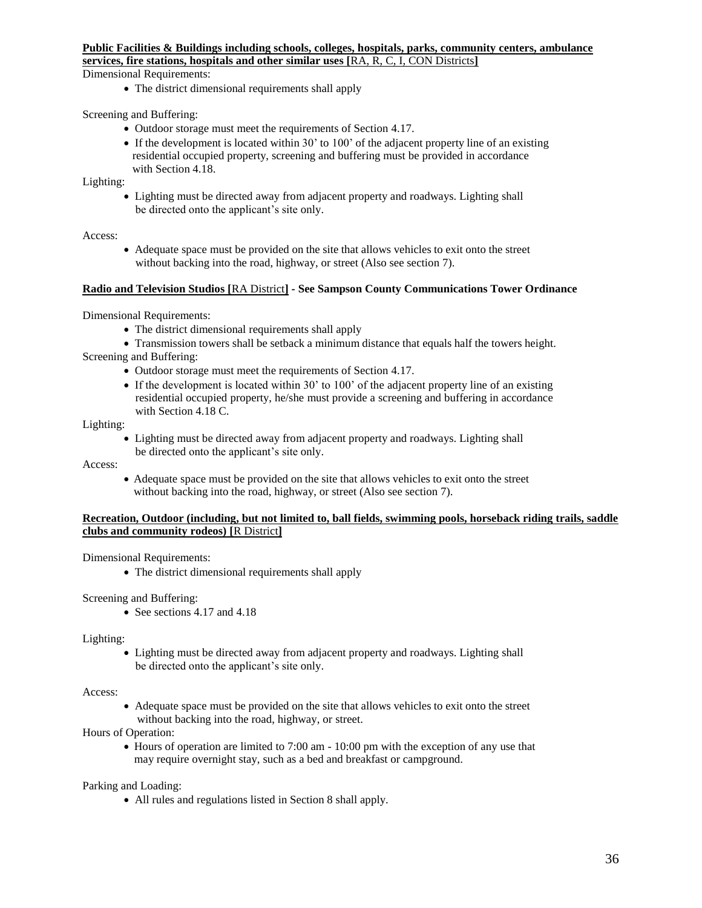### **Public Facilities & Buildings including schools, colleges, hospitals, parks, community centers, ambulance services, fire stations, hospitals and other similar uses [**RA, R, C, I, CON Districts**]**

Dimensional Requirements:

• The district dimensional requirements shall apply

### Screening and Buffering:

- Outdoor storage must meet the requirements of Section 4.17.
- If the development is located within 30' to 100' of the adjacent property line of an existing residential occupied property, screening and buffering must be provided in accordance with Section 4.18.

Lighting:

• Lighting must be directed away from adjacent property and roadways. Lighting shall be directed onto the applicant's site only.

#### Access:

• Adequate space must be provided on the site that allows vehicles to exit onto the street without backing into the road, highway, or street (Also see section 7).

#### **Radio and Television Studios [**RA District**] - See Sampson County Communications Tower Ordinance**

Dimensional Requirements:

- The district dimensional requirements shall apply
- Transmission towers shall be setback a minimum distance that equals half the towers height.
- Screening and Buffering:
	- Outdoor storage must meet the requirements of Section 4.17.
	- If the development is located within 30' to 100' of the adjacent property line of an existing residential occupied property, he/she must provide a screening and buffering in accordance with Section 4.18 C.

#### Lighting:

• Lighting must be directed away from adjacent property and roadways. Lighting shall be directed onto the applicant's site only.

#### Access:

• Adequate space must be provided on the site that allows vehicles to exit onto the street without backing into the road, highway, or street (Also see section 7).

#### **Recreation, Outdoor (including, but not limited to, ball fields, swimming pools, horseback riding trails, saddle clubs and community rodeos) [**R District**]**

## Dimensional Requirements:

• The district dimensional requirements shall apply

## Screening and Buffering:

• See sections 4.17 and 4.18

Lighting:

• Lighting must be directed away from adjacent property and roadways. Lighting shall be directed onto the applicant's site only.

#### Access:

• Adequate space must be provided on the site that allows vehicles to exit onto the street without backing into the road, highway, or street.

Hours of Operation:

• Hours of operation are limited to 7:00 am - 10:00 pm with the exception of any use that may require overnight stay, such as a bed and breakfast or campground.

## Parking and Loading:

• All rules and regulations listed in Section 8 shall apply.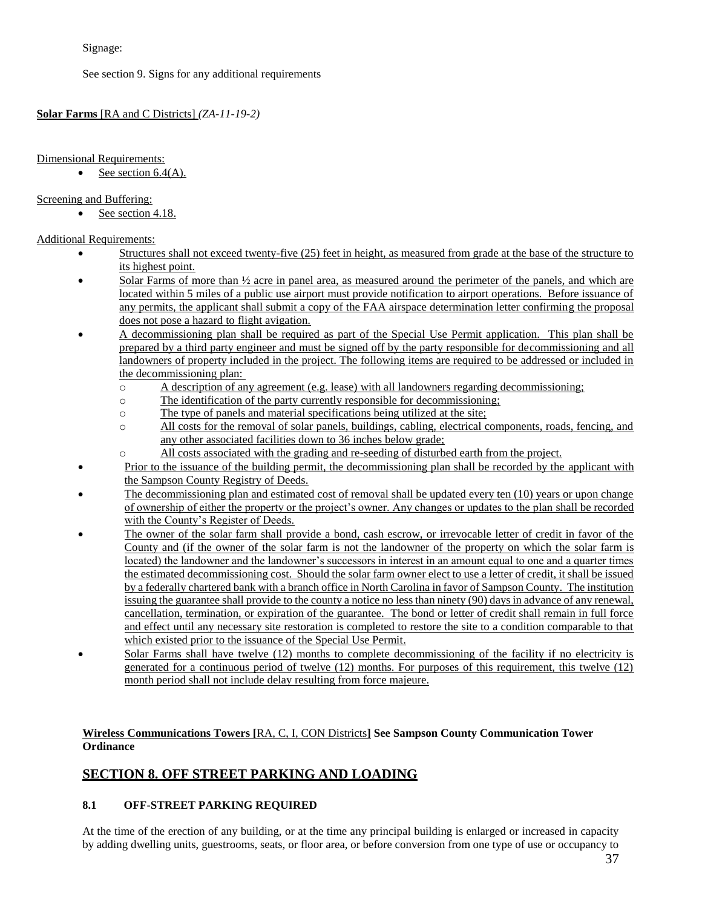Signage:

See section 9. Signs for any additional requirements

**Solar Farms** [RA and C Districts] *(ZA-11-19-2)*

Dimensional Requirements:

See section  $6.4(A)$ .

## Screening and Buffering:

• See section 4.18.

## Additional Requirements:

- Structures shall not exceed twenty-five (25) feet in height, as measured from grade at the base of the structure to its highest point.
- Solar Farms of more than  $\frac{1}{2}$  acre in panel area, as measured around the perimeter of the panels, and which are located within 5 miles of a public use airport must provide notification to airport operations. Before issuance of any permits, the applicant shall submit a copy of the FAA airspace determination letter confirming the proposal does not pose a hazard to flight avigation.
- A decommissioning plan shall be required as part of the Special Use Permit application. This plan shall be prepared by a third party engineer and must be signed off by the party responsible for decommissioning and all landowners of property included in the project. The following items are required to be addressed or included in the decommissioning plan:
	- $\circ$  A description of any agreement (e.g. lease) with all landowners regarding decommissioning;
	- o The identification of the party currently responsible for decommissioning;
	- o The type of panels and material specifications being utilized at the site;
	- o All costs for the removal of solar panels, buildings, cabling, electrical components, roads, fencing, and any other associated facilities down to 36 inches below grade;
	- o All costs associated with the grading and re-seeding of disturbed earth from the project.
- Prior to the issuance of the building permit, the decommissioning plan shall be recorded by the applicant with the Sampson County Registry of Deeds.
- The decommissioning plan and estimated cost of removal shall be updated every ten (10) years or upon change of ownership of either the property or the project's owner. Any changes or updates to the plan shall be recorded with the County's Register of Deeds.
- The owner of the solar farm shall provide a bond, cash escrow, or irrevocable letter of credit in favor of the County and (if the owner of the solar farm is not the landowner of the property on which the solar farm is located) the landowner and the landowner's successors in interest in an amount equal to one and a quarter times the estimated decommissioning cost. Should the solar farm owner elect to use a letter of credit, it shall be issued by a federally chartered bank with a branch office in North Carolina in favor of Sampson County. The institution issuing the guarantee shall provide to the county a notice no less than ninety (90) days in advance of any renewal, cancellation, termination, or expiration of the guarantee. The bond or letter of credit shall remain in full force and effect until any necessary site restoration is completed to restore the site to a condition comparable to that which existed prior to the issuance of the Special Use Permit.
- Solar Farms shall have twelve (12) months to complete decommissioning of the facility if no electricity is generated for a continuous period of twelve (12) months. For purposes of this requirement, this twelve (12) month period shall not include delay resulting from force majeure.

### **Wireless Communications Towers [**RA, C, I, CON Districts**] See Sampson County Communication Tower Ordinance**

# **SECTION 8. OFF STREET PARKING AND LOADING**

## **8.1 OFF-STREET PARKING REQUIRED**

At the time of the erection of any building, or at the time any principal building is enlarged or increased in capacity by adding dwelling units, guestrooms, seats, or floor area, or before conversion from one type of use or occupancy to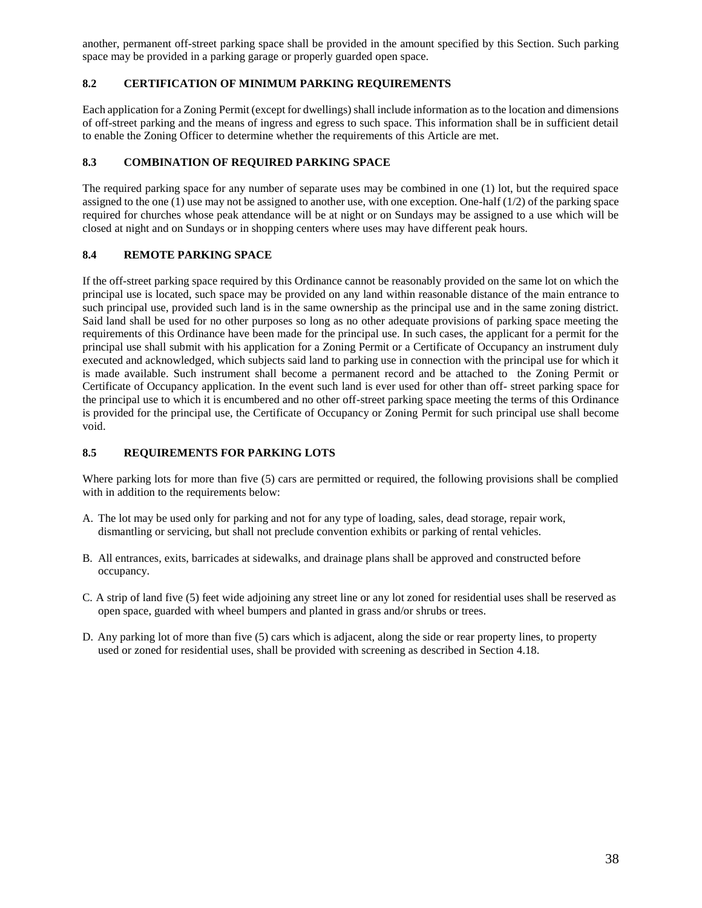another, permanent off-street parking space shall be provided in the amount specified by this Section. Such parking space may be provided in a parking garage or properly guarded open space.

### **8.2 CERTIFICATION OF MINIMUM PARKING REQUIREMENTS**

Each application for a Zoning Permit (except for dwellings) shall include information as to the location and dimensions of off-street parking and the means of ingress and egress to such space. This information shall be in sufficient detail to enable the Zoning Officer to determine whether the requirements of this Article are met.

### **8.3 COMBINATION OF REQUIRED PARKING SPACE**

The required parking space for any number of separate uses may be combined in one (1) lot, but the required space assigned to the one (1) use may not be assigned to another use, with one exception. One-half (1/2) of the parking space required for churches whose peak attendance will be at night or on Sundays may be assigned to a use which will be closed at night and on Sundays or in shopping centers where uses may have different peak hours.

### **8.4 REMOTE PARKING SPACE**

If the off-street parking space required by this Ordinance cannot be reasonably provided on the same lot on which the principal use is located, such space may be provided on any land within reasonable distance of the main entrance to such principal use, provided such land is in the same ownership as the principal use and in the same zoning district. Said land shall be used for no other purposes so long as no other adequate provisions of parking space meeting the requirements of this Ordinance have been made for the principal use. In such cases, the applicant for a permit for the principal use shall submit with his application for a Zoning Permit or a Certificate of Occupancy an instrument duly executed and acknowledged, which subjects said land to parking use in connection with the principal use for which it is made available. Such instrument shall become a permanent record and be attached to the Zoning Permit or Certificate of Occupancy application. In the event such land is ever used for other than off- street parking space for the principal use to which it is encumbered and no other off-street parking space meeting the terms of this Ordinance is provided for the principal use, the Certificate of Occupancy or Zoning Permit for such principal use shall become void.

#### **8.5 REQUIREMENTS FOR PARKING LOTS**

Where parking lots for more than five (5) cars are permitted or required, the following provisions shall be complied with in addition to the requirements below:

- A. The lot may be used only for parking and not for any type of loading, sales, dead storage, repair work, dismantling or servicing, but shall not preclude convention exhibits or parking of rental vehicles.
- B. All entrances, exits, barricades at sidewalks, and drainage plans shall be approved and constructed before occupancy.
- C. A strip of land five (5) feet wide adjoining any street line or any lot zoned for residential uses shall be reserved as open space, guarded with wheel bumpers and planted in grass and/or shrubs or trees.
- D. Any parking lot of more than five (5) cars which is adjacent, along the side or rear property lines, to property used or zoned for residential uses, shall be provided with screening as described in Section 4.18.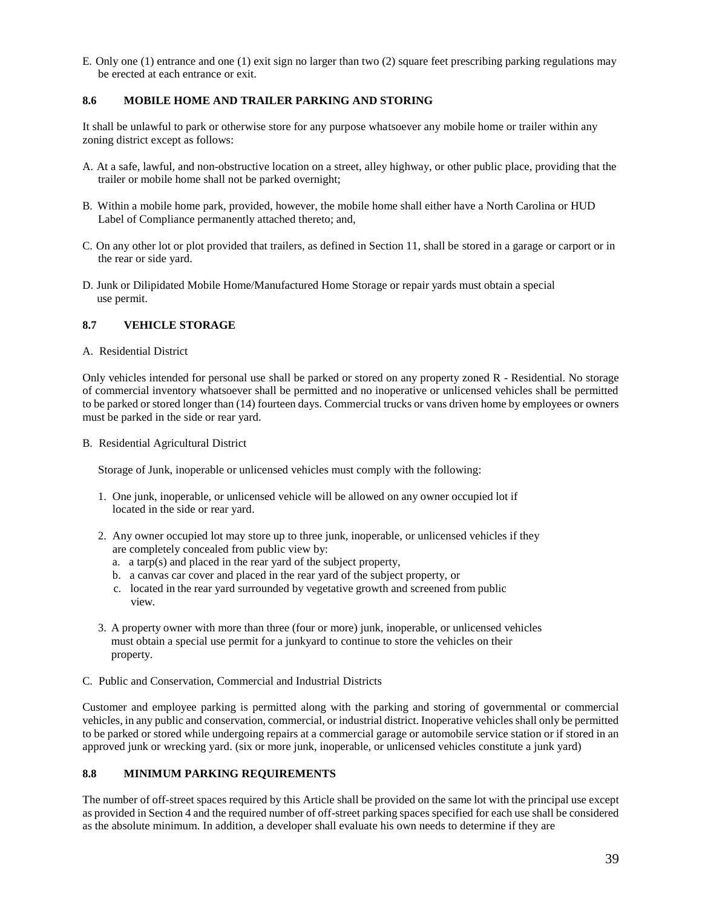E. Only one (1) entrance and one (1) exit sign no larger than two (2) square feet prescribing parking regulations may be erected at each entrance or exit.

## **8.6 MOBILE HOME AND TRAILER PARKING AND STORING**

It shall be unlawful to park or otherwise store for any purpose whatsoever any mobile home or trailer within any zoning district except as follows:

- A. At a safe, lawful, and non-obstructive location on a street, alley highway, or other public place, providing that the trailer or mobile home shall not be parked overnight;
- B. Within a mobile home park, provided, however, the mobile home shall either have a North Carolina or HUD Label of Compliance permanently attached thereto; and,
- C. On any other lot or plot provided that trailers, as defined in Section 11, shall be stored in a garage or carport or in the rear or side yard.
- D. Junk or Dilipidated Mobile Home/Manufactured Home Storage or repair yards must obtain a special use permit.

#### **8.7 VEHICLE STORAGE**

#### A. Residential District

Only vehicles intended for personal use shall be parked or stored on any property zoned R - Residential. No storage of commercial inventory whatsoever shall be permitted and no inoperative or unlicensed vehicles shall be permitted to be parked or stored longer than (14) fourteen days. Commercial trucks or vans driven home by employees or owners must be parked in the side or rear yard.

B. Residential Agricultural District

Storage of Junk, inoperable or unlicensed vehicles must comply with the following:

- 1. One junk, inoperable, or unlicensed vehicle will be allowed on any owner occupied lot if located in the side or rear yard.
- 2. Any owner occupied lot may store up to three junk, inoperable, or unlicensed vehicles if they are completely concealed from public view by:
	- a. a tarp(s) and placed in the rear yard of the subject property,
	- b. a canvas car cover and placed in the rear yard of the subject property, or
	- c. located in the rear yard surrounded by vegetative growth and screened from public view.
- 3. A property owner with more than three (four or more) junk, inoperable, or unlicensed vehicles must obtain a special use permit for a junkyard to continue to store the vehicles on their property.
- C. Public and Conservation, Commercial and Industrial Districts

Customer and employee parking is permitted along with the parking and storing of governmental or commercial vehicles, in any public and conservation, commercial, or industrial district. Inoperative vehicles shall only be permitted to be parked or stored while undergoing repairs at a commercial garage or automobile service station or if stored in an approved junk or wrecking yard. (six or more junk, inoperable, or unlicensed vehicles constitute a junk yard)

#### **8.8 MINIMUM PARKING REQUIREMENTS**

The number of off-street spaces required by this Article shall be provided on the same lot with the principal use except as provided in Section 4 and the required number of off-street parking spaces specified for each use shall be considered as the absolute minimum. In addition, a developer shall evaluate his own needs to determine if they are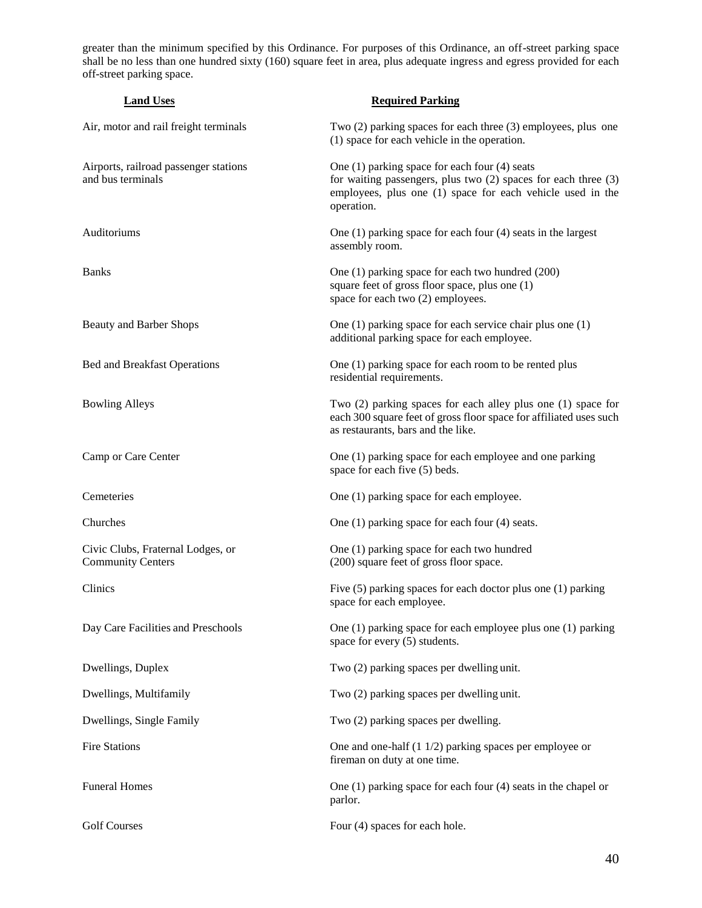greater than the minimum specified by this Ordinance. For purposes of this Ordinance, an off-street parking space shall be no less than one hundred sixty (160) square feet in area, plus adequate ingress and egress provided for each off-street parking space.

| <b>Land Uses</b>                                              | <b>Required Parking</b>                                                                                                                                                                         |
|---------------------------------------------------------------|-------------------------------------------------------------------------------------------------------------------------------------------------------------------------------------------------|
| Air, motor and rail freight terminals                         | Two $(2)$ parking spaces for each three $(3)$ employees, plus one<br>(1) space for each vehicle in the operation.                                                                               |
| Airports, railroad passenger stations<br>and bus terminals    | One (1) parking space for each four (4) seats<br>for waiting passengers, plus two $(2)$ spaces for each three $(3)$<br>employees, plus one (1) space for each vehicle used in the<br>operation. |
| Auditoriums                                                   | One $(1)$ parking space for each four $(4)$ seats in the largest<br>assembly room.                                                                                                              |
| <b>Banks</b>                                                  | One (1) parking space for each two hundred (200)<br>square feet of gross floor space, plus one (1)<br>space for each two (2) employees.                                                         |
| <b>Beauty and Barber Shops</b>                                | One $(1)$ parking space for each service chair plus one $(1)$<br>additional parking space for each employee.                                                                                    |
| <b>Bed and Breakfast Operations</b>                           | One (1) parking space for each room to be rented plus<br>residential requirements.                                                                                                              |
| <b>Bowling Alleys</b>                                         | Two (2) parking spaces for each alley plus one (1) space for<br>each 300 square feet of gross floor space for affiliated uses such<br>as restaurants, bars and the like.                        |
| Camp or Care Center                                           | One (1) parking space for each employee and one parking<br>space for each five (5) beds.                                                                                                        |
| Cemeteries                                                    | One (1) parking space for each employee.                                                                                                                                                        |
| Churches                                                      | One $(1)$ parking space for each four $(4)$ seats.                                                                                                                                              |
| Civic Clubs, Fraternal Lodges, or<br><b>Community Centers</b> | One (1) parking space for each two hundred<br>(200) square feet of gross floor space.                                                                                                           |
| Clinics                                                       | Five $(5)$ parking spaces for each doctor plus one $(1)$ parking<br>space for each employee.                                                                                                    |
| Day Care Facilities and Preschools                            | One (1) parking space for each employee plus one (1) parking<br>space for every (5) students.                                                                                                   |
| Dwellings, Duplex                                             | Two (2) parking spaces per dwelling unit.                                                                                                                                                       |
| Dwellings, Multifamily                                        | Two (2) parking spaces per dwelling unit.                                                                                                                                                       |
| Dwellings, Single Family                                      | Two (2) parking spaces per dwelling.                                                                                                                                                            |
| <b>Fire Stations</b>                                          | One and one-half $(1 1/2)$ parking spaces per employee or<br>fireman on duty at one time.                                                                                                       |
| <b>Funeral Homes</b>                                          | One $(1)$ parking space for each four $(4)$ seats in the chapel or<br>parlor.                                                                                                                   |
| <b>Golf Courses</b>                                           | Four (4) spaces for each hole.                                                                                                                                                                  |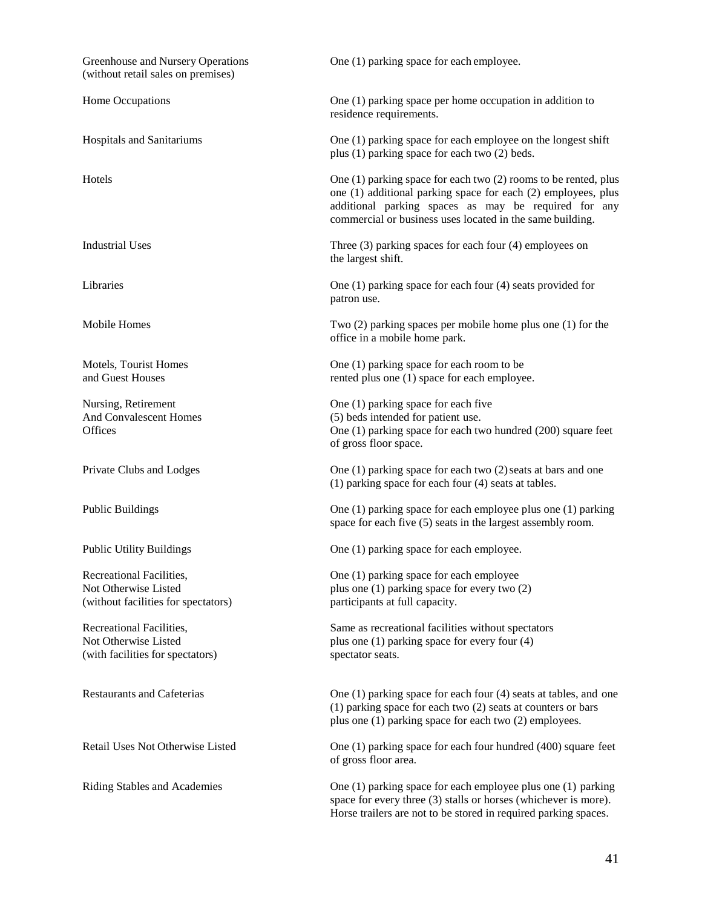| Greenhouse and Nursery Operations<br>(without retail sales on premises)                 | One (1) parking space for each employee.                                                                                                                                                                                                              |
|-----------------------------------------------------------------------------------------|-------------------------------------------------------------------------------------------------------------------------------------------------------------------------------------------------------------------------------------------------------|
| Home Occupations                                                                        | One (1) parking space per home occupation in addition to<br>residence requirements.                                                                                                                                                                   |
| Hospitals and Sanitariums                                                               | One (1) parking space for each employee on the longest shift<br>plus (1) parking space for each two (2) beds.                                                                                                                                         |
| Hotels                                                                                  | One (1) parking space for each two (2) rooms to be rented, plus<br>one (1) additional parking space for each (2) employees, plus<br>additional parking spaces as may be required for any<br>commercial or business uses located in the same building. |
| <b>Industrial Uses</b>                                                                  | Three $(3)$ parking spaces for each four $(4)$ employees on<br>the largest shift.                                                                                                                                                                     |
| Libraries                                                                               | One (1) parking space for each four (4) seats provided for<br>patron use.                                                                                                                                                                             |
| Mobile Homes                                                                            | Two $(2)$ parking spaces per mobile home plus one $(1)$ for the<br>office in a mobile home park.                                                                                                                                                      |
| Motels, Tourist Homes<br>and Guest Houses                                               | One (1) parking space for each room to be<br>rented plus one (1) space for each employee.                                                                                                                                                             |
| Nursing, Retirement<br><b>And Convalescent Homes</b><br>Offices                         | One (1) parking space for each five<br>(5) beds intended for patient use.<br>One (1) parking space for each two hundred (200) square feet<br>of gross floor space.                                                                                    |
| Private Clubs and Lodges                                                                | One $(1)$ parking space for each two $(2)$ seats at bars and one<br>(1) parking space for each four (4) seats at tables.                                                                                                                              |
| <b>Public Buildings</b>                                                                 | One (1) parking space for each employee plus one (1) parking<br>space for each five (5) seats in the largest assembly room.                                                                                                                           |
| <b>Public Utility Buildings</b>                                                         | One (1) parking space for each employee.                                                                                                                                                                                                              |
| Recreational Facilities,<br>Not Otherwise Listed<br>(without facilities for spectators) | One (1) parking space for each employee<br>plus one $(1)$ parking space for every two $(2)$<br>participants at full capacity.                                                                                                                         |
| Recreational Facilities,<br>Not Otherwise Listed<br>(with facilities for spectators)    | Same as recreational facilities without spectators<br>plus one $(1)$ parking space for every four $(4)$<br>spectator seats.                                                                                                                           |
| <b>Restaurants and Cafeterias</b>                                                       | One $(1)$ parking space for each four $(4)$ seats at tables, and one<br>(1) parking space for each two (2) seats at counters or bars<br>plus one (1) parking space for each two (2) employees.                                                        |
| Retail Uses Not Otherwise Listed                                                        | One (1) parking space for each four hundred (400) square feet<br>of gross floor area.                                                                                                                                                                 |
| Riding Stables and Academies                                                            | One $(1)$ parking space for each employee plus one $(1)$ parking<br>space for every three (3) stalls or horses (whichever is more).<br>Horse trailers are not to be stored in required parking spaces.                                                |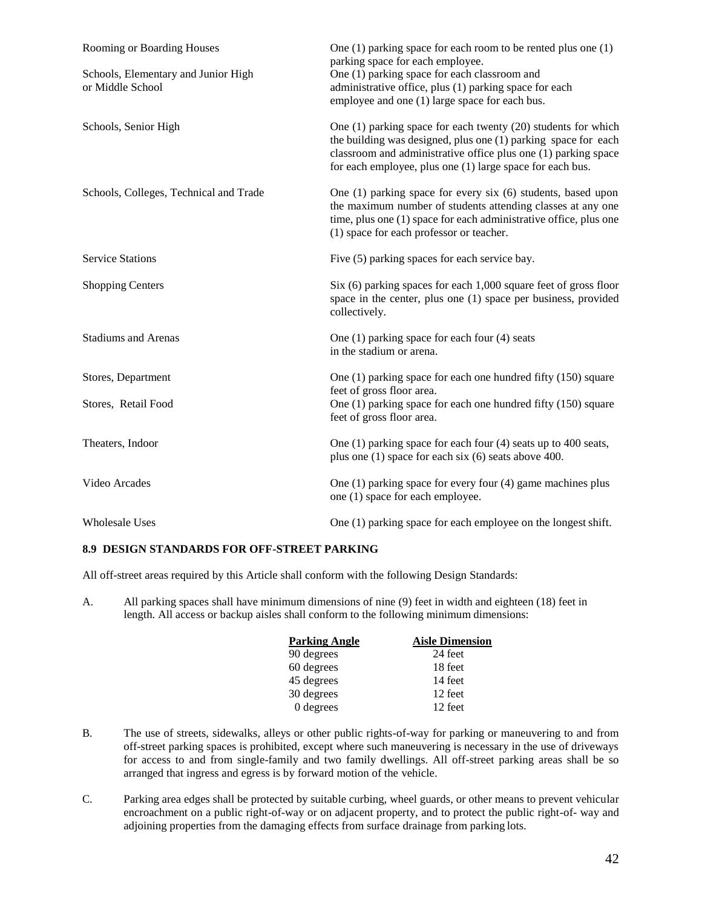| Rooming or Boarding Houses                              | One $(1)$ parking space for each room to be rented plus one $(1)$<br>parking space for each employee.                                                                                                                                                              |
|---------------------------------------------------------|--------------------------------------------------------------------------------------------------------------------------------------------------------------------------------------------------------------------------------------------------------------------|
| Schools, Elementary and Junior High<br>or Middle School | One (1) parking space for each classroom and<br>administrative office, plus (1) parking space for each<br>employee and one (1) large space for each bus.                                                                                                           |
| Schools, Senior High                                    | One $(1)$ parking space for each twenty $(20)$ students for which<br>the building was designed, plus one (1) parking space for each<br>classroom and administrative office plus one (1) parking space<br>for each employee, plus one (1) large space for each bus. |
| Schools, Colleges, Technical and Trade                  | One (1) parking space for every six (6) students, based upon<br>the maximum number of students attending classes at any one<br>time, plus one (1) space for each administrative office, plus one<br>(1) space for each professor or teacher.                       |
| <b>Service Stations</b>                                 | Five (5) parking spaces for each service bay.                                                                                                                                                                                                                      |
| <b>Shopping Centers</b>                                 | Six (6) parking spaces for each 1,000 square feet of gross floor<br>space in the center, plus one (1) space per business, provided<br>collectively.                                                                                                                |
| <b>Stadiums and Arenas</b>                              | One (1) parking space for each four (4) seats<br>in the stadium or arena.                                                                                                                                                                                          |
| Stores, Department                                      | One $(1)$ parking space for each one hundred fifty $(150)$ square<br>feet of gross floor area.                                                                                                                                                                     |
| Stores, Retail Food                                     | One (1) parking space for each one hundred fifty (150) square<br>feet of gross floor area.                                                                                                                                                                         |
| Theaters, Indoor                                        | One (1) parking space for each four (4) seats up to 400 seats,<br>plus one $(1)$ space for each six $(6)$ seats above 400.                                                                                                                                         |
| Video Arcades                                           | One $(1)$ parking space for every four $(4)$ game machines plus<br>one (1) space for each employee.                                                                                                                                                                |
| <b>Wholesale Uses</b>                                   | One (1) parking space for each employee on the longest shift.                                                                                                                                                                                                      |

### **8.9 DESIGN STANDARDS FOR OFF-STREET PARKING**

All off-street areas required by this Article shall conform with the following Design Standards:

A. All parking spaces shall have minimum dimensions of nine (9) feet in width and eighteen (18) feet in length. All access or backup aisles shall conform to the following minimum dimensions:

| <b>Parking Angle</b> | <b>Aisle Dimension</b> |
|----------------------|------------------------|
| 90 degrees           | 24 feet                |
| 60 degrees           | 18 feet                |
| 45 degrees           | 14 feet                |
| 30 degrees           | 12 feet                |
| 0 degrees            | 12 feet                |

- B. The use of streets, sidewalks, alleys or other public rights-of-way for parking or maneuvering to and from off-street parking spaces is prohibited, except where such maneuvering is necessary in the use of driveways for access to and from single-family and two family dwellings. All off-street parking areas shall be so arranged that ingress and egress is by forward motion of the vehicle.
- C. Parking area edges shall be protected by suitable curbing, wheel guards, or other means to prevent vehicular encroachment on a public right-of-way or on adjacent property, and to protect the public right-of- way and adjoining properties from the damaging effects from surface drainage from parking lots.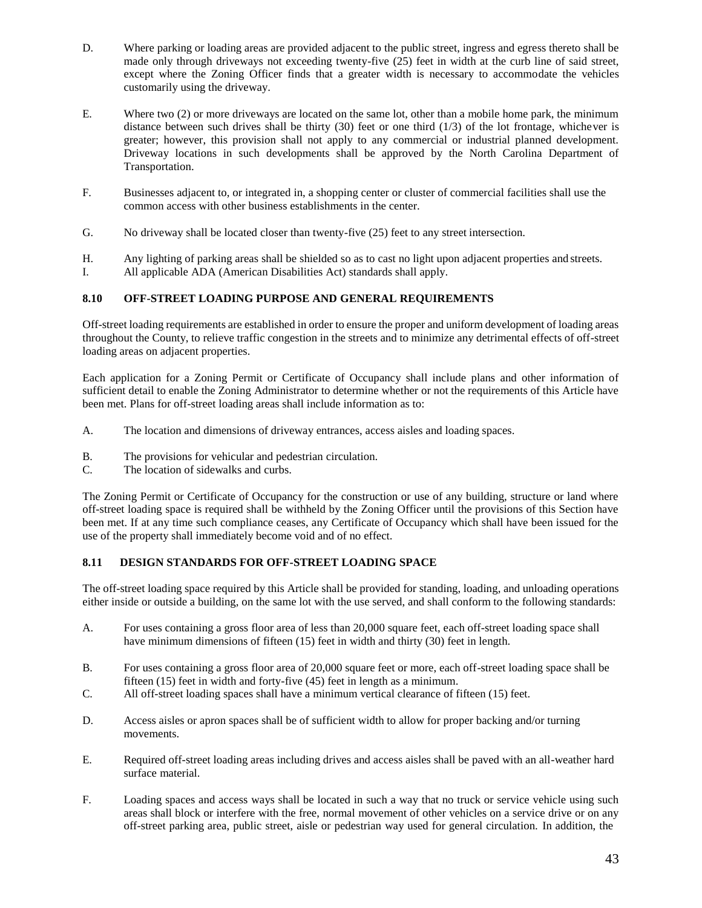- D. Where parking or loading areas are provided adjacent to the public street, ingress and egress thereto shall be made only through driveways not exceeding twenty-five (25) feet in width at the curb line of said street, except where the Zoning Officer finds that a greater width is necessary to accommodate the vehicles customarily using the driveway.
- E. Where two (2) or more driveways are located on the same lot, other than a mobile home park, the minimum distance between such drives shall be thirty  $(30)$  feet or one third  $(1/3)$  of the lot frontage, whichever is greater; however, this provision shall not apply to any commercial or industrial planned development. Driveway locations in such developments shall be approved by the North Carolina Department of Transportation.
- F. Businesses adjacent to, or integrated in, a shopping center or cluster of commercial facilities shall use the common access with other business establishments in the center.
- G. No driveway shall be located closer than twenty-five (25) feet to any street intersection.
- H. Any lighting of parking areas shall be shielded so as to cast no light upon adjacent properties and streets.
- I. All applicable ADA (American Disabilities Act) standards shall apply.

### **8.10 OFF-STREET LOADING PURPOSE AND GENERAL REQUIREMENTS**

Off-street loading requirements are established in order to ensure the proper and uniform development of loading areas throughout the County, to relieve traffic congestion in the streets and to minimize any detrimental effects of off-street loading areas on adjacent properties.

Each application for a Zoning Permit or Certificate of Occupancy shall include plans and other information of sufficient detail to enable the Zoning Administrator to determine whether or not the requirements of this Article have been met. Plans for off-street loading areas shall include information as to:

- A. The location and dimensions of driveway entrances, access aisles and loading spaces.
- B. The provisions for vehicular and pedestrian circulation.
- C. The location of sidewalks and curbs.

The Zoning Permit or Certificate of Occupancy for the construction or use of any building, structure or land where off-street loading space is required shall be withheld by the Zoning Officer until the provisions of this Section have been met. If at any time such compliance ceases, any Certificate of Occupancy which shall have been issued for the use of the property shall immediately become void and of no effect.

## **8.11 DESIGN STANDARDS FOR OFF-STREET LOADING SPACE**

The off-street loading space required by this Article shall be provided for standing, loading, and unloading operations either inside or outside a building, on the same lot with the use served, and shall conform to the following standards:

- A. For uses containing a gross floor area of less than 20,000 square feet, each off-street loading space shall have minimum dimensions of fifteen (15) feet in width and thirty (30) feet in length.
- B. For uses containing a gross floor area of 20,000 square feet or more, each off-street loading space shall be fifteen (15) feet in width and forty-five (45) feet in length as a minimum.
- C. All off-street loading spaces shall have a minimum vertical clearance of fifteen (15) feet.
- D. Access aisles or apron spaces shall be of sufficient width to allow for proper backing and/or turning movements.
- E. Required off-street loading areas including drives and access aisles shall be paved with an all-weather hard surface material.
- F. Loading spaces and access ways shall be located in such a way that no truck or service vehicle using such areas shall block or interfere with the free, normal movement of other vehicles on a service drive or on any off-street parking area, public street, aisle or pedestrian way used for general circulation. In addition, the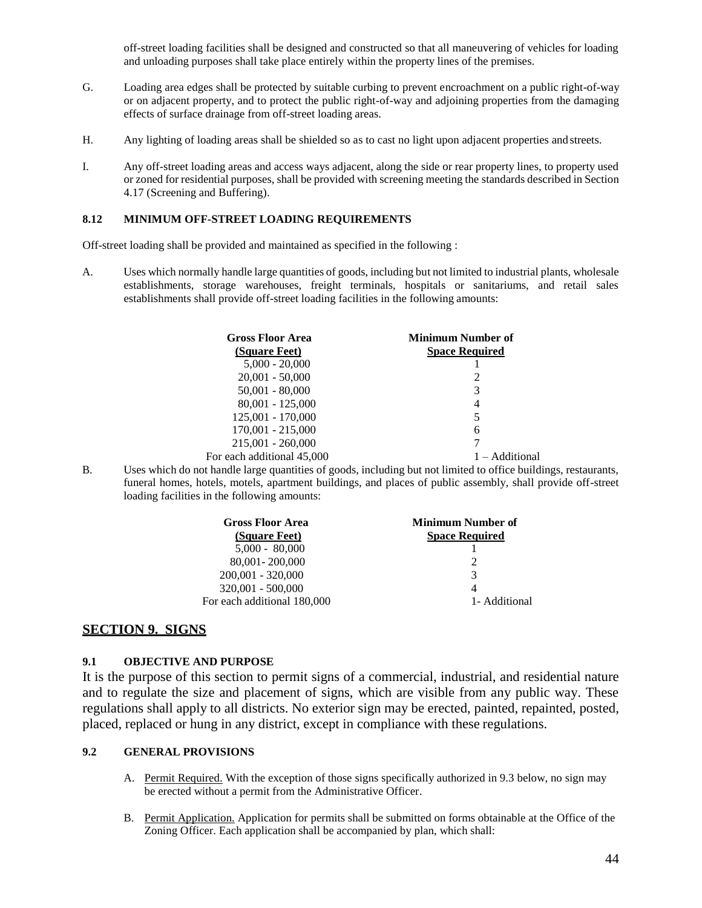off-street loading facilities shall be designed and constructed so that all maneuvering of vehicles for loading and unloading purposes shall take place entirely within the property lines of the premises.

- G. Loading area edges shall be protected by suitable curbing to prevent encroachment on a public right-of-way or on adjacent property, and to protect the public right-of-way and adjoining properties from the damaging effects of surface drainage from off-street loading areas.
- H. Any lighting of loading areas shall be shielded so as to cast no light upon adjacent properties and streets.
- I. Any off-street loading areas and access ways adjacent, along the side or rear property lines, to property used or zoned for residential purposes, shall be provided with screening meeting the standards described in Section 4.17 (Screening and Buffering).

#### **8.12 MINIMUM OFF-STREET LOADING REQUIREMENTS**

Off-street loading shall be provided and maintained as specified in the following :

A. Uses which normally handle large quantities of goods, including but not limited to industrial plants, wholesale establishments, storage warehouses, freight terminals, hospitals or sanitariums, and retail sales establishments shall provide off-street loading facilities in the following amounts:

| <b>Gross Floor Area</b><br>(Square Feet) | <b>Minimum Number of</b><br><b>Space Required</b> |
|------------------------------------------|---------------------------------------------------|
| $5,000 - 20,000$                         |                                                   |
| $20,001 - 50,000$                        |                                                   |
| $50,001 - 80,000$                        | 3                                                 |
| $80,001 - 125,000$                       | 4                                                 |
| 125,001 - 170,000                        | 5                                                 |
| $170,001 - 215,000$                      | 6                                                 |
| $215,001 - 260,000$                      |                                                   |
| For each additional 45,000               | $1 - Additional$                                  |
|                                          |                                                   |

B. Uses which do not handle large quantities of goods, including but not limited to office buildings, restaurants, funeral homes, hotels, motels, apartment buildings, and places of public assembly, shall provide off-street loading facilities in the following amounts:

| <b>Gross Floor Area</b>     | <b>Minimum Number of</b> |
|-----------------------------|--------------------------|
| (Square Feet)               | <b>Space Required</b>    |
| $5,000 - 80,000$            |                          |
| 80,001 - 200,000            |                          |
| $200,001 - 320,000$         | 3                        |
| $320,001 - 500,000$         |                          |
| For each additional 180,000 | 1- Additional            |

## **SECTION 9. SIGNS**

### **9.1 OBJECTIVE AND PURPOSE**

It is the purpose of this section to permit signs of a commercial, industrial, and residential nature and to regulate the size and placement of signs, which are visible from any public way. These regulations shall apply to all districts. No exterior sign may be erected, painted, repainted, posted, placed, replaced or hung in any district, except in compliance with these regulations.

### **9.2 GENERAL PROVISIONS**

- A. Permit Required. With the exception of those signs specifically authorized in 9.3 below, no sign may be erected without a permit from the Administrative Officer.
- B. Permit Application. Application for permits shall be submitted on forms obtainable at the Office of the Zoning Officer. Each application shall be accompanied by plan, which shall: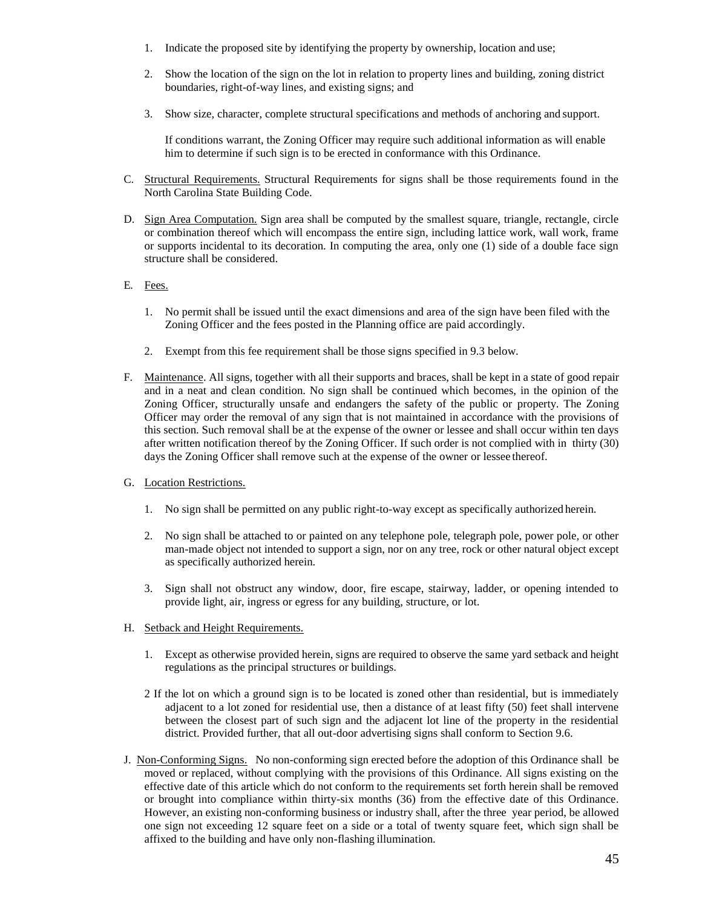- 1. Indicate the proposed site by identifying the property by ownership, location and use;
- 2. Show the location of the sign on the lot in relation to property lines and building, zoning district boundaries, right-of-way lines, and existing signs; and
- 3. Show size, character, complete structural specifications and methods of anchoring and support.

If conditions warrant, the Zoning Officer may require such additional information as will enable him to determine if such sign is to be erected in conformance with this Ordinance.

- C. Structural Requirements. Structural Requirements for signs shall be those requirements found in the North Carolina State Building Code.
- D. Sign Area Computation. Sign area shall be computed by the smallest square, triangle, rectangle, circle or combination thereof which will encompass the entire sign, including lattice work, wall work, frame or supports incidental to its decoration. In computing the area, only one (1) side of a double face sign structure shall be considered.
- E. Fees.
	- 1. No permit shall be issued until the exact dimensions and area of the sign have been filed with the Zoning Officer and the fees posted in the Planning office are paid accordingly.
	- 2. Exempt from this fee requirement shall be those signs specified in 9.3 below.
- F. Maintenance. All signs, together with all their supports and braces, shall be kept in a state of good repair and in a neat and clean condition. No sign shall be continued which becomes, in the opinion of the Zoning Officer, structurally unsafe and endangers the safety of the public or property. The Zoning Officer may order the removal of any sign that is not maintained in accordance with the provisions of this section. Such removal shall be at the expense of the owner or lessee and shall occur within ten days after written notification thereof by the Zoning Officer. If such order is not complied with in thirty (30) days the Zoning Officer shall remove such at the expense of the owner or lessee thereof.
- G. Location Restrictions.
	- 1. No sign shall be permitted on any public right-to-way except as specifically authorized herein.
	- 2. No sign shall be attached to or painted on any telephone pole, telegraph pole, power pole, or other man-made object not intended to support a sign, nor on any tree, rock or other natural object except as specifically authorized herein.
	- 3. Sign shall not obstruct any window, door, fire escape, stairway, ladder, or opening intended to provide light, air, ingress or egress for any building, structure, or lot.
- H. Setback and Height Requirements.
	- 1. Except as otherwise provided herein, signs are required to observe the same yard setback and height regulations as the principal structures or buildings.
	- 2 If the lot on which a ground sign is to be located is zoned other than residential, but is immediately adjacent to a lot zoned for residential use, then a distance of at least fifty (50) feet shall intervene between the closest part of such sign and the adjacent lot line of the property in the residential district. Provided further, that all out-door advertising signs shall conform to Section 9.6.
- J. Non-Conforming Signs. No non-conforming sign erected before the adoption of this Ordinance shall be moved or replaced, without complying with the provisions of this Ordinance. All signs existing on the effective date of this article which do not conform to the requirements set forth herein shall be removed or brought into compliance within thirty-six months (36) from the effective date of this Ordinance. However, an existing non-conforming business or industry shall, after the three year period, be allowed one sign not exceeding 12 square feet on a side or a total of twenty square feet, which sign shall be affixed to the building and have only non-flashing illumination.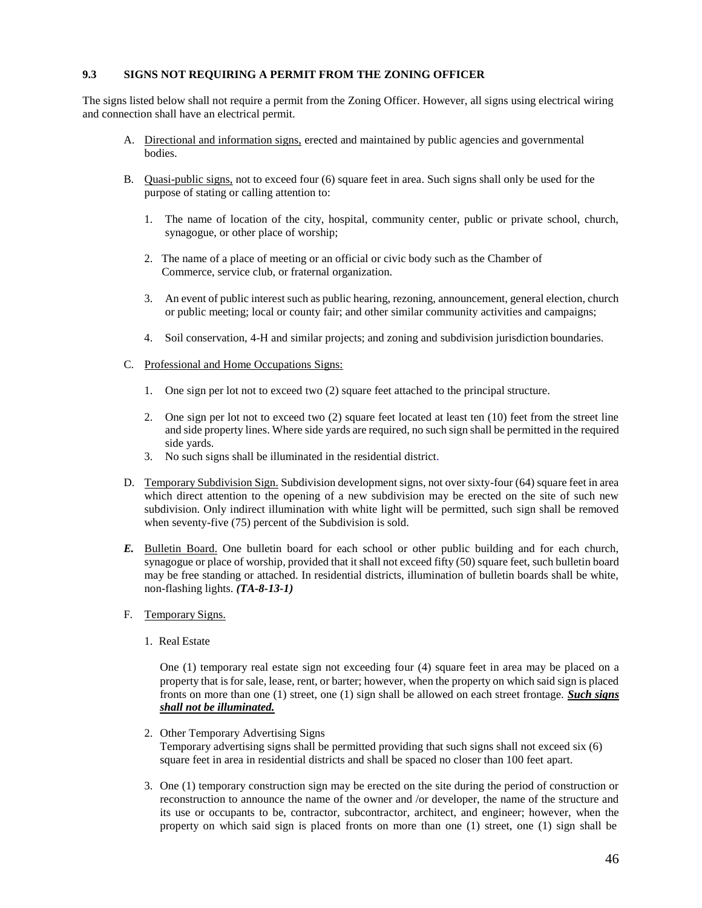### **9.3 SIGNS NOT REQUIRING A PERMIT FROM THE ZONING OFFICER**

The signs listed below shall not require a permit from the Zoning Officer. However, all signs using electrical wiring and connection shall have an electrical permit.

- A. Directional and information signs, erected and maintained by public agencies and governmental bodies.
- B. Quasi-public signs, not to exceed four (6) square feet in area. Such signs shall only be used for the purpose of stating or calling attention to:
	- 1. The name of location of the city, hospital, community center, public or private school, church, synagogue, or other place of worship;
	- 2. The name of a place of meeting or an official or civic body such as the Chamber of Commerce, service club, or fraternal organization.
	- 3. An event of public interest such as public hearing, rezoning, announcement, general election, church or public meeting; local or county fair; and other similar community activities and campaigns;
	- 4. Soil conservation, 4-H and similar projects; and zoning and subdivision jurisdiction boundaries.
- C. Professional and Home Occupations Signs:
	- 1. One sign per lot not to exceed two (2) square feet attached to the principal structure.
	- 2. One sign per lot not to exceed two (2) square feet located at least ten (10) feet from the street line and side property lines. Where side yards are required, no such sign shall be permitted in the required side yards.
	- 3. No such signs shall be illuminated in the residential district.
- D. Temporary Subdivision Sign. Subdivision development signs, not over sixty-four (64) square feet in area which direct attention to the opening of a new subdivision may be erected on the site of such new subdivision. Only indirect illumination with white light will be permitted, such sign shall be removed when seventy-five (75) percent of the Subdivision is sold.
- *E.* Bulletin Board. One bulletin board for each school or other public building and for each church, synagogue or place of worship, provided that it shall not exceed fifty (50) square feet, such bulletin board may be free standing or attached. In residential districts, illumination of bulletin boards shall be white, non-flashing lights. *(TA-8-13-1)*
- F. Temporary Signs.
	- 1. Real Estate

One (1) temporary real estate sign not exceeding four (4) square feet in area may be placed on a property that is for sale, lease, rent, or barter; however, when the property on which said sign is placed fronts on more than one (1) street, one (1) sign shall be allowed on each street frontage. *Such signs shall not be illuminated.*

- 2. Other Temporary Advertising Signs Temporary advertising signs shall be permitted providing that such signs shall not exceed six (6) square feet in area in residential districts and shall be spaced no closer than 100 feet apart.
- 3. One (1) temporary construction sign may be erected on the site during the period of construction or reconstruction to announce the name of the owner and /or developer, the name of the structure and its use or occupants to be, contractor, subcontractor, architect, and engineer; however, when the property on which said sign is placed fronts on more than one (1) street, one (1) sign shall be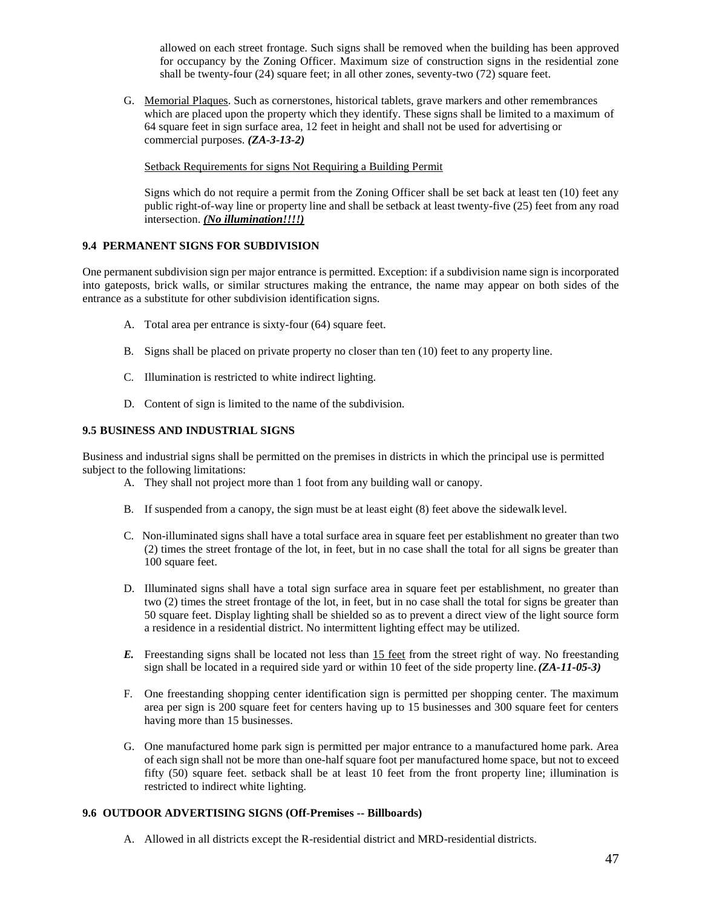allowed on each street frontage. Such signs shall be removed when the building has been approved for occupancy by the Zoning Officer. Maximum size of construction signs in the residential zone shall be twenty-four (24) square feet; in all other zones, seventy-two (72) square feet.

G. Memorial Plaques. Such as cornerstones, historical tablets, grave markers and other remembrances which are placed upon the property which they identify. These signs shall be limited to a maximum of 64 square feet in sign surface area, 12 feet in height and shall not be used for advertising or commercial purposes. *(ZA-3-13-2)*

Setback Requirements for signs Not Requiring a Building Permit

Signs which do not require a permit from the Zoning Officer shall be set back at least ten (10) feet any public right-of-way line or property line and shall be setback at least twenty-five (25) feet from any road intersection. *(No illumination!!!!)*

### **9.4 PERMANENT SIGNS FOR SUBDIVISION**

One permanent subdivision sign per major entrance is permitted. Exception: if a subdivision name sign is incorporated into gateposts, brick walls, or similar structures making the entrance, the name may appear on both sides of the entrance as a substitute for other subdivision identification signs.

- A. Total area per entrance is sixty-four (64) square feet.
- B. Signs shall be placed on private property no closer than ten (10) feet to any property line.
- C. Illumination is restricted to white indirect lighting.
- D. Content of sign is limited to the name of the subdivision.

#### **9.5 BUSINESS AND INDUSTRIAL SIGNS**

Business and industrial signs shall be permitted on the premises in districts in which the principal use is permitted subject to the following limitations:

- A. They shall not project more than 1 foot from any building wall or canopy.
- B. If suspended from a canopy, the sign must be at least eight (8) feet above the sidewalk level.
- C. Non-illuminated signs shall have a total surface area in square feet per establishment no greater than two (2) times the street frontage of the lot, in feet, but in no case shall the total for all signs be greater than 100 square feet.
- D. Illuminated signs shall have a total sign surface area in square feet per establishment, no greater than two (2) times the street frontage of the lot, in feet, but in no case shall the total for signs be greater than 50 square feet. Display lighting shall be shielded so as to prevent a direct view of the light source form a residence in a residential district. No intermittent lighting effect may be utilized.
- *E.* Freestanding signs shall be located not less than 15 feet from the street right of way. No freestanding sign shall be located in a required side yard or within 10 feet of the side property line.*(ZA-11-05-3)*
- F. One freestanding shopping center identification sign is permitted per shopping center. The maximum area per sign is 200 square feet for centers having up to 15 businesses and 300 square feet for centers having more than 15 businesses.
- G. One manufactured home park sign is permitted per major entrance to a manufactured home park. Area of each sign shall not be more than one-half square foot per manufactured home space, but not to exceed fifty (50) square feet. setback shall be at least 10 feet from the front property line; illumination is restricted to indirect white lighting.

## **9.6 OUTDOOR ADVERTISING SIGNS (Off-Premises -- Billboards)**

A. Allowed in all districts except the R-residential district and MRD-residential districts.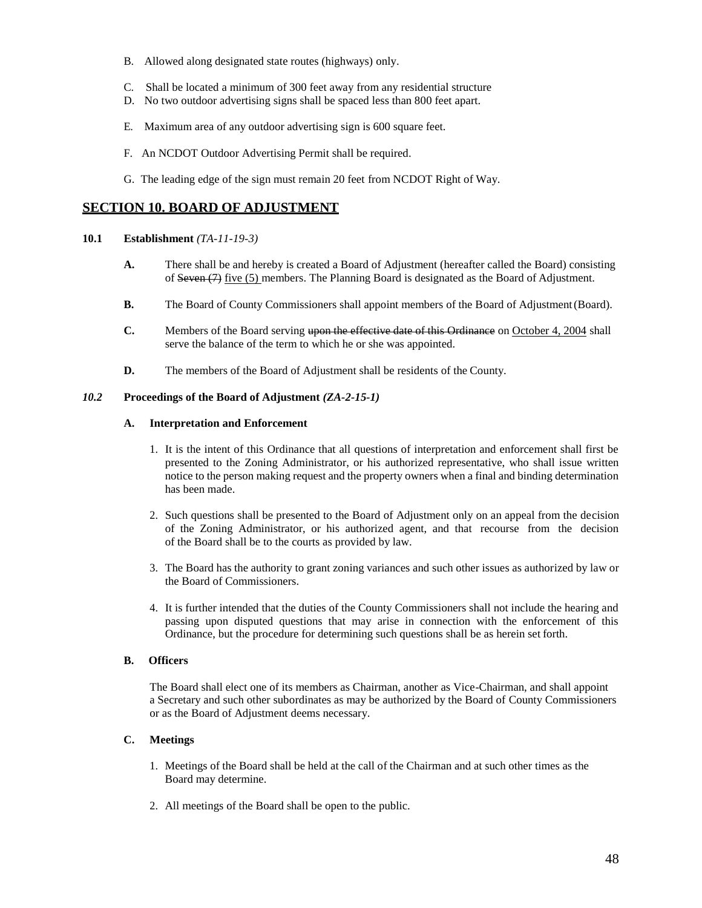- B. Allowed along designated state routes (highways) only.
- C. Shall be located a minimum of 300 feet away from any residential structure
- D. No two outdoor advertising signs shall be spaced less than 800 feet apart.
- E. Maximum area of any outdoor advertising sign is 600 square feet.
- F. An NCDOT Outdoor Advertising Permit shall be required.
- G. The leading edge of the sign must remain 20 feet from NCDOT Right of Way.

## **SECTION 10. BOARD OF ADJUSTMENT**

#### **10.1 Establishment** *(TA-11-19-3)*

- **A.** There shall be and hereby is created a Board of Adjustment (hereafter called the Board) consisting of Seven (7) five (5) members. The Planning Board is designated as the Board of Adjustment.
- **B.** The Board of County Commissioners shall appoint members of the Board of Adjustment (Board).
- **C.** Members of the Board serving upon the effective date of this Ordinance on October 4, 2004 shall serve the balance of the term to which he or she was appointed.
- **D.** The members of the Board of Adjustment shall be residents of the County.

### *10.2* **Proceedings of the Board of Adjustment** *(ZA-2-15-1)*

#### **A. Interpretation and Enforcement**

- 1. It is the intent of this Ordinance that all questions of interpretation and enforcement shall first be presented to the Zoning Administrator, or his authorized representative, who shall issue written notice to the person making request and the property owners when a final and binding determination has been made.
- 2. Such questions shall be presented to the Board of Adjustment only on an appeal from the decision of the Zoning Administrator, or his authorized agent, and that recourse from the decision of the Board shall be to the courts as provided by law.
- 3. The Board has the authority to grant zoning variances and such other issues as authorized by law or the Board of Commissioners.
- 4. It is further intended that the duties of the County Commissioners shall not include the hearing and passing upon disputed questions that may arise in connection with the enforcement of this Ordinance, but the procedure for determining such questions shall be as herein set forth.

#### **B. Officers**

The Board shall elect one of its members as Chairman, another as Vice-Chairman, and shall appoint a Secretary and such other subordinates as may be authorized by the Board of County Commissioners or as the Board of Adjustment deems necessary.

#### **C. Meetings**

- 1. Meetings of the Board shall be held at the call of the Chairman and at such other times as the Board may determine.
- 2. All meetings of the Board shall be open to the public.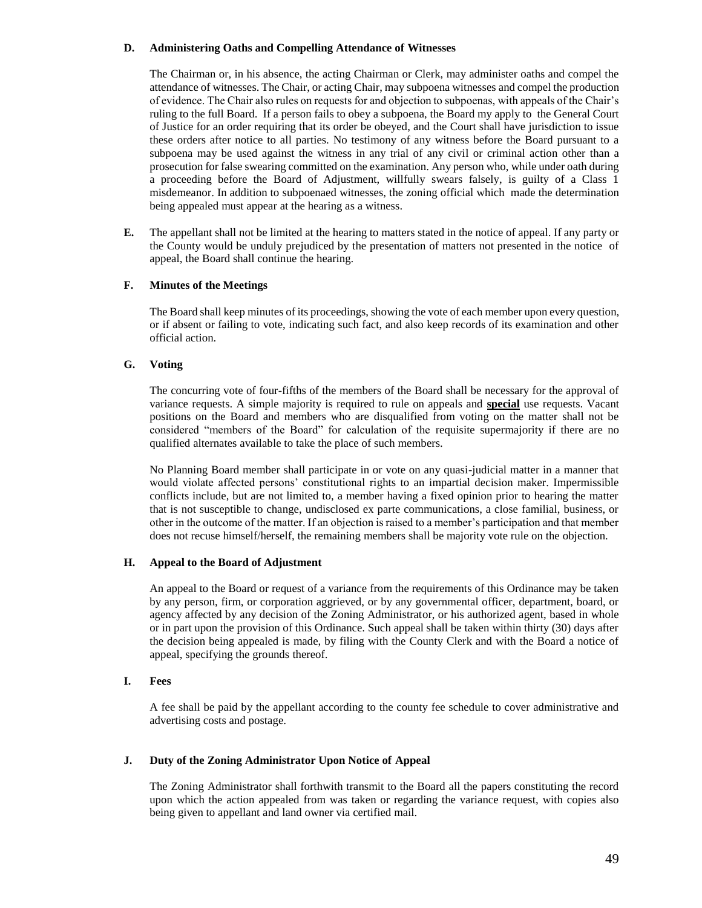#### **D. Administering Oaths and Compelling Attendance of Witnesses**

The Chairman or, in his absence, the acting Chairman or Clerk, may administer oaths and compel the attendance of witnesses. The Chair, or acting Chair, may subpoena witnesses and compel the production of evidence. The Chair also rules on requests for and objection to subpoenas, with appeals of the Chair's ruling to the full Board. If a person fails to obey a subpoena, the Board my apply to the General Court of Justice for an order requiring that its order be obeyed, and the Court shall have jurisdiction to issue these orders after notice to all parties. No testimony of any witness before the Board pursuant to a subpoena may be used against the witness in any trial of any civil or criminal action other than a prosecution for false swearing committed on the examination. Any person who, while under oath during a proceeding before the Board of Adjustment, willfully swears falsely, is guilty of a Class 1 misdemeanor. In addition to subpoenaed witnesses, the zoning official which made the determination being appealed must appear at the hearing as a witness.

**E.** The appellant shall not be limited at the hearing to matters stated in the notice of appeal. If any party or the County would be unduly prejudiced by the presentation of matters not presented in the notice of appeal, the Board shall continue the hearing.

#### **F. Minutes of the Meetings**

The Board shall keep minutes of its proceedings, showing the vote of each member upon every question, or if absent or failing to vote, indicating such fact, and also keep records of its examination and other official action.

#### **G. Voting**

The concurring vote of four-fifths of the members of the Board shall be necessary for the approval of variance requests. A simple majority is required to rule on appeals and **special** use requests. Vacant positions on the Board and members who are disqualified from voting on the matter shall not be considered "members of the Board" for calculation of the requisite supermajority if there are no qualified alternates available to take the place of such members.

No Planning Board member shall participate in or vote on any quasi-judicial matter in a manner that would violate affected persons' constitutional rights to an impartial decision maker. Impermissible conflicts include, but are not limited to, a member having a fixed opinion prior to hearing the matter that is not susceptible to change, undisclosed ex parte communications, a close familial, business, or other in the outcome of the matter. If an objection is raised to a member's participation and that member does not recuse himself/herself, the remaining members shall be majority vote rule on the objection.

#### **H. Appeal to the Board of Adjustment**

An appeal to the Board or request of a variance from the requirements of this Ordinance may be taken by any person, firm, or corporation aggrieved, or by any governmental officer, department, board, or agency affected by any decision of the Zoning Administrator, or his authorized agent, based in whole or in part upon the provision of this Ordinance. Such appeal shall be taken within thirty (30) days after the decision being appealed is made, by filing with the County Clerk and with the Board a notice of appeal, specifying the grounds thereof.

#### **I. Fees**

A fee shall be paid by the appellant according to the county fee schedule to cover administrative and advertising costs and postage.

#### **J. Duty of the Zoning Administrator Upon Notice of Appeal**

The Zoning Administrator shall forthwith transmit to the Board all the papers constituting the record upon which the action appealed from was taken or regarding the variance request, with copies also being given to appellant and land owner via certified mail.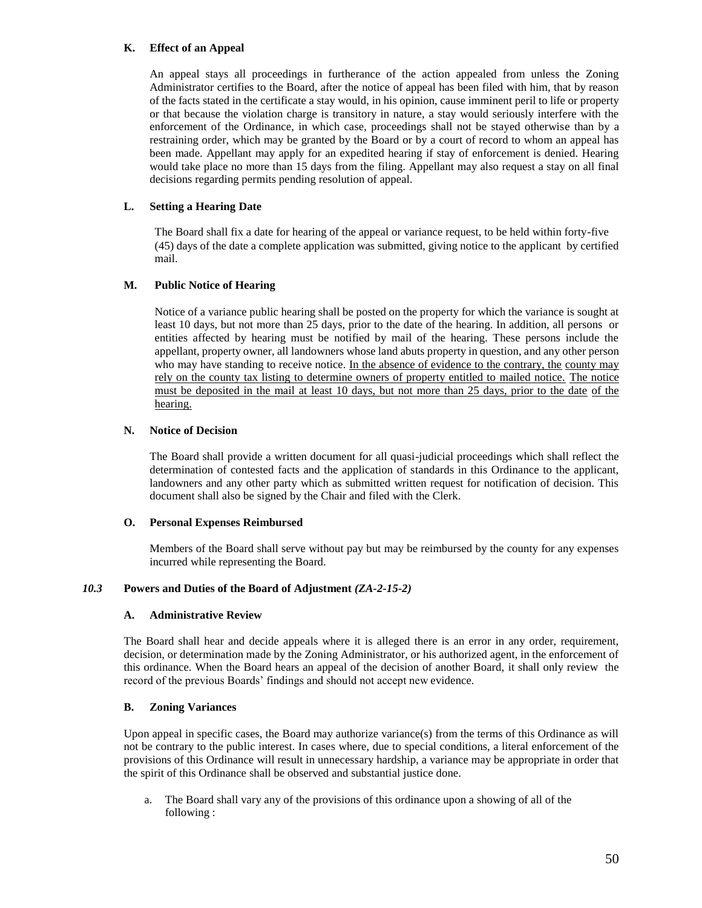### **K. Effect of an Appeal**

An appeal stays all proceedings in furtherance of the action appealed from unless the Zoning Administrator certifies to the Board, after the notice of appeal has been filed with him, that by reason of the facts stated in the certificate a stay would, in his opinion, cause imminent peril to life or property or that because the violation charge is transitory in nature, a stay would seriously interfere with the enforcement of the Ordinance, in which case, proceedings shall not be stayed otherwise than by a restraining order, which may be granted by the Board or by a court of record to whom an appeal has been made. Appellant may apply for an expedited hearing if stay of enforcement is denied. Hearing would take place no more than 15 days from the filing. Appellant may also request a stay on all final decisions regarding permits pending resolution of appeal.

### **L. Setting a Hearing Date**

The Board shall fix a date for hearing of the appeal or variance request, to be held within forty-five (45) days of the date a complete application was submitted, giving notice to the applicant by certified mail.

### **M. Public Notice of Hearing**

Notice of a variance public hearing shall be posted on the property for which the variance is sought at least 10 days, but not more than 25 days, prior to the date of the hearing. In addition, all persons or entities affected by hearing must be notified by mail of the hearing. These persons include the appellant, property owner, all landowners whose land abuts property in question, and any other person who may have standing to receive notice. In the absence of evidence to the contrary, the county may rely on the county tax listing to determine owners of property entitled to mailed notice. The notice must be deposited in the mail at least 10 days, but not more than 25 days, prior to the date of the hearing.

### **N. Notice of Decision**

The Board shall provide a written document for all quasi-judicial proceedings which shall reflect the determination of contested facts and the application of standards in this Ordinance to the applicant, landowners and any other party which as submitted written request for notification of decision. This document shall also be signed by the Chair and filed with the Clerk.

#### **O. Personal Expenses Reimbursed**

Members of the Board shall serve without pay but may be reimbursed by the county for any expenses incurred while representing the Board.

#### *10.3* **Powers and Duties of the Board of Adjustment** *(ZA-2-15-2)*

#### **A. Administrative Review**

The Board shall hear and decide appeals where it is alleged there is an error in any order, requirement, decision, or determination made by the Zoning Administrator, or his authorized agent, in the enforcement of this ordinance. When the Board hears an appeal of the decision of another Board, it shall only review the record of the previous Boards' findings and should not accept new evidence.

#### **B. Zoning Variances**

Upon appeal in specific cases, the Board may authorize variance(s) from the terms of this Ordinance as will not be contrary to the public interest. In cases where, due to special conditions, a literal enforcement of the provisions of this Ordinance will result in unnecessary hardship, a variance may be appropriate in order that the spirit of this Ordinance shall be observed and substantial justice done.

a. The Board shall vary any of the provisions of this ordinance upon a showing of all of the following :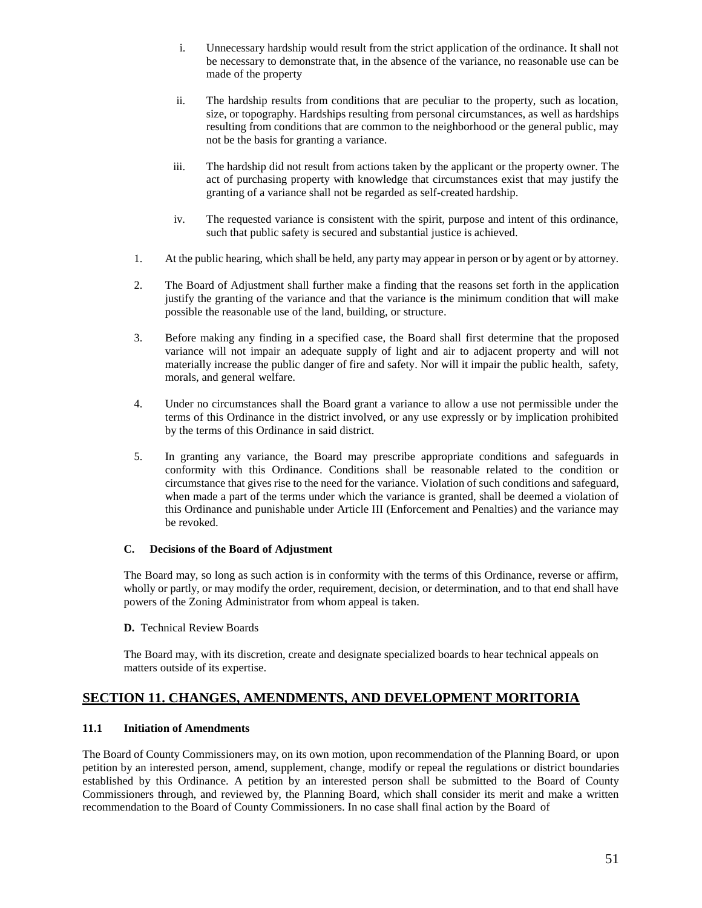- i. Unnecessary hardship would result from the strict application of the ordinance. It shall not be necessary to demonstrate that, in the absence of the variance, no reasonable use can be made of the property
- ii. The hardship results from conditions that are peculiar to the property, such as location, size, or topography. Hardships resulting from personal circumstances, as well as hardships resulting from conditions that are common to the neighborhood or the general public, may not be the basis for granting a variance.
- iii. The hardship did not result from actions taken by the applicant or the property owner. The act of purchasing property with knowledge that circumstances exist that may justify the granting of a variance shall not be regarded as self-created hardship.
- iv. The requested variance is consistent with the spirit, purpose and intent of this ordinance, such that public safety is secured and substantial justice is achieved.
- 1. At the public hearing, which shall be held, any party may appear in person or by agent or by attorney.
- 2. The Board of Adjustment shall further make a finding that the reasons set forth in the application justify the granting of the variance and that the variance is the minimum condition that will make possible the reasonable use of the land, building, or structure.
- 3. Before making any finding in a specified case, the Board shall first determine that the proposed variance will not impair an adequate supply of light and air to adjacent property and will not materially increase the public danger of fire and safety. Nor will it impair the public health, safety, morals, and general welfare.
- 4. Under no circumstances shall the Board grant a variance to allow a use not permissible under the terms of this Ordinance in the district involved, or any use expressly or by implication prohibited by the terms of this Ordinance in said district.
- 5. In granting any variance, the Board may prescribe appropriate conditions and safeguards in conformity with this Ordinance. Conditions shall be reasonable related to the condition or circumstance that gives rise to the need for the variance. Violation of such conditions and safeguard, when made a part of the terms under which the variance is granted, shall be deemed a violation of this Ordinance and punishable under Article III (Enforcement and Penalties) and the variance may be revoked.

#### **C. Decisions of the Board of Adjustment**

The Board may, so long as such action is in conformity with the terms of this Ordinance, reverse or affirm, wholly or partly, or may modify the order, requirement, decision, or determination, and to that end shall have powers of the Zoning Administrator from whom appeal is taken.

**D.** Technical Review Boards

The Board may, with its discretion, create and designate specialized boards to hear technical appeals on matters outside of its expertise.

## **SECTION 11. CHANGES, AMENDMENTS, AND DEVELOPMENT MORITORIA**

#### **11.1 Initiation of Amendments**

The Board of County Commissioners may, on its own motion, upon recommendation of the Planning Board, or upon petition by an interested person, amend, supplement, change, modify or repeal the regulations or district boundaries established by this Ordinance. A petition by an interested person shall be submitted to the Board of County Commissioners through, and reviewed by, the Planning Board, which shall consider its merit and make a written recommendation to the Board of County Commissioners. In no case shall final action by the Board of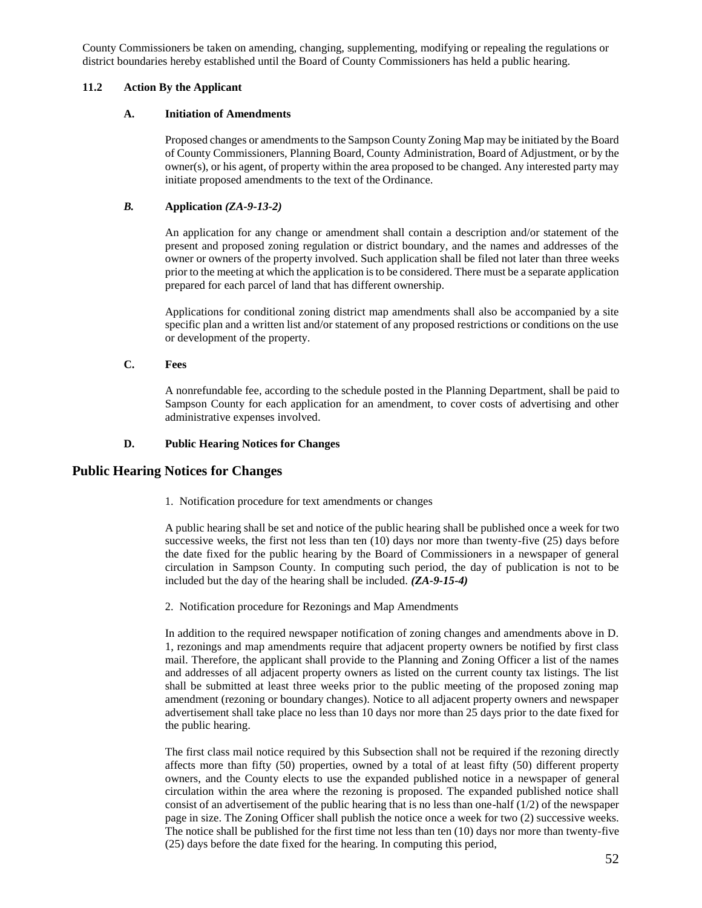County Commissioners be taken on amending, changing, supplementing, modifying or repealing the regulations or district boundaries hereby established until the Board of County Commissioners has held a public hearing.

#### **11.2 Action By the Applicant**

#### **A. Initiation of Amendments**

Proposed changes or amendments to the Sampson County Zoning Map may be initiated by the Board of County Commissioners, Planning Board, County Administration, Board of Adjustment, or by the owner(s), or his agent, of property within the area proposed to be changed. Any interested party may initiate proposed amendments to the text of the Ordinance.

#### *B.* **Application** *(ZA-9-13-2)*

An application for any change or amendment shall contain a description and/or statement of the present and proposed zoning regulation or district boundary, and the names and addresses of the owner or owners of the property involved. Such application shall be filed not later than three weeks prior to the meeting at which the application is to be considered. There must be a separate application prepared for each parcel of land that has different ownership.

Applications for conditional zoning district map amendments shall also be accompanied by a site specific plan and a written list and/or statement of any proposed restrictions or conditions on the use or development of the property.

#### **C. Fees**

A nonrefundable fee, according to the schedule posted in the Planning Department, shall be paid to Sampson County for each application for an amendment, to cover costs of advertising and other administrative expenses involved.

#### **D. Public Hearing Notices for Changes**

### **Public Hearing Notices for Changes**

1. Notification procedure for text amendments or changes

A public hearing shall be set and notice of the public hearing shall be published once a week for two successive weeks, the first not less than ten (10) days nor more than twenty-five (25) days before the date fixed for the public hearing by the Board of Commissioners in a newspaper of general circulation in Sampson County. In computing such period, the day of publication is not to be included but the day of the hearing shall be included. *(ZA-9-15-4)*

2. Notification procedure for Rezonings and Map Amendments

In addition to the required newspaper notification of zoning changes and amendments above in D. 1, rezonings and map amendments require that adjacent property owners be notified by first class mail. Therefore, the applicant shall provide to the Planning and Zoning Officer a list of the names and addresses of all adjacent property owners as listed on the current county tax listings. The list shall be submitted at least three weeks prior to the public meeting of the proposed zoning map amendment (rezoning or boundary changes). Notice to all adjacent property owners and newspaper advertisement shall take place no less than 10 days nor more than 25 days prior to the date fixed for the public hearing.

The first class mail notice required by this Subsection shall not be required if the rezoning directly affects more than fifty (50) properties, owned by a total of at least fifty (50) different property owners, and the County elects to use the expanded published notice in a newspaper of general circulation within the area where the rezoning is proposed. The expanded published notice shall consist of an advertisement of the public hearing that is no less than one-half  $(1/2)$  of the newspaper page in size. The Zoning Officer shall publish the notice once a week for two (2) successive weeks. The notice shall be published for the first time not less than ten (10) days nor more than twenty-five (25) days before the date fixed for the hearing. In computing this period,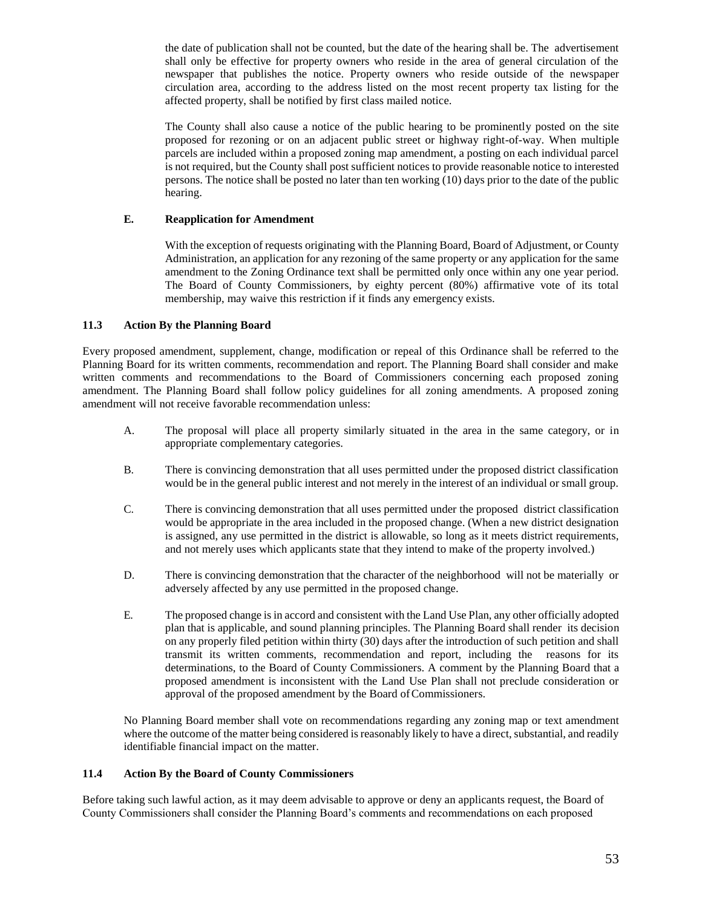the date of publication shall not be counted, but the date of the hearing shall be. The advertisement shall only be effective for property owners who reside in the area of general circulation of the newspaper that publishes the notice. Property owners who reside outside of the newspaper circulation area, according to the address listed on the most recent property tax listing for the affected property, shall be notified by first class mailed notice.

The County shall also cause a notice of the public hearing to be prominently posted on the site proposed for rezoning or on an adjacent public street or highway right-of-way. When multiple parcels are included within a proposed zoning map amendment, a posting on each individual parcel is not required, but the County shall post sufficient notices to provide reasonable notice to interested persons. The notice shall be posted no later than ten working (10) days prior to the date of the public hearing.

#### **E. Reapplication for Amendment**

With the exception of requests originating with the Planning Board, Board of Adjustment, or County Administration, an application for any rezoning of the same property or any application for the same amendment to the Zoning Ordinance text shall be permitted only once within any one year period. The Board of County Commissioners, by eighty percent (80%) affirmative vote of its total membership, may waive this restriction if it finds any emergency exists.

#### **11.3 Action By the Planning Board**

Every proposed amendment, supplement, change, modification or repeal of this Ordinance shall be referred to the Planning Board for its written comments, recommendation and report. The Planning Board shall consider and make written comments and recommendations to the Board of Commissioners concerning each proposed zoning amendment. The Planning Board shall follow policy guidelines for all zoning amendments. A proposed zoning amendment will not receive favorable recommendation unless:

- A. The proposal will place all property similarly situated in the area in the same category, or in appropriate complementary categories.
- B. There is convincing demonstration that all uses permitted under the proposed district classification would be in the general public interest and not merely in the interest of an individual or small group.
- C. There is convincing demonstration that all uses permitted under the proposed district classification would be appropriate in the area included in the proposed change. (When a new district designation is assigned, any use permitted in the district is allowable, so long as it meets district requirements, and not merely uses which applicants state that they intend to make of the property involved.)
- D. There is convincing demonstration that the character of the neighborhood will not be materially or adversely affected by any use permitted in the proposed change.
- E. The proposed change is in accord and consistent with the Land Use Plan, any other officially adopted plan that is applicable, and sound planning principles. The Planning Board shall render its decision on any properly filed petition within thirty (30) days after the introduction of such petition and shall transmit its written comments, recommendation and report, including the reasons for its determinations, to the Board of County Commissioners. A comment by the Planning Board that a proposed amendment is inconsistent with the Land Use Plan shall not preclude consideration or approval of the proposed amendment by the Board of Commissioners.

No Planning Board member shall vote on recommendations regarding any zoning map or text amendment where the outcome of the matter being considered is reasonably likely to have a direct, substantial, and readily identifiable financial impact on the matter.

#### **11.4 Action By the Board of County Commissioners**

Before taking such lawful action, as it may deem advisable to approve or deny an applicants request, the Board of County Commissioners shall consider the Planning Board's comments and recommendations on each proposed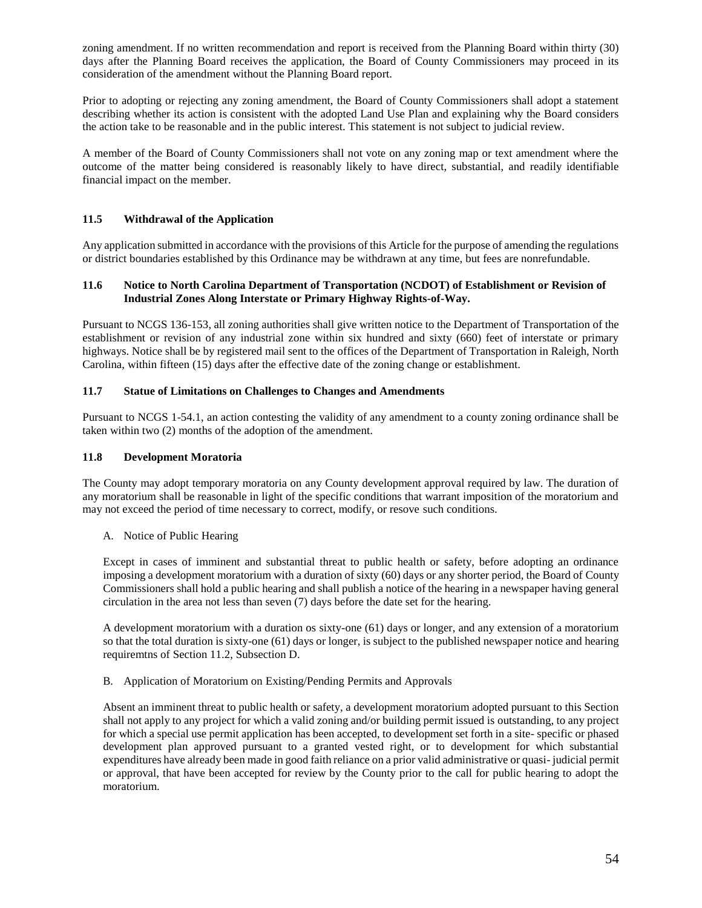zoning amendment. If no written recommendation and report is received from the Planning Board within thirty (30) days after the Planning Board receives the application, the Board of County Commissioners may proceed in its consideration of the amendment without the Planning Board report.

Prior to adopting or rejecting any zoning amendment, the Board of County Commissioners shall adopt a statement describing whether its action is consistent with the adopted Land Use Plan and explaining why the Board considers the action take to be reasonable and in the public interest. This statement is not subject to judicial review.

A member of the Board of County Commissioners shall not vote on any zoning map or text amendment where the outcome of the matter being considered is reasonably likely to have direct, substantial, and readily identifiable financial impact on the member.

### **11.5 Withdrawal of the Application**

Any application submitted in accordance with the provisions of this Article for the purpose of amending the regulations or district boundaries established by this Ordinance may be withdrawn at any time, but fees are nonrefundable.

#### **11.6 Notice to North Carolina Department of Transportation (NCDOT) of Establishment or Revision of Industrial Zones Along Interstate or Primary Highway Rights-of-Way.**

Pursuant to NCGS 136-153, all zoning authorities shall give written notice to the Department of Transportation of the establishment or revision of any industrial zone within six hundred and sixty (660) feet of interstate or primary highways. Notice shall be by registered mail sent to the offices of the Department of Transportation in Raleigh, North Carolina, within fifteen (15) days after the effective date of the zoning change or establishment.

#### **11.7 Statue of Limitations on Challenges to Changes and Amendments**

Pursuant to NCGS 1-54.1, an action contesting the validity of any amendment to a county zoning ordinance shall be taken within two (2) months of the adoption of the amendment.

#### **11.8 Development Moratoria**

The County may adopt temporary moratoria on any County development approval required by law. The duration of any moratorium shall be reasonable in light of the specific conditions that warrant imposition of the moratorium and may not exceed the period of time necessary to correct, modify, or resove such conditions.

A. Notice of Public Hearing

Except in cases of imminent and substantial threat to public health or safety, before adopting an ordinance imposing a development moratorium with a duration of sixty (60) days or any shorter period, the Board of County Commissioners shall hold a public hearing and shall publish a notice of the hearing in a newspaper having general circulation in the area not less than seven (7) days before the date set for the hearing.

A development moratorium with a duration os sixty-one (61) days or longer, and any extension of a moratorium so that the total duration is sixty-one (61) days or longer, is subject to the published newspaper notice and hearing requiremtns of Section 11.2, Subsection D.

B. Application of Moratorium on Existing/Pending Permits and Approvals

Absent an imminent threat to public health or safety, a development moratorium adopted pursuant to this Section shall not apply to any project for which a valid zoning and/or building permit issued is outstanding, to any project for which a special use permit application has been accepted, to development set forth in a site- specific or phased development plan approved pursuant to a granted vested right, or to development for which substantial expenditures have already been made in good faith reliance on a prior valid administrative or quasi- judicial permit or approval, that have been accepted for review by the County prior to the call for public hearing to adopt the moratorium.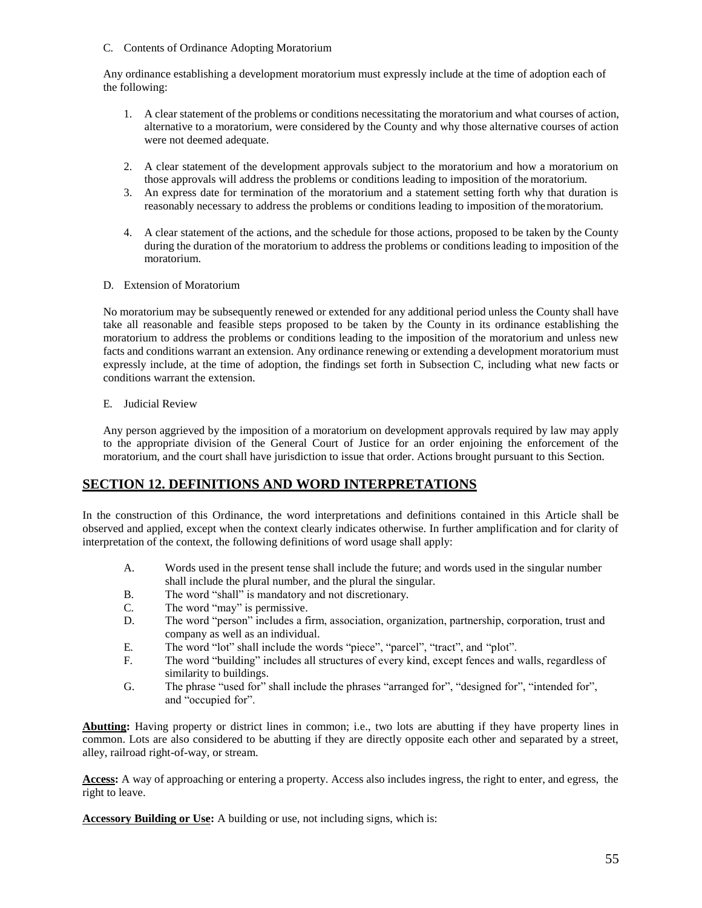C. Contents of Ordinance Adopting Moratorium

Any ordinance establishing a development moratorium must expressly include at the time of adoption each of the following:

- 1. A clear statement of the problems or conditions necessitating the moratorium and what courses of action, alternative to a moratorium, were considered by the County and why those alternative courses of action were not deemed adequate.
- 2. A clear statement of the development approvals subject to the moratorium and how a moratorium on those approvals will address the problems or conditions leading to imposition of the moratorium.
- 3. An express date for termination of the moratorium and a statement setting forth why that duration is reasonably necessary to address the problems or conditions leading to imposition of themoratorium.
- 4. A clear statement of the actions, and the schedule for those actions, proposed to be taken by the County during the duration of the moratorium to address the problems or conditions leading to imposition of the moratorium.
- D. Extension of Moratorium

No moratorium may be subsequently renewed or extended for any additional period unless the County shall have take all reasonable and feasible steps proposed to be taken by the County in its ordinance establishing the moratorium to address the problems or conditions leading to the imposition of the moratorium and unless new facts and conditions warrant an extension. Any ordinance renewing or extending a development moratorium must expressly include, at the time of adoption, the findings set forth in Subsection C, including what new facts or conditions warrant the extension.

E. Judicial Review

Any person aggrieved by the imposition of a moratorium on development approvals required by law may apply to the appropriate division of the General Court of Justice for an order enjoining the enforcement of the moratorium, and the court shall have jurisdiction to issue that order. Actions brought pursuant to this Section.

## **SECTION 12. DEFINITIONS AND WORD INTERPRETATIONS**

In the construction of this Ordinance, the word interpretations and definitions contained in this Article shall be observed and applied, except when the context clearly indicates otherwise. In further amplification and for clarity of interpretation of the context, the following definitions of word usage shall apply:

- A. Words used in the present tense shall include the future; and words used in the singular number shall include the plural number, and the plural the singular.
- B. The word "shall" is mandatory and not discretionary.
- C. The word "may" is permissive.
- D. The word "person" includes a firm, association, organization, partnership, corporation, trust and company as well as an individual.
- E. The word "lot" shall include the words "piece", "parcel", "tract", and "plot".
- F. The word "building" includes all structures of every kind, except fences and walls, regardless of similarity to buildings.
- G. The phrase "used for" shall include the phrases "arranged for", "designed for", "intended for", and "occupied for".

**Abutting:** Having property or district lines in common; i.e., two lots are abutting if they have property lines in common. Lots are also considered to be abutting if they are directly opposite each other and separated by a street, alley, railroad right-of-way, or stream.

**Access:** A way of approaching or entering a property. Access also includes ingress, the right to enter, and egress, the right to leave.

**Accessory Building or Use:** A building or use, not including signs, which is: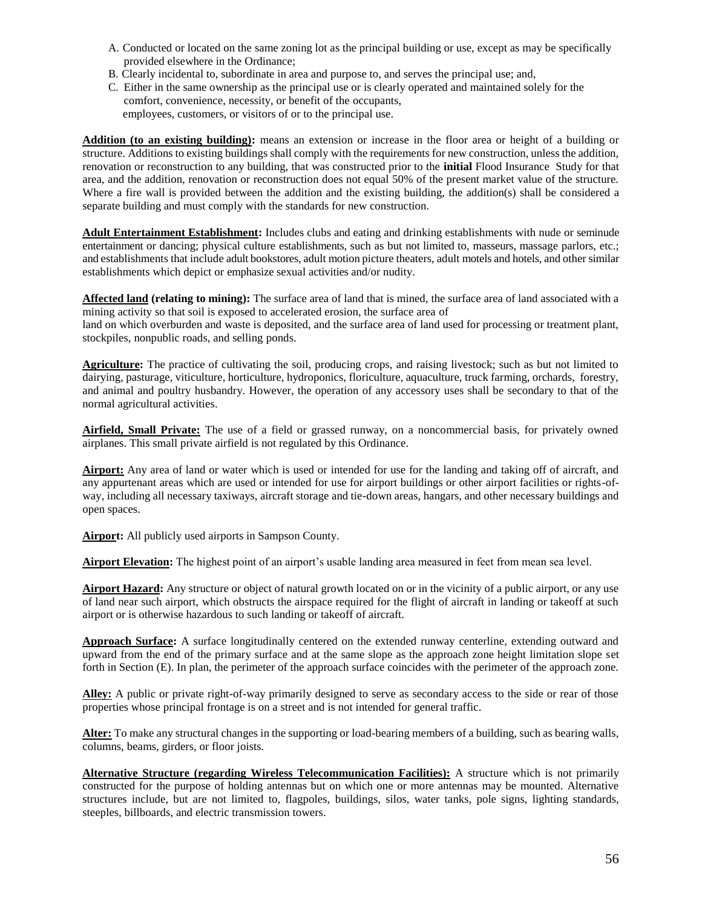- A. Conducted or located on the same zoning lot as the principal building or use, except as may be specifically provided elsewhere in the Ordinance;
- B. Clearly incidental to, subordinate in area and purpose to, and serves the principal use; and,
- C. Either in the same ownership as the principal use or is clearly operated and maintained solely for the comfort, convenience, necessity, or benefit of the occupants, employees, customers, or visitors of or to the principal use.

**Addition (to an existing building):** means an extension or increase in the floor area or height of a building or structure. Additions to existing buildings shall comply with the requirements for new construction, unless the addition, renovation or reconstruction to any building, that was constructed prior to the **initial** Flood Insurance Study for that area, and the addition, renovation or reconstruction does not equal 50% of the present market value of the structure. Where a fire wall is provided between the addition and the existing building, the addition(s) shall be considered a separate building and must comply with the standards for new construction.

**Adult Entertainment Establishment:** Includes clubs and eating and drinking establishments with nude or seminude entertainment or dancing; physical culture establishments, such as but not limited to, masseurs, massage parlors, etc.; and establishments that include adult bookstores, adult motion picture theaters, adult motels and hotels, and other similar establishments which depict or emphasize sexual activities and/or nudity.

**Affected land (relating to mining):** The surface area of land that is mined, the surface area of land associated with a mining activity so that soil is exposed to accelerated erosion, the surface area of

land on which overburden and waste is deposited, and the surface area of land used for processing or treatment plant, stockpiles, nonpublic roads, and selling ponds.

**Agriculture:** The practice of cultivating the soil, producing crops, and raising livestock; such as but not limited to dairying, pasturage, viticulture, horticulture, hydroponics, floriculture, aquaculture, truck farming, orchards, forestry, and animal and poultry husbandry. However, the operation of any accessory uses shall be secondary to that of the normal agricultural activities.

**Airfield, Small Private:** The use of a field or grassed runway, on a noncommercial basis, for privately owned airplanes. This small private airfield is not regulated by this Ordinance.

**Airport:** Any area of land or water which is used or intended for use for the landing and taking off of aircraft, and any appurtenant areas which are used or intended for use for airport buildings or other airport facilities or rights-ofway, including all necessary taxiways, aircraft storage and tie-down areas, hangars, and other necessary buildings and open spaces.

**Airport:** All publicly used airports in Sampson County.

**Airport Elevation:** The highest point of an airport's usable landing area measured in feet from mean sea level.

**Airport Hazard:** Any structure or object of natural growth located on or in the vicinity of a public airport, or any use of land near such airport, which obstructs the airspace required for the flight of aircraft in landing or takeoff at such airport or is otherwise hazardous to such landing or takeoff of aircraft.

**Approach Surface:** A surface longitudinally centered on the extended runway centerline, extending outward and upward from the end of the primary surface and at the same slope as the approach zone height limitation slope set forth in Section (E). In plan, the perimeter of the approach surface coincides with the perimeter of the approach zone.

**Alley:** A public or private right-of-way primarily designed to serve as secondary access to the side or rear of those properties whose principal frontage is on a street and is not intended for general traffic.

**Alter:** To make any structural changes in the supporting or load-bearing members of a building, such as bearing walls, columns, beams, girders, or floor joists.

**Alternative Structure (regarding Wireless Telecommunication Facilities):** A structure which is not primarily constructed for the purpose of holding antennas but on which one or more antennas may be mounted. Alternative structures include, but are not limited to, flagpoles, buildings, silos, water tanks, pole signs, lighting standards, steeples, billboards, and electric transmission towers.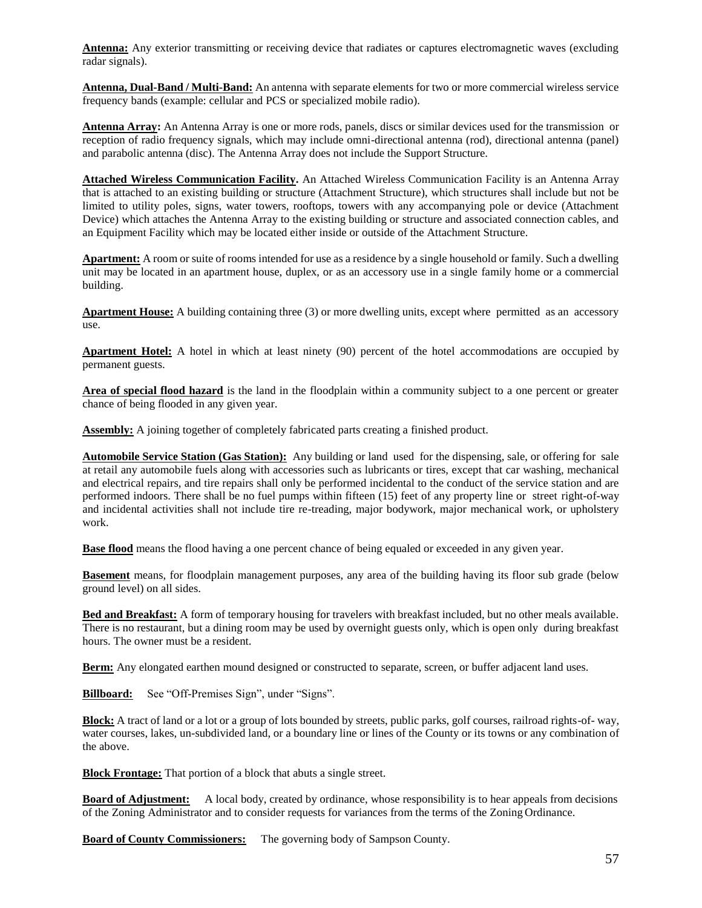**Antenna:** Any exterior transmitting or receiving device that radiates or captures electromagnetic waves (excluding radar signals).

**Antenna, Dual-Band / Multi-Band:** An antenna with separate elements for two or more commercial wireless service frequency bands (example: cellular and PCS or specialized mobile radio).

**Antenna Array:** An Antenna Array is one or more rods, panels, discs or similar devices used for the transmission or reception of radio frequency signals, which may include omni-directional antenna (rod), directional antenna (panel) and parabolic antenna (disc). The Antenna Array does not include the Support Structure.

**Attached Wireless Communication Facility.** An Attached Wireless Communication Facility is an Antenna Array that is attached to an existing building or structure (Attachment Structure), which structures shall include but not be limited to utility poles, signs, water towers, rooftops, towers with any accompanying pole or device (Attachment Device) which attaches the Antenna Array to the existing building or structure and associated connection cables, and an Equipment Facility which may be located either inside or outside of the Attachment Structure.

**Apartment:** A room or suite of rooms intended for use as a residence by a single household or family. Such a dwelling unit may be located in an apartment house, duplex, or as an accessory use in a single family home or a commercial building.

**Apartment House:** A building containing three (3) or more dwelling units, except where permitted as an accessory use.

**Apartment Hotel:** A hotel in which at least ninety (90) percent of the hotel accommodations are occupied by permanent guests.

**Area of special flood hazard** is the land in the floodplain within a community subject to a one percent or greater chance of being flooded in any given year.

**Assembly:** A joining together of completely fabricated parts creating a finished product.

**Automobile Service Station (Gas Station):** Any building or land used for the dispensing, sale, or offering for sale at retail any automobile fuels along with accessories such as lubricants or tires, except that car washing, mechanical and electrical repairs, and tire repairs shall only be performed incidental to the conduct of the service station and are performed indoors. There shall be no fuel pumps within fifteen (15) feet of any property line or street right-of-way and incidental activities shall not include tire re-treading, major bodywork, major mechanical work, or upholstery work.

**Base flood** means the flood having a one percent chance of being equaled or exceeded in any given year.

**Basement** means, for floodplain management purposes, any area of the building having its floor sub grade (below ground level) on all sides.

**Bed and Breakfast:** A form of temporary housing for travelers with breakfast included, but no other meals available. There is no restaurant, but a dining room may be used by overnight guests only, which is open only during breakfast hours. The owner must be a resident.

**Berm:** Any elongated earthen mound designed or constructed to separate, screen, or buffer adjacent land uses.

**Billboard:** See "Off-Premises Sign", under "Signs".

**Block:** A tract of land or a lot or a group of lots bounded by streets, public parks, golf courses, railroad rights-of- way, water courses, lakes, un-subdivided land, or a boundary line or lines of the County or its towns or any combination of the above.

**Block Frontage:** That portion of a block that abuts a single street.

**Board of Adjustment:** A local body, created by ordinance, whose responsibility is to hear appeals from decisions of the Zoning Administrator and to consider requests for variances from the terms of the Zoning Ordinance.

**Board of County Commissioners:** The governing body of Sampson County.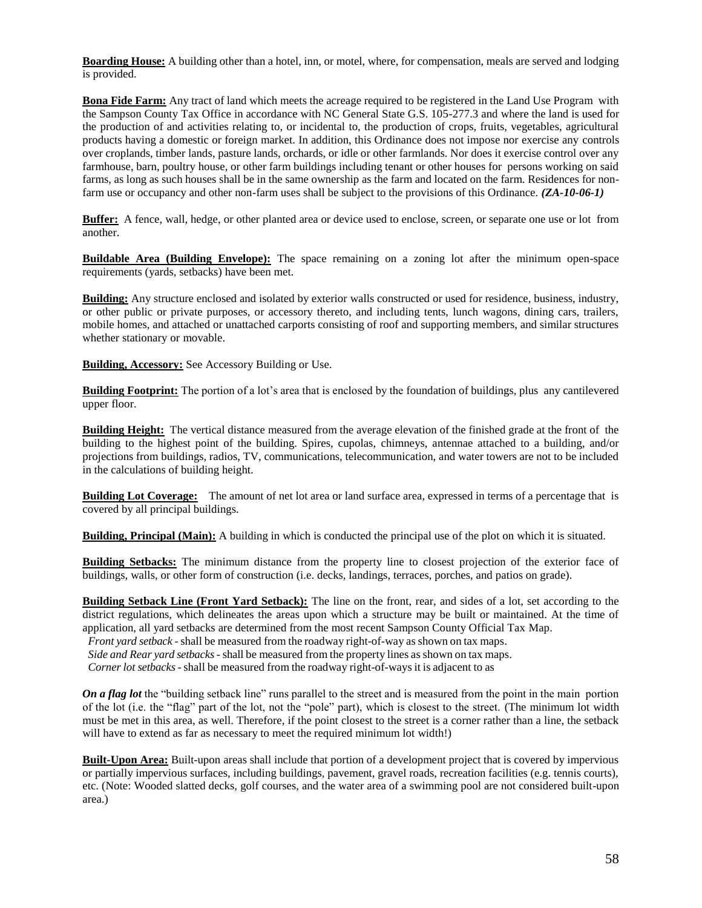**Boarding House:** A building other than a hotel, inn, or motel, where, for compensation, meals are served and lodging is provided.

**Bona Fide Farm:** Any tract of land which meets the acreage required to be registered in the Land Use Program with the Sampson County Tax Office in accordance with NC General State G.S. 105-277.3 and where the land is used for the production of and activities relating to, or incidental to, the production of crops, fruits, vegetables, agricultural products having a domestic or foreign market. In addition, this Ordinance does not impose nor exercise any controls over croplands, timber lands, pasture lands, orchards, or idle or other farmlands. Nor does it exercise control over any farmhouse, barn, poultry house, or other farm buildings including tenant or other houses for persons working on said farms, as long as such houses shall be in the same ownership as the farm and located on the farm. Residences for nonfarm use or occupancy and other non-farm uses shall be subject to the provisions of this Ordinance. *(ZA-10-06-1)*

**Buffer:** A fence, wall, hedge, or other planted area or device used to enclose, screen, or separate one use or lot from another.

**Buildable Area (Building Envelope):** The space remaining on a zoning lot after the minimum open-space requirements (yards, setbacks) have been met.

**Building:** Any structure enclosed and isolated by exterior walls constructed or used for residence, business, industry, or other public or private purposes, or accessory thereto, and including tents, lunch wagons, dining cars, trailers, mobile homes, and attached or unattached carports consisting of roof and supporting members, and similar structures whether stationary or movable.

**Building, Accessory:** See Accessory Building or Use.

**Building Footprint:** The portion of a lot's area that is enclosed by the foundation of buildings, plus any cantilevered upper floor.

**Building Height:** The vertical distance measured from the average elevation of the finished grade at the front of the building to the highest point of the building. Spires, cupolas, chimneys, antennae attached to a building, and/or projections from buildings, radios, TV, communications, telecommunication, and water towers are not to be included in the calculations of building height.

**Building Lot Coverage:** The amount of net lot area or land surface area, expressed in terms of a percentage that is covered by all principal buildings.

**Building, Principal (Main):** A building in which is conducted the principal use of the plot on which it is situated.

**Building Setbacks:** The minimum distance from the property line to closest projection of the exterior face of buildings, walls, or other form of construction (i.e. decks, landings, terraces, porches, and patios on grade).

**Building Setback Line (Front Yard Setback):** The line on the front, rear, and sides of a lot, set according to the district regulations, which delineates the areas upon which a structure may be built or maintained. At the time of application, all yard setbacks are determined from the most recent Sampson County Official Tax Map.

*Front yard setback* - shall be measured from the roadway right-of-way as shown on tax maps.

*Side and Rear yard setbacks*- shall be measured from the property lines asshown on tax maps.

*Cornerlot setbacks*-shall be measured from the roadway right-of-ways it is adjacent to as

*On a flag lot* the "building setback line" runs parallel to the street and is measured from the point in the main portion of the lot (i.e. the "flag" part of the lot, not the "pole" part), which is closest to the street. (The minimum lot width must be met in this area, as well. Therefore, if the point closest to the street is a corner rather than a line, the setback will have to extend as far as necessary to meet the required minimum lot width!)

**Built-Upon Area:** Built-upon areas shall include that portion of a development project that is covered by impervious or partially impervious surfaces, including buildings, pavement, gravel roads, recreation facilities (e.g. tennis courts), etc. (Note: Wooded slatted decks, golf courses, and the water area of a swimming pool are not considered built-upon area.)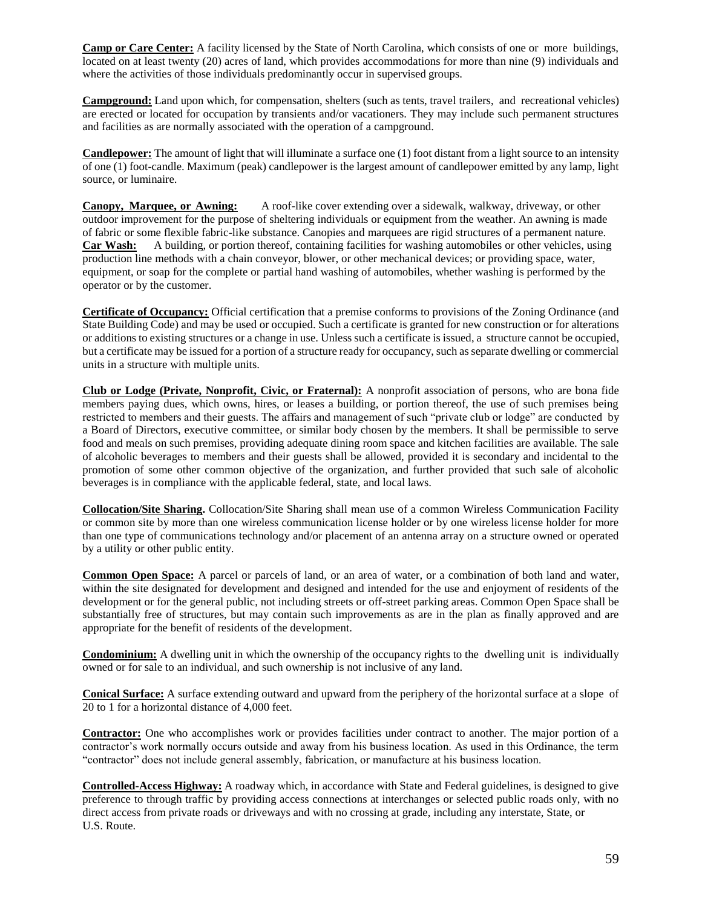**Camp or Care Center:** A facility licensed by the State of North Carolina, which consists of one or more buildings, located on at least twenty (20) acres of land, which provides accommodations for more than nine (9) individuals and where the activities of those individuals predominantly occur in supervised groups.

**Campground:** Land upon which, for compensation, shelters (such as tents, travel trailers, and recreational vehicles) are erected or located for occupation by transients and/or vacationers. They may include such permanent structures and facilities as are normally associated with the operation of a campground.

**Candlepower:** The amount of light that will illuminate a surface one (1) foot distant from a light source to an intensity of one (1) foot-candle. Maximum (peak) candlepower is the largest amount of candlepower emitted by any lamp, light source, or luminaire.

**Canopy, Marquee, or Awning:** A roof-like cover extending over a sidewalk, walkway, driveway, or other outdoor improvement for the purpose of sheltering individuals or equipment from the weather. An awning is made of fabric or some flexible fabric-like substance. Canopies and marquees are rigid structures of a permanent nature. **Car Wash:** A building, or portion thereof, containing facilities for washing automobiles or other vehicles, using production line methods with a chain conveyor, blower, or other mechanical devices; or providing space, water, equipment, or soap for the complete or partial hand washing of automobiles, whether washing is performed by the operator or by the customer.

**Certificate of Occupancy:** Official certification that a premise conforms to provisions of the Zoning Ordinance (and State Building Code) and may be used or occupied. Such a certificate is granted for new construction or for alterations or additions to existing structures or a change in use. Unless such a certificate is issued, a structure cannot be occupied, but a certificate may be issued for a portion of a structure ready for occupancy, such as separate dwelling or commercial units in a structure with multiple units.

**Club or Lodge (Private, Nonprofit, Civic, or Fraternal):** A nonprofit association of persons, who are bona fide members paying dues, which owns, hires, or leases a building, or portion thereof, the use of such premises being restricted to members and their guests. The affairs and management of such "private club or lodge" are conducted by a Board of Directors, executive committee, or similar body chosen by the members. It shall be permissible to serve food and meals on such premises, providing adequate dining room space and kitchen facilities are available. The sale of alcoholic beverages to members and their guests shall be allowed, provided it is secondary and incidental to the promotion of some other common objective of the organization, and further provided that such sale of alcoholic beverages is in compliance with the applicable federal, state, and local laws.

**Collocation/Site Sharing.** Collocation/Site Sharing shall mean use of a common Wireless Communication Facility or common site by more than one wireless communication license holder or by one wireless license holder for more than one type of communications technology and/or placement of an antenna array on a structure owned or operated by a utility or other public entity.

**Common Open Space:** A parcel or parcels of land, or an area of water, or a combination of both land and water, within the site designated for development and designed and intended for the use and enjoyment of residents of the development or for the general public, not including streets or off-street parking areas. Common Open Space shall be substantially free of structures, but may contain such improvements as are in the plan as finally approved and are appropriate for the benefit of residents of the development.

**Condominium:** A dwelling unit in which the ownership of the occupancy rights to the dwelling unit is individually owned or for sale to an individual, and such ownership is not inclusive of any land.

**Conical Surface:** A surface extending outward and upward from the periphery of the horizontal surface at a slope of 20 to 1 for a horizontal distance of 4,000 feet.

**Contractor:** One who accomplishes work or provides facilities under contract to another. The major portion of a contractor's work normally occurs outside and away from his business location. As used in this Ordinance, the term "contractor" does not include general assembly, fabrication, or manufacture at his business location.

**Controlled-Access Highway:** A roadway which, in accordance with State and Federal guidelines, is designed to give preference to through traffic by providing access connections at interchanges or selected public roads only, with no direct access from private roads or driveways and with no crossing at grade, including any interstate, State, or U.S. Route.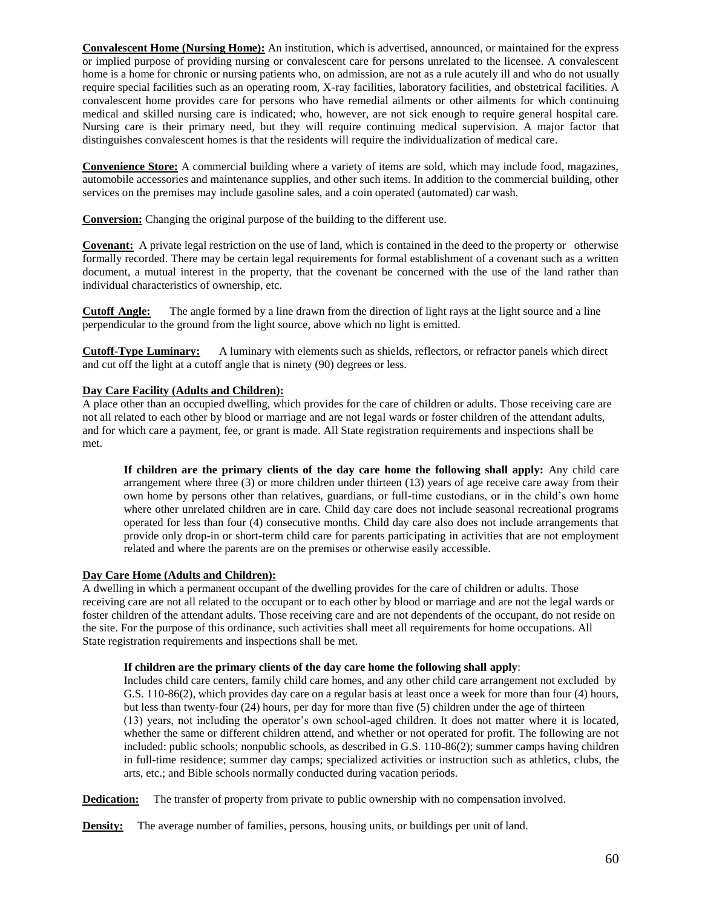**Convalescent Home (Nursing Home):** An institution, which is advertised, announced, or maintained for the express or implied purpose of providing nursing or convalescent care for persons unrelated to the licensee. A convalescent home is a home for chronic or nursing patients who, on admission, are not as a rule acutely ill and who do not usually require special facilities such as an operating room, X-ray facilities, laboratory facilities, and obstetrical facilities. A convalescent home provides care for persons who have remedial ailments or other ailments for which continuing medical and skilled nursing care is indicated; who, however, are not sick enough to require general hospital care. Nursing care is their primary need, but they will require continuing medical supervision. A major factor that distinguishes convalescent homes is that the residents will require the individualization of medical care.

**Convenience Store:** A commercial building where a variety of items are sold, which may include food, magazines, automobile accessories and maintenance supplies, and other such items. In addition to the commercial building, other services on the premises may include gasoline sales, and a coin operated (automated) car wash.

**Conversion:** Changing the original purpose of the building to the different use.

**Covenant:** A private legal restriction on the use of land, which is contained in the deed to the property or otherwise formally recorded. There may be certain legal requirements for formal establishment of a covenant such as a written document, a mutual interest in the property, that the covenant be concerned with the use of the land rather than individual characteristics of ownership, etc.

**Cutoff Angle:** The angle formed by a line drawn from the direction of light rays at the light source and a line perpendicular to the ground from the light source, above which no light is emitted.

**Cutoff-Type Luminary:** A luminary with elements such as shields, reflectors, or refractor panels which direct and cut off the light at a cutoff angle that is ninety (90) degrees or less.

## **Day Care Facility (Adults and Children):**

A place other than an occupied dwelling, which provides for the care of children or adults. Those receiving care are not all related to each other by blood or marriage and are not legal wards or foster children of the attendant adults, and for which care a payment, fee, or grant is made. All State registration requirements and inspections shall be met.

**If children are the primary clients of the day care home the following shall apply:** Any child care arrangement where three (3) or more children under thirteen (13) years of age receive care away from their own home by persons other than relatives, guardians, or full-time custodians, or in the child's own home where other unrelated children are in care. Child day care does not include seasonal recreational programs operated for less than four (4) consecutive months. Child day care also does not include arrangements that provide only drop-in or short-term child care for parents participating in activities that are not employment related and where the parents are on the premises or otherwise easily accessible.

#### **Day Care Home (Adults and Children):**

A dwelling in which a permanent occupant of the dwelling provides for the care of children or adults. Those receiving care are not all related to the occupant or to each other by blood or marriage and are not the legal wards or foster children of the attendant adults. Those receiving care and are not dependents of the occupant, do not reside on the site. For the purpose of this ordinance, such activities shall meet all requirements for home occupations. All State registration requirements and inspections shall be met.

#### **If children are the primary clients of the day care home the following shall apply**:

Includes child care centers, family child care homes, and any other child care arrangement not excluded by G.S. 110-86(2), which provides day care on a regular basis at least once a week for more than four (4) hours, but less than twenty-four (24) hours, per day for more than five (5) children under the age of thirteen (13) years, not including the operator's own school-aged children. It does not matter where it is located, whether the same or different children attend, and whether or not operated for profit. The following are not included: public schools; nonpublic schools, as described in G.S. 110-86(2); summer camps having children in full-time residence; summer day camps; specialized activities or instruction such as athletics, clubs, the arts, etc.; and Bible schools normally conducted during vacation periods.

**Dedication:** The transfer of property from private to public ownership with no compensation involved.

**Density:** The average number of families, persons, housing units, or buildings per unit of land.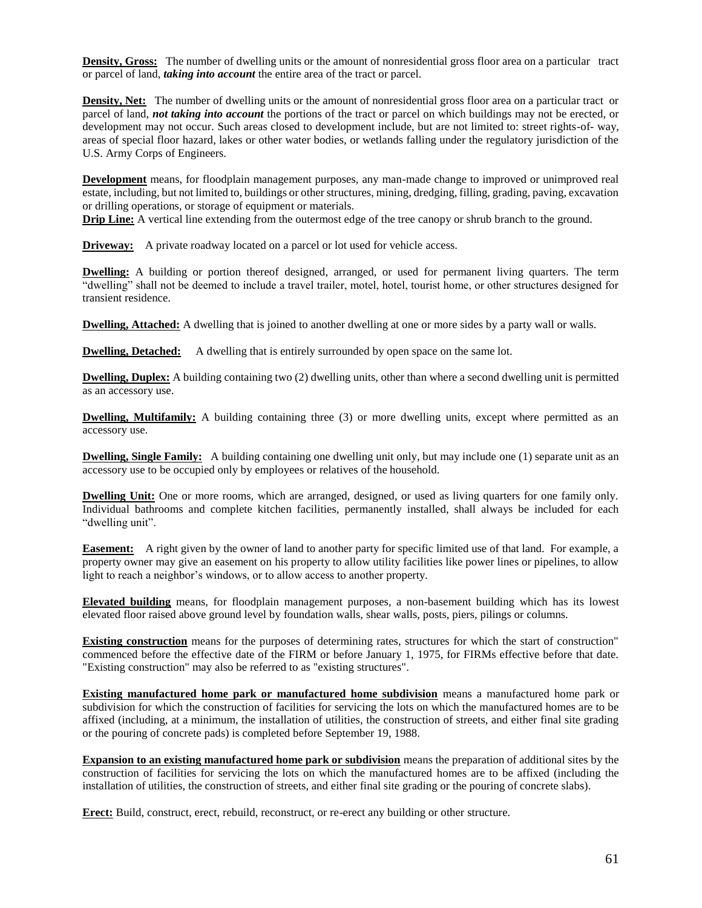**Density, Gross:** The number of dwelling units or the amount of nonresidential gross floor area on a particular tract or parcel of land, *taking into account* the entire area of the tract or parcel.

**Density, Net:** The number of dwelling units or the amount of nonresidential gross floor area on a particular tract or parcel of land, *not taking into account* the portions of the tract or parcel on which buildings may not be erected, or development may not occur. Such areas closed to development include, but are not limited to: street rights-of- way, areas of special floor hazard, lakes or other water bodies, or wetlands falling under the regulatory jurisdiction of the U.S. Army Corps of Engineers.

**Development** means, for floodplain management purposes, any man-made change to improved or unimproved real estate, including, but not limited to, buildings or other structures, mining, dredging, filling, grading, paving, excavation or drilling operations, or storage of equipment or materials.

**Drip Line:** A vertical line extending from the outermost edge of the tree canopy or shrub branch to the ground.

**Driveway:** A private roadway located on a parcel or lot used for vehicle access.

**Dwelling:** A building or portion thereof designed, arranged, or used for permanent living quarters. The term "dwelling" shall not be deemed to include a travel trailer, motel, hotel, tourist home, or other structures designed for transient residence.

**Dwelling, Attached:** A dwelling that is joined to another dwelling at one or more sides by a party wall or walls.

**Dwelling, Detached:** A dwelling that is entirely surrounded by open space on the same lot.

**Dwelling, Duplex:** A building containing two (2) dwelling units, other than where a second dwelling unit is permitted as an accessory use.

**Dwelling, Multifamily:** A building containing three (3) or more dwelling units, except where permitted as an accessory use.

**Dwelling, Single Family:** A building containing one dwelling unit only, but may include one (1) separate unit as an accessory use to be occupied only by employees or relatives of the household.

**Dwelling Unit:** One or more rooms, which are arranged, designed, or used as living quarters for one family only. Individual bathrooms and complete kitchen facilities, permanently installed, shall always be included for each "dwelling unit".

**Easement:** A right given by the owner of land to another party for specific limited use of that land. For example, a property owner may give an easement on his property to allow utility facilities like power lines or pipelines, to allow light to reach a neighbor's windows, or to allow access to another property.

**Elevated building** means, for floodplain management purposes, a non-basement building which has its lowest elevated floor raised above ground level by foundation walls, shear walls, posts, piers, pilings or columns.

**Existing construction** means for the purposes of determining rates, structures for which the start of construction" commenced before the effective date of the FIRM or before January 1, 1975, for FIRMs effective before that date. "Existing construction" may also be referred to as "existing structures".

**Existing manufactured home park or manufactured home subdivision** means a manufactured home park or subdivision for which the construction of facilities for servicing the lots on which the manufactured homes are to be affixed (including, at a minimum, the installation of utilities, the construction of streets, and either final site grading or the pouring of concrete pads) is completed before September 19, 1988.

**Expansion to an existing manufactured home park or subdivision** means the preparation of additional sites by the construction of facilities for servicing the lots on which the manufactured homes are to be affixed (including the installation of utilities, the construction of streets, and either final site grading or the pouring of concrete slabs).

**Erect:** Build, construct, erect, rebuild, reconstruct, or re-erect any building or other structure.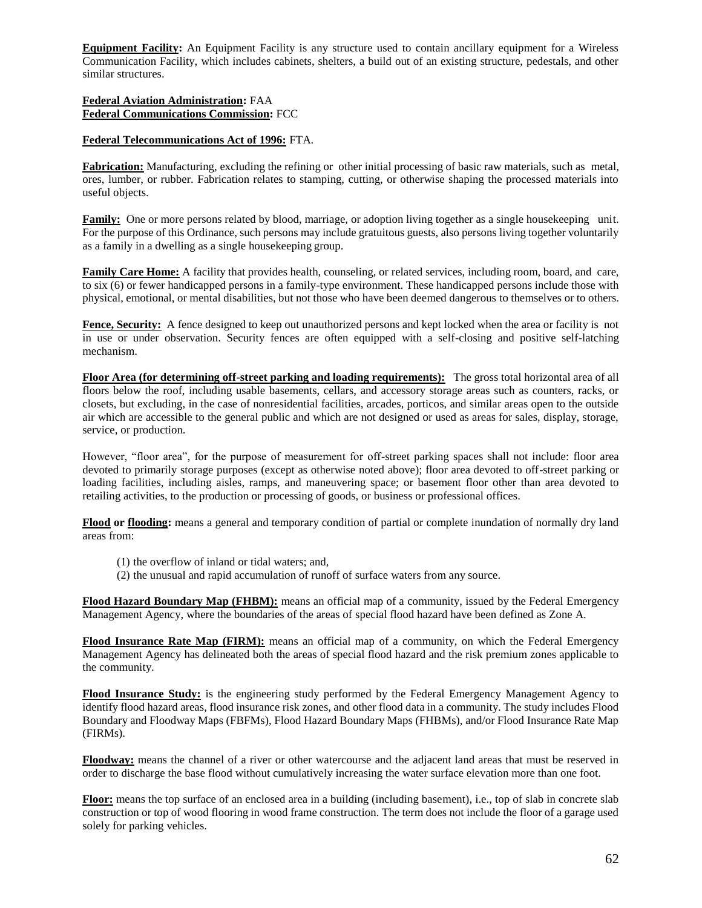**Equipment Facility:** An Equipment Facility is any structure used to contain ancillary equipment for a Wireless Communication Facility, which includes cabinets, shelters, a build out of an existing structure, pedestals, and other similar structures.

#### **Federal Aviation Administration:** FAA **Federal Communications Commission:** FCC

#### **Federal Telecommunications Act of 1996:** FTA.

**Fabrication:** Manufacturing, excluding the refining or other initial processing of basic raw materials, such as metal, ores, lumber, or rubber. Fabrication relates to stamping, cutting, or otherwise shaping the processed materials into useful objects.

**Family:** One or more persons related by blood, marriage, or adoption living together as a single housekeeping unit. For the purpose of this Ordinance, such persons may include gratuitous guests, also persons living together voluntarily as a family in a dwelling as a single housekeeping group.

**Family Care Home:** A facility that provides health, counseling, or related services, including room, board, and care, to six (6) or fewer handicapped persons in a family-type environment. These handicapped persons include those with physical, emotional, or mental disabilities, but not those who have been deemed dangerous to themselves or to others.

**Fence, Security:** A fence designed to keep out unauthorized persons and kept locked when the area or facility is not in use or under observation. Security fences are often equipped with a self-closing and positive self-latching mechanism.

**Floor Area (for determining off-street parking and loading requirements):** The gross total horizontal area of all floors below the roof, including usable basements, cellars, and accessory storage areas such as counters, racks, or closets, but excluding, in the case of nonresidential facilities, arcades, porticos, and similar areas open to the outside air which are accessible to the general public and which are not designed or used as areas for sales, display, storage, service, or production.

However, "floor area", for the purpose of measurement for off-street parking spaces shall not include: floor area devoted to primarily storage purposes (except as otherwise noted above); floor area devoted to off-street parking or loading facilities, including aisles, ramps, and maneuvering space; or basement floor other than area devoted to retailing activities, to the production or processing of goods, or business or professional offices.

**Flood or flooding:** means a general and temporary condition of partial or complete inundation of normally dry land areas from:

- (1) the overflow of inland or tidal waters; and,
- (2) the unusual and rapid accumulation of runoff of surface waters from any source.

**Flood Hazard Boundary Map (FHBM):** means an official map of a community, issued by the Federal Emergency Management Agency, where the boundaries of the areas of special flood hazard have been defined as Zone A.

**Flood Insurance Rate Map (FIRM):** means an official map of a community, on which the Federal Emergency Management Agency has delineated both the areas of special flood hazard and the risk premium zones applicable to the community.

**Flood Insurance Study:** is the engineering study performed by the Federal Emergency Management Agency to identify flood hazard areas, flood insurance risk zones, and other flood data in a community. The study includes Flood Boundary and Floodway Maps (FBFMs), Flood Hazard Boundary Maps (FHBMs), and/or Flood Insurance Rate Map (FIRMs).

**Floodway:** means the channel of a river or other watercourse and the adjacent land areas that must be reserved in order to discharge the base flood without cumulatively increasing the water surface elevation more than one foot.

**Floor:** means the top surface of an enclosed area in a building (including basement), i.e., top of slab in concrete slab construction or top of wood flooring in wood frame construction. The term does not include the floor of a garage used solely for parking vehicles.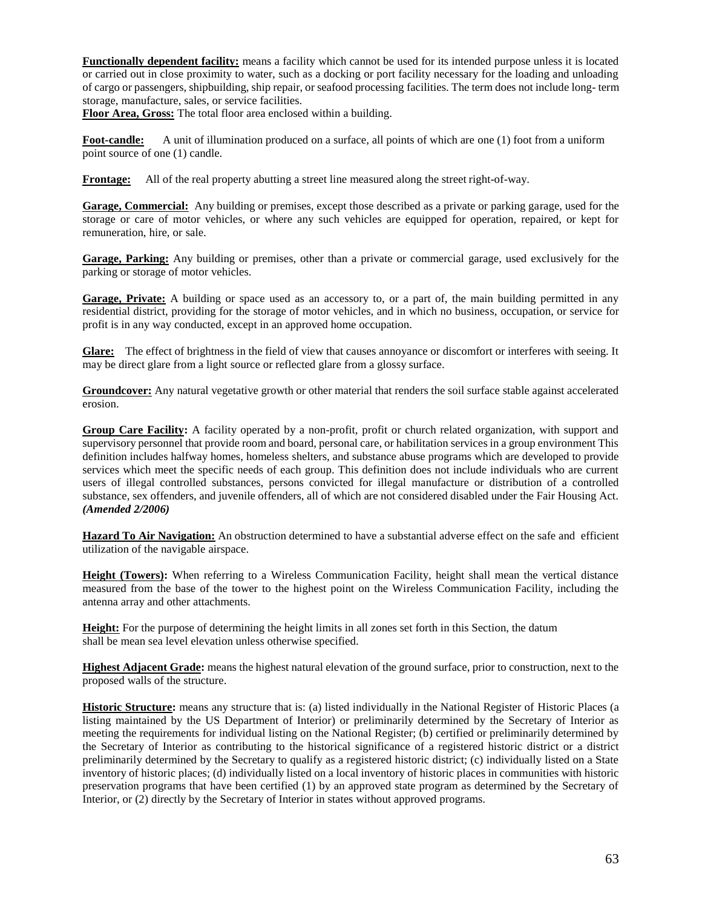**Functionally dependent facility:** means a facility which cannot be used for its intended purpose unless it is located or carried out in close proximity to water, such as a docking or port facility necessary for the loading and unloading of cargo or passengers, shipbuilding, ship repair, or seafood processing facilities. The term does not include long- term storage, manufacture, sales, or service facilities.

**Floor Area, Gross:** The total floor area enclosed within a building.

**Foot-candle:** A unit of illumination produced on a surface, all points of which are one (1) foot from a uniform point source of one (1) candle.

**Frontage:** All of the real property abutting a street line measured along the street right-of-way.

**Garage, Commercial:** Any building or premises, except those described as a private or parking garage, used for the storage or care of motor vehicles, or where any such vehicles are equipped for operation, repaired, or kept for remuneration, hire, or sale.

**Garage, Parking:** Any building or premises, other than a private or commercial garage, used exclusively for the parking or storage of motor vehicles.

**Garage, Private:** A building or space used as an accessory to, or a part of, the main building permitted in any residential district, providing for the storage of motor vehicles, and in which no business, occupation, or service for profit is in any way conducted, except in an approved home occupation.

**Glare:** The effect of brightness in the field of view that causes annoyance or discomfort or interferes with seeing. It may be direct glare from a light source or reflected glare from a glossy surface.

**Groundcover:** Any natural vegetative growth or other material that renders the soil surface stable against accelerated erosion.

**Group Care Facility:** A facility operated by a non-profit, profit or church related organization, with support and supervisory personnel that provide room and board, personal care, or habilitation services in a group environment This definition includes halfway homes, homeless shelters, and substance abuse programs which are developed to provide services which meet the specific needs of each group. This definition does not include individuals who are current users of illegal controlled substances, persons convicted for illegal manufacture or distribution of a controlled substance, sex offenders, and juvenile offenders, all of which are not considered disabled under the Fair Housing Act. *(Amended 2/2006)*

**Hazard To Air Navigation:** An obstruction determined to have a substantial adverse effect on the safe and efficient utilization of the navigable airspace.

**Height (Towers):** When referring to a Wireless Communication Facility, height shall mean the vertical distance measured from the base of the tower to the highest point on the Wireless Communication Facility, including the antenna array and other attachments.

**Height:** For the purpose of determining the height limits in all zones set forth in this Section, the datum shall be mean sea level elevation unless otherwise specified.

**Highest Adjacent Grade:** means the highest natural elevation of the ground surface, prior to construction, next to the proposed walls of the structure.

**Historic Structure:** means any structure that is: (a) listed individually in the National Register of Historic Places (a) listing maintained by the US Department of Interior) or preliminarily determined by the Secretary of Interior as meeting the requirements for individual listing on the National Register; (b) certified or preliminarily determined by the Secretary of Interior as contributing to the historical significance of a registered historic district or a district preliminarily determined by the Secretary to qualify as a registered historic district; (c) individually listed on a State inventory of historic places; (d) individually listed on a local inventory of historic places in communities with historic preservation programs that have been certified (1) by an approved state program as determined by the Secretary of Interior, or (2) directly by the Secretary of Interior in states without approved programs.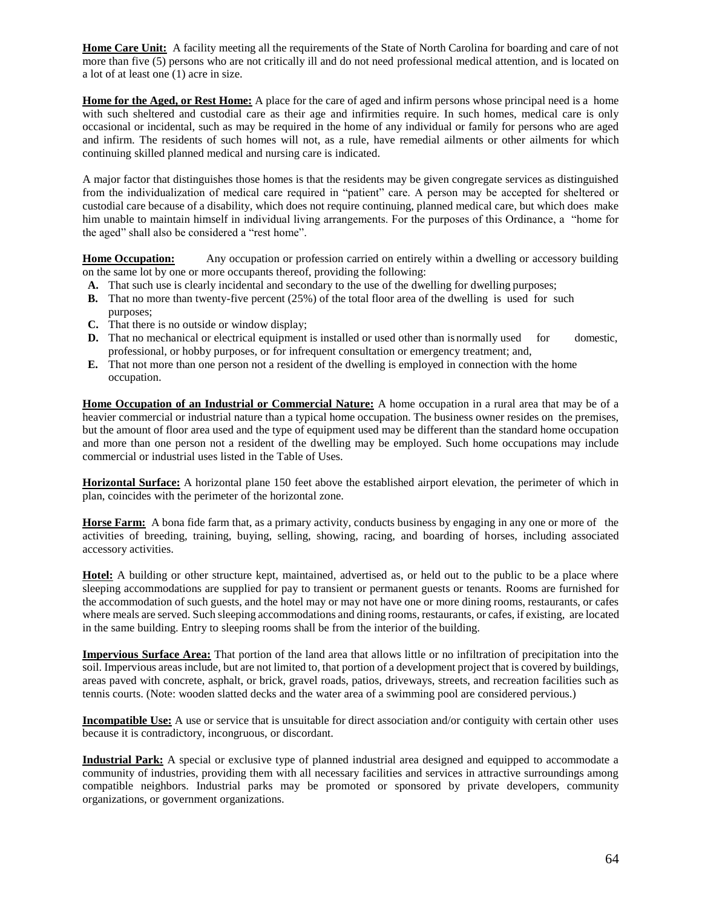**Home Care Unit:** A facility meeting all the requirements of the State of North Carolina for boarding and care of not more than five (5) persons who are not critically ill and do not need professional medical attention, and is located on a lot of at least one (1) acre in size.

**Home for the Aged, or Rest Home:** A place for the care of aged and infirm persons whose principal need is a home with such sheltered and custodial care as their age and infirmities require. In such homes, medical care is only occasional or incidental, such as may be required in the home of any individual or family for persons who are aged and infirm. The residents of such homes will not, as a rule, have remedial ailments or other ailments for which continuing skilled planned medical and nursing care is indicated.

A major factor that distinguishes those homes is that the residents may be given congregate services as distinguished from the individualization of medical care required in "patient" care. A person may be accepted for sheltered or custodial care because of a disability, which does not require continuing, planned medical care, but which does make him unable to maintain himself in individual living arrangements. For the purposes of this Ordinance, a "home for the aged" shall also be considered a "rest home".

**Home Occupation:** Any occupation or profession carried on entirely within a dwelling or accessory building on the same lot by one or more occupants thereof, providing the following:

- **A.** That such use is clearly incidental and secondary to the use of the dwelling for dwelling purposes;
- **B.** That no more than twenty-five percent (25%) of the total floor area of the dwelling is used for such purposes;
- **C.** That there is no outside or window display;
- **D.** That no mechanical or electrical equipment is installed or used other than is normally used for domestic, professional, or hobby purposes, or for infrequent consultation or emergency treatment; and,
- **E.** That not more than one person not a resident of the dwelling is employed in connection with the home occupation.

**Home Occupation of an Industrial or Commercial Nature:** A home occupation in a rural area that may be of a heavier commercial or industrial nature than a typical home occupation. The business owner resides on the premises, but the amount of floor area used and the type of equipment used may be different than the standard home occupation and more than one person not a resident of the dwelling may be employed. Such home occupations may include commercial or industrial uses listed in the Table of Uses.

**Horizontal Surface:** A horizontal plane 150 feet above the established airport elevation, the perimeter of which in plan, coincides with the perimeter of the horizontal zone.

**Horse Farm:** A bona fide farm that, as a primary activity, conducts business by engaging in any one or more of the activities of breeding, training, buying, selling, showing, racing, and boarding of horses, including associated accessory activities.

**Hotel:** A building or other structure kept, maintained, advertised as, or held out to the public to be a place where sleeping accommodations are supplied for pay to transient or permanent guests or tenants. Rooms are furnished for the accommodation of such guests, and the hotel may or may not have one or more dining rooms, restaurants, or cafes where meals are served. Such sleeping accommodations and dining rooms, restaurants, or cafes, if existing, are located in the same building. Entry to sleeping rooms shall be from the interior of the building.

**Impervious Surface Area:** That portion of the land area that allows little or no infiltration of precipitation into the soil. Impervious areas include, but are not limited to, that portion of a development project that is covered by buildings, areas paved with concrete, asphalt, or brick, gravel roads, patios, driveways, streets, and recreation facilities such as tennis courts. (Note: wooden slatted decks and the water area of a swimming pool are considered pervious.)

**Incompatible Use:** A use or service that is unsuitable for direct association and/or contiguity with certain other uses because it is contradictory, incongruous, or discordant.

**Industrial Park:** A special or exclusive type of planned industrial area designed and equipped to accommodate a community of industries, providing them with all necessary facilities and services in attractive surroundings among compatible neighbors. Industrial parks may be promoted or sponsored by private developers, community organizations, or government organizations.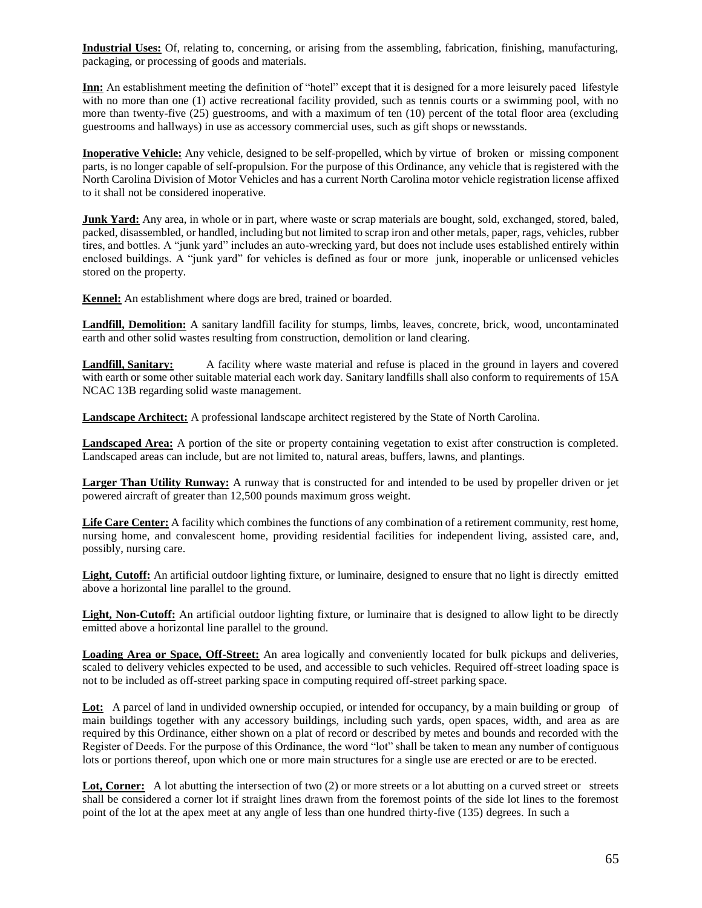**Industrial Uses:** Of, relating to, concerning, or arising from the assembling, fabrication, finishing, manufacturing, packaging, or processing of goods and materials.

**Inn:** An establishment meeting the definition of "hotel" except that it is designed for a more leisurely paced lifestyle with no more than one (1) active recreational facility provided, such as tennis courts or a swimming pool, with no more than twenty-five (25) guestrooms, and with a maximum of ten (10) percent of the total floor area (excluding guestrooms and hallways) in use as accessory commercial uses, such as gift shops or newsstands.

**Inoperative Vehicle:** Any vehicle, designed to be self-propelled, which by virtue of broken or missing component parts, is no longer capable of self-propulsion. For the purpose of this Ordinance, any vehicle that is registered with the North Carolina Division of Motor Vehicles and has a current North Carolina motor vehicle registration license affixed to it shall not be considered inoperative.

**Junk Yard:** Any area, in whole or in part, where waste or scrap materials are bought, sold, exchanged, stored, baled, packed, disassembled, or handled, including but not limited to scrap iron and other metals, paper, rags, vehicles, rubber tires, and bottles. A "junk yard" includes an auto-wrecking yard, but does not include uses established entirely within enclosed buildings. A "junk yard" for vehicles is defined as four or more junk, inoperable or unlicensed vehicles stored on the property.

**Kennel:** An establishment where dogs are bred, trained or boarded.

**Landfill, Demolition:** A sanitary landfill facility for stumps, limbs, leaves, concrete, brick, wood, uncontaminated earth and other solid wastes resulting from construction, demolition or land clearing.

**Landfill, Sanitary:** A facility where waste material and refuse is placed in the ground in layers and covered with earth or some other suitable material each work day. Sanitary landfills shall also conform to requirements of 15A NCAC 13B regarding solid waste management.

**Landscape Architect:** A professional landscape architect registered by the State of North Carolina.

**Landscaped Area:** A portion of the site or property containing vegetation to exist after construction is completed. Landscaped areas can include, but are not limited to, natural areas, buffers, lawns, and plantings.

**Larger Than Utility Runway:** A runway that is constructed for and intended to be used by propeller driven or jet powered aircraft of greater than 12,500 pounds maximum gross weight.

**Life Care Center:** A facility which combines the functions of any combination of a retirement community, rest home, nursing home, and convalescent home, providing residential facilities for independent living, assisted care, and, possibly, nursing care.

**Light, Cutoff:** An artificial outdoor lighting fixture, or luminaire, designed to ensure that no light is directly emitted above a horizontal line parallel to the ground.

Light, Non-Cutoff: An artificial outdoor lighting fixture, or luminaire that is designed to allow light to be directly emitted above a horizontal line parallel to the ground.

**Loading Area or Space, Off-Street:** An area logically and conveniently located for bulk pickups and deliveries, scaled to delivery vehicles expected to be used, and accessible to such vehicles. Required off-street loading space is not to be included as off-street parking space in computing required off-street parking space.

Lot: A parcel of land in undivided ownership occupied, or intended for occupancy, by a main building or group of main buildings together with any accessory buildings, including such yards, open spaces, width, and area as are required by this Ordinance, either shown on a plat of record or described by metes and bounds and recorded with the Register of Deeds. For the purpose of this Ordinance, the word "lot" shall be taken to mean any number of contiguous lots or portions thereof, upon which one or more main structures for a single use are erected or are to be erected.

Lot, Corner: A lot abutting the intersection of two (2) or more streets or a lot abutting on a curved street or streets shall be considered a corner lot if straight lines drawn from the foremost points of the side lot lines to the foremost point of the lot at the apex meet at any angle of less than one hundred thirty-five (135) degrees. In such a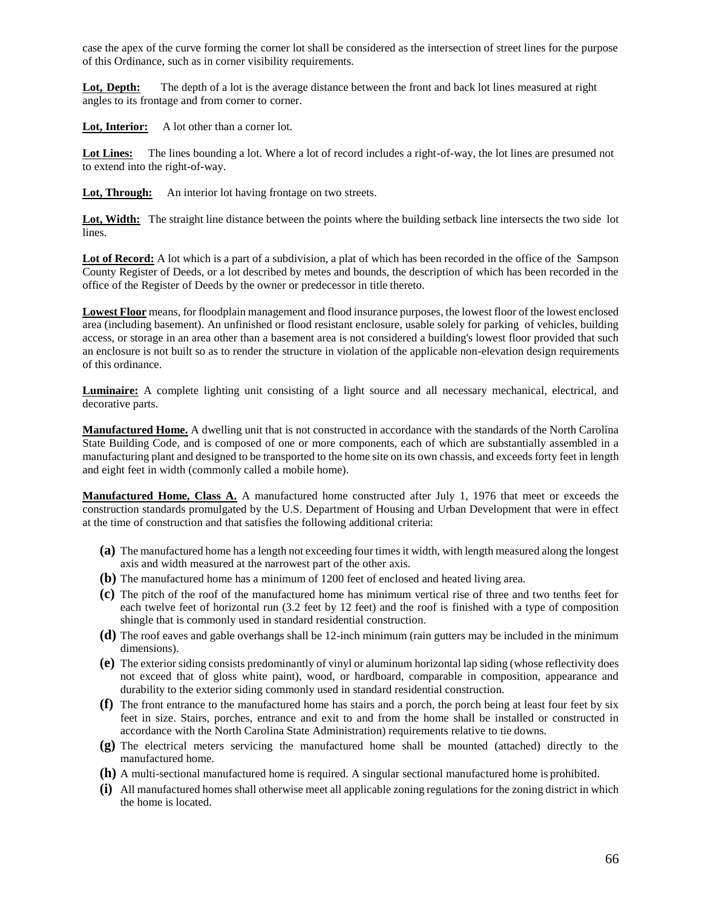case the apex of the curve forming the corner lot shall be considered as the intersection of street lines for the purpose of this Ordinance, such as in corner visibility requirements.

**Lot, Depth:** The depth of a lot is the average distance between the front and back lot lines measured at right angles to its frontage and from corner to corner.

**Lot, Interior:** A lot other than a corner lot.

**Lot Lines:** The lines bounding a lot. Where a lot of record includes a right-of-way, the lot lines are presumed not to extend into the right-of-way.

**Lot, Through:** An interior lot having frontage on two streets.

Lot, Width: The straight line distance between the points where the building setback line intersects the two side lot lines.

Lot of Record: A lot which is a part of a subdivision, a plat of which has been recorded in the office of the Sampson County Register of Deeds, or a lot described by metes and bounds, the description of which has been recorded in the office of the Register of Deeds by the owner or predecessor in title thereto.

**Lowest Floor** means, for floodplain management and flood insurance purposes, the lowest floor of the lowest enclosed area (including basement). An unfinished or flood resistant enclosure, usable solely for parking of vehicles, building access, or storage in an area other than a basement area is not considered a building's lowest floor provided that such an enclosure is not built so as to render the structure in violation of the applicable non-elevation design requirements of this ordinance.

**Luminaire:** A complete lighting unit consisting of a light source and all necessary mechanical, electrical, and decorative parts.

**Manufactured Home.** A dwelling unit that is not constructed in accordance with the standards of the North Carolina State Building Code, and is composed of one or more components, each of which are substantially assembled in a manufacturing plant and designed to be transported to the home site on its own chassis, and exceeds forty feet in length and eight feet in width (commonly called a mobile home).

**Manufactured Home, Class A.** A manufactured home constructed after July 1, 1976 that meet or exceeds the construction standards promulgated by the U.S. Department of Housing and Urban Development that were in effect at the time of construction and that satisfies the following additional criteria:

- **(a)** The manufactured home has a length not exceeding four times it width, with length measured along the longest axis and width measured at the narrowest part of the other axis.
- **(b)** The manufactured home has a minimum of 1200 feet of enclosed and heated living area.
- **(c)** The pitch of the roof of the manufactured home has minimum vertical rise of three and two tenths feet for each twelve feet of horizontal run (3.2 feet by 12 feet) and the roof is finished with a type of composition shingle that is commonly used in standard residential construction.
- **(d)** The roof eaves and gable overhangs shall be 12-inch minimum (rain gutters may be included in the minimum dimensions).
- **(e)** The exterior siding consists predominantly of vinyl or aluminum horizontal lap siding (whose reflectivity does not exceed that of gloss white paint), wood, or hardboard, comparable in composition, appearance and durability to the exterior siding commonly used in standard residential construction.
- **(f)** The front entrance to the manufactured home has stairs and a porch, the porch being at least four feet by six feet in size. Stairs, porches, entrance and exit to and from the home shall be installed or constructed in accordance with the North Carolina State Administration) requirements relative to tie downs.
- **(g)** The electrical meters servicing the manufactured home shall be mounted (attached) directly to the manufactured home.
- **(h)** A multi-sectional manufactured home is required. A singular sectional manufactured home is prohibited.
- **(i)** All manufactured homes shall otherwise meet all applicable zoning regulations for the zoning district in which the home is located.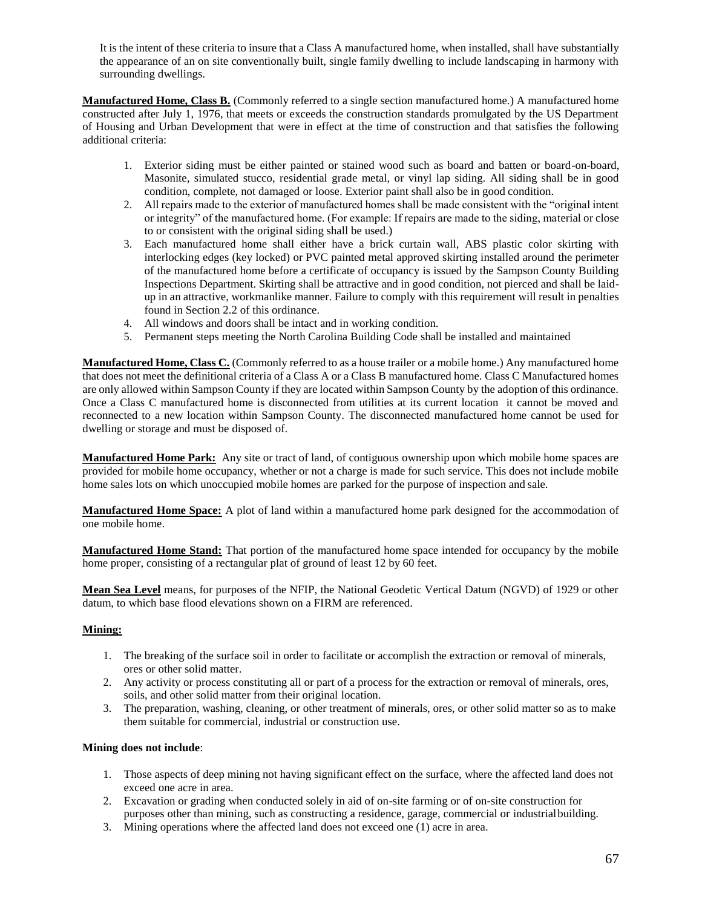It is the intent of these criteria to insure that a Class A manufactured home, when installed, shall have substantially the appearance of an on site conventionally built, single family dwelling to include landscaping in harmony with surrounding dwellings.

**Manufactured Home, Class B.** (Commonly referred to a single section manufactured home.) A manufactured home constructed after July 1, 1976, that meets or exceeds the construction standards promulgated by the US Department of Housing and Urban Development that were in effect at the time of construction and that satisfies the following additional criteria:

- 1. Exterior siding must be either painted or stained wood such as board and batten or board-on-board, Masonite, simulated stucco, residential grade metal, or vinyl lap siding. All siding shall be in good condition, complete, not damaged or loose. Exterior paint shall also be in good condition.
- 2. All repairs made to the exterior of manufactured homes shall be made consistent with the "original intent or integrity" of the manufactured home. (For example: If repairs are made to the siding, material or close to or consistent with the original siding shall be used.)
- 3. Each manufactured home shall either have a brick curtain wall, ABS plastic color skirting with interlocking edges (key locked) or PVC painted metal approved skirting installed around the perimeter of the manufactured home before a certificate of occupancy is issued by the Sampson County Building Inspections Department. Skirting shall be attractive and in good condition, not pierced and shall be laidup in an attractive, workmanlike manner. Failure to comply with this requirement will result in penalties found in Section 2.2 of this ordinance.
- 4. All windows and doors shall be intact and in working condition.
- 5. Permanent steps meeting the North Carolina Building Code shall be installed and maintained

**Manufactured Home, Class C.** (Commonly referred to as a house trailer or a mobile home.) Any manufactured home that does not meet the definitional criteria of a Class A or a Class B manufactured home. Class C Manufactured homes are only allowed within Sampson County if they are located within Sampson County by the adoption of this ordinance. Once a Class C manufactured home is disconnected from utilities at its current location it cannot be moved and reconnected to a new location within Sampson County. The disconnected manufactured home cannot be used for dwelling or storage and must be disposed of.

**Manufactured Home Park:** Any site or tract of land, of contiguous ownership upon which mobile home spaces are provided for mobile home occupancy, whether or not a charge is made for such service. This does not include mobile home sales lots on which unoccupied mobile homes are parked for the purpose of inspection and sale.

**Manufactured Home Space:** A plot of land within a manufactured home park designed for the accommodation of one mobile home.

**Manufactured Home Stand:** That portion of the manufactured home space intended for occupancy by the mobile home proper, consisting of a rectangular plat of ground of least 12 by 60 feet.

**Mean Sea Level** means, for purposes of the NFIP, the National Geodetic Vertical Datum (NGVD) of 1929 or other datum, to which base flood elevations shown on a FIRM are referenced.

#### **Mining:**

- 1. The breaking of the surface soil in order to facilitate or accomplish the extraction or removal of minerals, ores or other solid matter.
- 2. Any activity or process constituting all or part of a process for the extraction or removal of minerals, ores, soils, and other solid matter from their original location.
- 3. The preparation, washing, cleaning, or other treatment of minerals, ores, or other solid matter so as to make them suitable for commercial, industrial or construction use.

#### **Mining does not include**:

- 1. Those aspects of deep mining not having significant effect on the surface, where the affected land does not exceed one acre in area.
- 2. Excavation or grading when conducted solely in aid of on-site farming or of on-site construction for purposes other than mining, such as constructing a residence, garage, commercial or industrialbuilding.
- 3. Mining operations where the affected land does not exceed one (1) acre in area.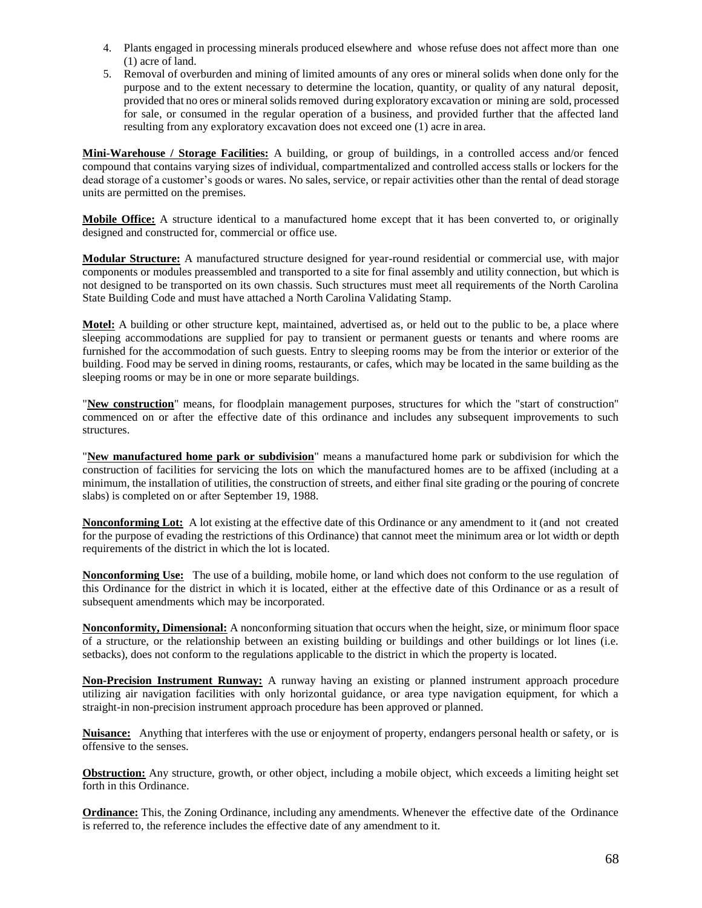- 4. Plants engaged in processing minerals produced elsewhere and whose refuse does not affect more than one (1) acre of land.
- 5. Removal of overburden and mining of limited amounts of any ores or mineral solids when done only for the purpose and to the extent necessary to determine the location, quantity, or quality of any natural deposit, provided that no ores or mineral solids removed during exploratory excavation or mining are sold, processed for sale, or consumed in the regular operation of a business, and provided further that the affected land resulting from any exploratory excavation does not exceed one (1) acre in area.

**Mini-Warehouse / Storage Facilities:** A building, or group of buildings, in a controlled access and/or fenced compound that contains varying sizes of individual, compartmentalized and controlled access stalls or lockers for the dead storage of a customer's goods or wares. No sales, service, or repair activities other than the rental of dead storage units are permitted on the premises.

**Mobile Office:** A structure identical to a manufactured home except that it has been converted to, or originally designed and constructed for, commercial or office use.

**Modular Structure:** A manufactured structure designed for year-round residential or commercial use, with major components or modules preassembled and transported to a site for final assembly and utility connection, but which is not designed to be transported on its own chassis. Such structures must meet all requirements of the North Carolina State Building Code and must have attached a North Carolina Validating Stamp.

**Motel:** A building or other structure kept, maintained, advertised as, or held out to the public to be, a place where sleeping accommodations are supplied for pay to transient or permanent guests or tenants and where rooms are furnished for the accommodation of such guests. Entry to sleeping rooms may be from the interior or exterior of the building. Food may be served in dining rooms, restaurants, or cafes, which may be located in the same building as the sleeping rooms or may be in one or more separate buildings.

"**New construction**" means, for floodplain management purposes, structures for which the "start of construction" commenced on or after the effective date of this ordinance and includes any subsequent improvements to such structures.

"**New manufactured home park or subdivision**" means a manufactured home park or subdivision for which the construction of facilities for servicing the lots on which the manufactured homes are to be affixed (including at a minimum, the installation of utilities, the construction of streets, and either final site grading or the pouring of concrete slabs) is completed on or after September 19, 1988.

**Nonconforming Lot:** A lot existing at the effective date of this Ordinance or any amendment to it (and not created for the purpose of evading the restrictions of this Ordinance) that cannot meet the minimum area or lot width or depth requirements of the district in which the lot is located.

**Nonconforming Use:** The use of a building, mobile home, or land which does not conform to the use regulation of this Ordinance for the district in which it is located, either at the effective date of this Ordinance or as a result of subsequent amendments which may be incorporated.

**Nonconformity, Dimensional:** A nonconforming situation that occurs when the height, size, or minimum floor space of a structure, or the relationship between an existing building or buildings and other buildings or lot lines (i.e. setbacks), does not conform to the regulations applicable to the district in which the property is located.

**Non-Precision Instrument Runway:** A runway having an existing or planned instrument approach procedure utilizing air navigation facilities with only horizontal guidance, or area type navigation equipment, for which a straight-in non-precision instrument approach procedure has been approved or planned.

**Nuisance:** Anything that interferes with the use or enjoyment of property, endangers personal health or safety, or is offensive to the senses.

**Obstruction:** Any structure, growth, or other object, including a mobile object, which exceeds a limiting height set forth in this Ordinance.

**Ordinance:** This, the Zoning Ordinance, including any amendments. Whenever the effective date of the Ordinance is referred to, the reference includes the effective date of any amendment to it.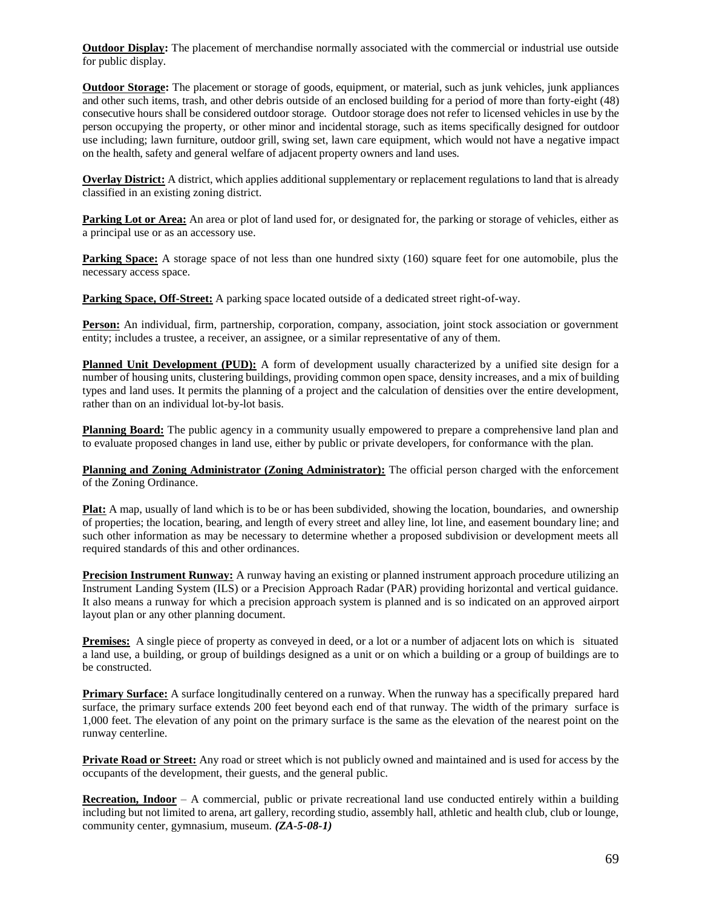**Outdoor Display:** The placement of merchandise normally associated with the commercial or industrial use outside for public display.

**Outdoor Storage:** The placement or storage of goods, equipment, or material, such as junk vehicles, junk appliances and other such items, trash, and other debris outside of an enclosed building for a period of more than forty-eight (48) consecutive hours shall be considered outdoor storage. Outdoor storage does not refer to licensed vehicles in use by the person occupying the property, or other minor and incidental storage, such as items specifically designed for outdoor use including; lawn furniture, outdoor grill, swing set, lawn care equipment, which would not have a negative impact on the health, safety and general welfare of adjacent property owners and land uses.

**Overlay District:** A district, which applies additional supplementary or replacement regulations to land that is already classified in an existing zoning district.

**Parking Lot or Area:** An area or plot of land used for, or designated for, the parking or storage of vehicles, either as a principal use or as an accessory use.

**Parking Space:** A storage space of not less than one hundred sixty (160) square feet for one automobile, plus the necessary access space.

**Parking Space, Off-Street:** A parking space located outside of a dedicated street right-of-way.

**Person:** An individual, firm, partnership, corporation, company, association, joint stock association or government entity; includes a trustee, a receiver, an assignee, or a similar representative of any of them.

**Planned Unit Development (PUD):** A form of development usually characterized by a unified site design for a number of housing units, clustering buildings, providing common open space, density increases, and a mix of building types and land uses. It permits the planning of a project and the calculation of densities over the entire development, rather than on an individual lot-by-lot basis.

**Planning Board:** The public agency in a community usually empowered to prepare a comprehensive land plan and to evaluate proposed changes in land use, either by public or private developers, for conformance with the plan.

**Planning and Zoning Administrator (Zoning Administrator):** The official person charged with the enforcement of the Zoning Ordinance.

**Plat:** A map, usually of land which is to be or has been subdivided, showing the location, boundaries, and ownership of properties; the location, bearing, and length of every street and alley line, lot line, and easement boundary line; and such other information as may be necessary to determine whether a proposed subdivision or development meets all required standards of this and other ordinances.

**Precision Instrument Runway:** A runway having an existing or planned instrument approach procedure utilizing an Instrument Landing System (ILS) or a Precision Approach Radar (PAR) providing horizontal and vertical guidance. It also means a runway for which a precision approach system is planned and is so indicated on an approved airport layout plan or any other planning document.

**Premises:** A single piece of property as conveyed in deed, or a lot or a number of adjacent lots on which is situated a land use, a building, or group of buildings designed as a unit or on which a building or a group of buildings are to be constructed.

**Primary Surface:** A surface longitudinally centered on a runway. When the runway has a specifically prepared hard surface, the primary surface extends 200 feet beyond each end of that runway. The width of the primary surface is 1,000 feet. The elevation of any point on the primary surface is the same as the elevation of the nearest point on the runway centerline.

**Private Road or Street:** Any road or street which is not publicly owned and maintained and is used for access by the occupants of the development, their guests, and the general public.

**Recreation, Indoor** – A commercial, public or private recreational land use conducted entirely within a building including but not limited to arena, art gallery, recording studio, assembly hall, athletic and health club, club or lounge, community center, gymnasium, museum. *(ZA-5-08-1)*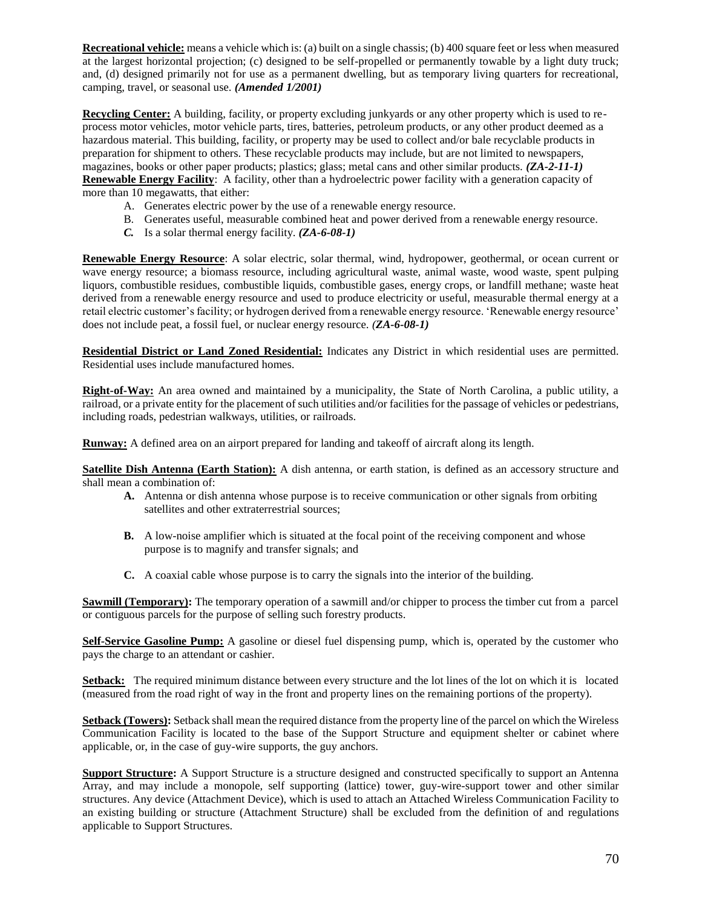**Recreational vehicle:** means a vehicle which is: (a) built on a single chassis; (b) 400 square feet or less when measured at the largest horizontal projection; (c) designed to be self-propelled or permanently towable by a light duty truck; and, (d) designed primarily not for use as a permanent dwelling, but as temporary living quarters for recreational, camping, travel, or seasonal use. *(Amended 1/2001)*

**Recycling Center:** A building, facility, or property excluding junkyards or any other property which is used to reprocess motor vehicles, motor vehicle parts, tires, batteries, petroleum products, or any other product deemed as a hazardous material. This building, facility, or property may be used to collect and/or bale recyclable products in preparation for shipment to others. These recyclable products may include, but are not limited to newspapers, magazines, books or other paper products; plastics; glass; metal cans and other similar products. *(ZA-2-11-1)*  **Renewable Energy Facility**: A facility, other than a hydroelectric power facility with a generation capacity of more than 10 megawatts, that either:

- A. Generates electric power by the use of a renewable energy resource.
- B. Generates useful, measurable combined heat and power derived from a renewable energy resource.
- *C.* Is a solar thermal energy facility. *(ZA-6-08-1)*

**Renewable Energy Resource**: A solar electric, solar thermal, wind, hydropower, geothermal, or ocean current or wave energy resource; a biomass resource, including agricultural waste, animal waste, wood waste, spent pulping liquors, combustible residues, combustible liquids, combustible gases, energy crops, or landfill methane; waste heat derived from a renewable energy resource and used to produce electricity or useful, measurable thermal energy at a retail electric customer's facility; or hydrogen derived from a renewable energy resource. 'Renewable energy resource' does not include peat, a fossil fuel, or nuclear energy resource. *(ZA-6-08-1)*

**Residential District or Land Zoned Residential:** Indicates any District in which residential uses are permitted. Residential uses include manufactured homes.

**Right-of-Way:** An area owned and maintained by a municipality, the State of North Carolina, a public utility, a railroad, or a private entity for the placement of such utilities and/or facilities for the passage of vehicles or pedestrians, including roads, pedestrian walkways, utilities, or railroads.

**Runway:** A defined area on an airport prepared for landing and takeoff of aircraft along its length.

**Satellite Dish Antenna (Earth Station):** A dish antenna, or earth station, is defined as an accessory structure and shall mean a combination of:

- **A.** Antenna or dish antenna whose purpose is to receive communication or other signals from orbiting satellites and other extraterrestrial sources;
- **B.** A low-noise amplifier which is situated at the focal point of the receiving component and whose purpose is to magnify and transfer signals; and
- **C.** A coaxial cable whose purpose is to carry the signals into the interior of the building.

**Sawmill (Temporary):** The temporary operation of a sawmill and/or chipper to process the timber cut from a parcel or contiguous parcels for the purpose of selling such forestry products.

**Self-Service Gasoline Pump:** A gasoline or diesel fuel dispensing pump, which is, operated by the customer who pays the charge to an attendant or cashier.

**Setback:** The required minimum distance between every structure and the lot lines of the lot on which it is located (measured from the road right of way in the front and property lines on the remaining portions of the property).

**Setback (Towers):** Setback shall mean the required distance from the property line of the parcel on which the Wireless Communication Facility is located to the base of the Support Structure and equipment shelter or cabinet where applicable, or, in the case of guy-wire supports, the guy anchors.

**Support Structure:** A Support Structure is a structure designed and constructed specifically to support an Antenna Array, and may include a monopole, self supporting (lattice) tower, guy-wire-support tower and other similar structures. Any device (Attachment Device), which is used to attach an Attached Wireless Communication Facility to an existing building or structure (Attachment Structure) shall be excluded from the definition of and regulations applicable to Support Structures.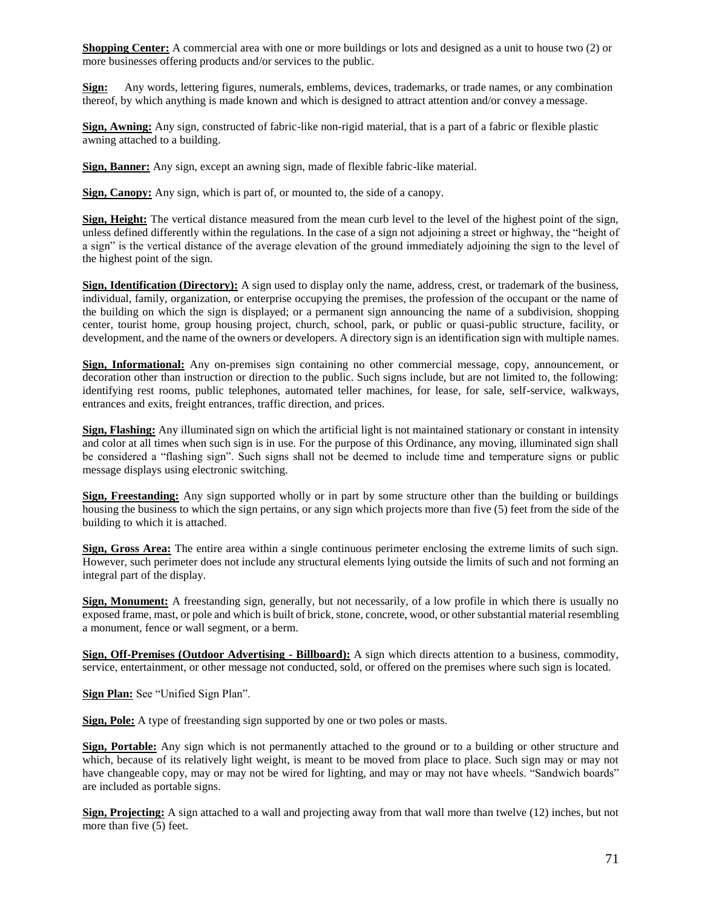**Shopping Center:** A commercial area with one or more buildings or lots and designed as a unit to house two (2) or more businesses offering products and/or services to the public.

**Sign:** Any words, lettering figures, numerals, emblems, devices, trademarks, or trade names, or any combination thereof, by which anything is made known and which is designed to attract attention and/or convey a message.

**Sign, Awning:** Any sign, constructed of fabric-like non-rigid material, that is a part of a fabric or flexible plastic awning attached to a building.

**Sign, Banner:** Any sign, except an awning sign, made of flexible fabric-like material.

**Sign, Canopy:** Any sign, which is part of, or mounted to, the side of a canopy.

**Sign, Height:** The vertical distance measured from the mean curb level to the level of the highest point of the sign, unless defined differently within the regulations. In the case of a sign not adjoining a street or highway, the "height of a sign" is the vertical distance of the average elevation of the ground immediately adjoining the sign to the level of the highest point of the sign.

**Sign, Identification (Directory):** A sign used to display only the name, address, crest, or trademark of the business, individual, family, organization, or enterprise occupying the premises, the profession of the occupant or the name of the building on which the sign is displayed; or a permanent sign announcing the name of a subdivision, shopping center, tourist home, group housing project, church, school, park, or public or quasi-public structure, facility, or development, and the name of the owners or developers. A directory sign is an identification sign with multiple names.

**Sign, Informational:** Any on-premises sign containing no other commercial message, copy, announcement, or decoration other than instruction or direction to the public. Such signs include, but are not limited to, the following: identifying rest rooms, public telephones, automated teller machines, for lease, for sale, self-service, walkways, entrances and exits, freight entrances, traffic direction, and prices.

**Sign, Flashing:** Any illuminated sign on which the artificial light is not maintained stationary or constant in intensity and color at all times when such sign is in use. For the purpose of this Ordinance, any moving, illuminated sign shall be considered a "flashing sign". Such signs shall not be deemed to include time and temperature signs or public message displays using electronic switching.

**Sign, Freestanding:** Any sign supported wholly or in part by some structure other than the building or buildings housing the business to which the sign pertains, or any sign which projects more than five (5) feet from the side of the building to which it is attached.

**Sign, Gross Area:** The entire area within a single continuous perimeter enclosing the extreme limits of such sign. However, such perimeter does not include any structural elements lying outside the limits of such and not forming an integral part of the display.

**Sign, Monument:** A freestanding sign, generally, but not necessarily, of a low profile in which there is usually no exposed frame, mast, or pole and which is built of brick, stone, concrete, wood, or other substantial material resembling a monument, fence or wall segment, or a berm.

**Sign, Off-Premises (Outdoor Advertising - Billboard):** A sign which directs attention to a business, commodity, service, entertainment, or other message not conducted, sold, or offered on the premises where such sign is located.

**Sign Plan:** See "Unified Sign Plan".

**Sign, Pole:** A type of freestanding sign supported by one or two poles or masts.

**Sign, Portable:** Any sign which is not permanently attached to the ground or to a building or other structure and which, because of its relatively light weight, is meant to be moved from place to place. Such sign may or may not have changeable copy, may or may not be wired for lighting, and may or may not have wheels. "Sandwich boards" are included as portable signs.

**Sign, Projecting:** A sign attached to a wall and projecting away from that wall more than twelve (12) inches, but not more than five (5) feet.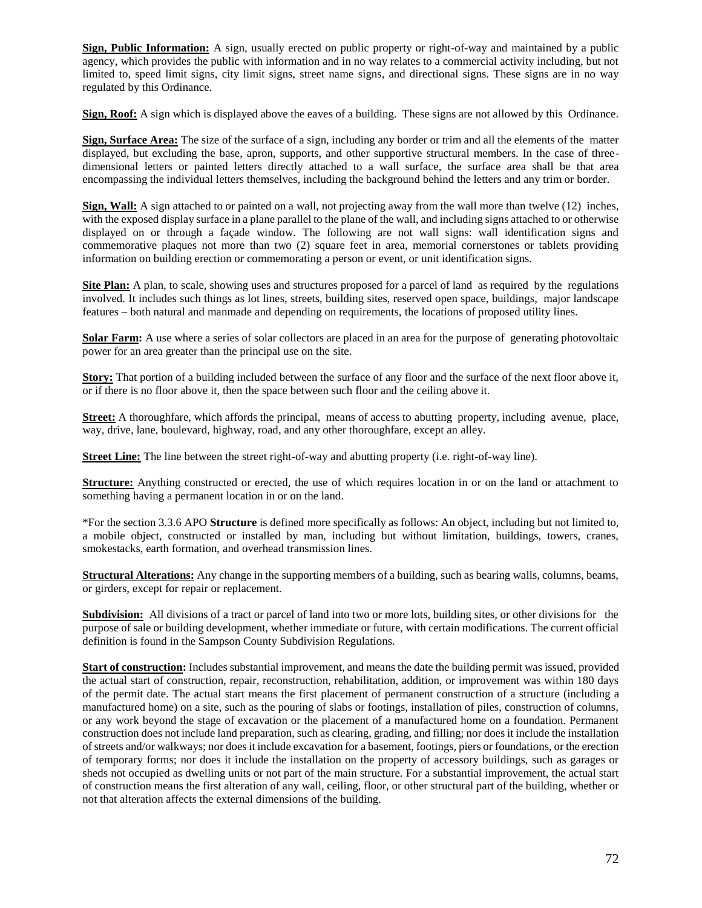**Sign, Public Information:** A sign, usually erected on public property or right-of-way and maintained by a public agency, which provides the public with information and in no way relates to a commercial activity including, but not limited to, speed limit signs, city limit signs, street name signs, and directional signs. These signs are in no way regulated by this Ordinance.

**Sign, Roof:** A sign which is displayed above the eaves of a building. These signs are not allowed by this Ordinance.

**Sign, Surface Area:** The size of the surface of a sign, including any border or trim and all the elements of the matter displayed, but excluding the base, apron, supports, and other supportive structural members. In the case of threedimensional letters or painted letters directly attached to a wall surface, the surface area shall be that area encompassing the individual letters themselves, including the background behind the letters and any trim or border.

**Sign, Wall:** A sign attached to or painted on a wall, not projecting away from the wall more than twelve (12) inches, with the exposed display surface in a plane parallel to the plane of the wall, and including signs attached to or otherwise displayed on or through a façade window. The following are not wall signs: wall identification signs and commemorative plaques not more than two (2) square feet in area, memorial cornerstones or tablets providing information on building erection or commemorating a person or event, or unit identification signs.

**Site Plan:** A plan, to scale, showing uses and structures proposed for a parcel of land as required by the regulations involved. It includes such things as lot lines, streets, building sites, reserved open space, buildings, major landscape features – both natural and manmade and depending on requirements, the locations of proposed utility lines.

**Solar Farm:** A use where a series of solar collectors are placed in an area for the purpose of generating photovoltaic power for an area greater than the principal use on the site.

**Story:** That portion of a building included between the surface of any floor and the surface of the next floor above it, or if there is no floor above it, then the space between such floor and the ceiling above it.

**Street:** A thoroughfare, which affords the principal, means of access to abutting property, including avenue, place, way, drive, lane, boulevard, highway, road, and any other thoroughfare, except an alley.

**Street Line:** The line between the street right-of-way and abutting property (i.e. right-of-way line).

**Structure:** Anything constructed or erected, the use of which requires location in or on the land or attachment to something having a permanent location in or on the land.

\*For the section 3.3.6 APO **Structure** is defined more specifically as follows: An object, including but not limited to, a mobile object, constructed or installed by man, including but without limitation, buildings, towers, cranes, smokestacks, earth formation, and overhead transmission lines.

**Structural Alterations:** Any change in the supporting members of a building, such as bearing walls, columns, beams, or girders, except for repair or replacement.

**Subdivision:** All divisions of a tract or parcel of land into two or more lots, building sites, or other divisions for the purpose of sale or building development, whether immediate or future, with certain modifications. The current official definition is found in the Sampson County Subdivision Regulations.

**Start of construction:** Includes substantial improvement, and means the date the building permit was issued, provided the actual start of construction, repair, reconstruction, rehabilitation, addition, or improvement was within 180 days of the permit date. The actual start means the first placement of permanent construction of a structure (including a manufactured home) on a site, such as the pouring of slabs or footings, installation of piles, construction of columns, or any work beyond the stage of excavation or the placement of a manufactured home on a foundation. Permanent construction does not include land preparation, such as clearing, grading, and filling; nor does it include the installation of streets and/or walkways; nor does it include excavation for a basement, footings, piers or foundations, or the erection of temporary forms; nor does it include the installation on the property of accessory buildings, such as garages or sheds not occupied as dwelling units or not part of the main structure. For a substantial improvement, the actual start of construction means the first alteration of any wall, ceiling, floor, or other structural part of the building, whether or not that alteration affects the external dimensions of the building.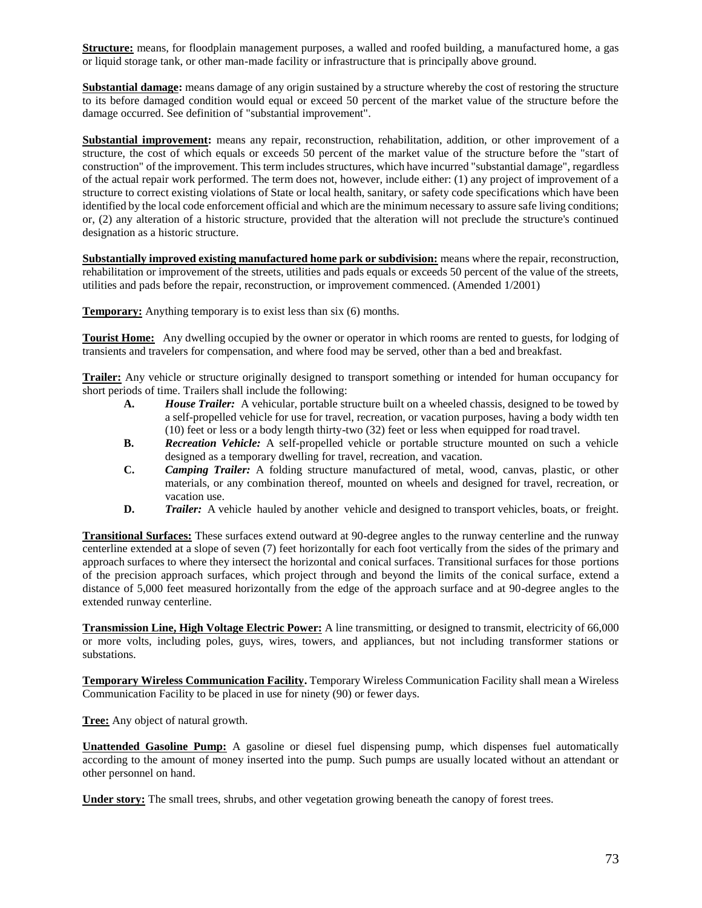**Structure:** means, for floodplain management purposes, a walled and roofed building, a manufactured home, a gas or liquid storage tank, or other man-made facility or infrastructure that is principally above ground.

**Substantial damage:** means damage of any origin sustained by a structure whereby the cost of restoring the structure to its before damaged condition would equal or exceed 50 percent of the market value of the structure before the damage occurred. See definition of "substantial improvement".

**Substantial improvement:** means any repair, reconstruction, rehabilitation, addition, or other improvement of a structure, the cost of which equals or exceeds 50 percent of the market value of the structure before the "start of construction" of the improvement. This term includes structures, which have incurred "substantial damage", regardless of the actual repair work performed. The term does not, however, include either: (1) any project of improvement of a structure to correct existing violations of State or local health, sanitary, or safety code specifications which have been identified by the local code enforcement official and which are the minimum necessary to assure safe living conditions; or, (2) any alteration of a historic structure, provided that the alteration will not preclude the structure's continued designation as a historic structure.

**Substantially improved existing manufactured home park or subdivision:** means where the repair, reconstruction, rehabilitation or improvement of the streets, utilities and pads equals or exceeds 50 percent of the value of the streets, utilities and pads before the repair, reconstruction, or improvement commenced. (Amended 1/2001)

**Temporary:** Anything temporary is to exist less than six (6) months.

**Tourist Home:** Any dwelling occupied by the owner or operator in which rooms are rented to guests, for lodging of transients and travelers for compensation, and where food may be served, other than a bed and breakfast.

**Trailer:** Any vehicle or structure originally designed to transport something or intended for human occupancy for short periods of time. Trailers shall include the following:

- **A.** *House Trailer:* A vehicular, portable structure built on a wheeled chassis, designed to be towed by a self-propelled vehicle for use for travel, recreation, or vacation purposes, having a body width ten (10) feet or less or a body length thirty-two (32) feet or less when equipped for road travel.
- **B.** *Recreation Vehicle:* A self-propelled vehicle or portable structure mounted on such a vehicle designed as a temporary dwelling for travel, recreation, and vacation.
- **C.** *Camping Trailer:* A folding structure manufactured of metal, wood, canvas, plastic, or other materials, or any combination thereof, mounted on wheels and designed for travel, recreation, or vacation use.
- **D.** *Trailer:* A vehicle hauled by another vehicle and designed to transport vehicles, boats, or freight.

**Transitional Surfaces:** These surfaces extend outward at 90-degree angles to the runway centerline and the runway centerline extended at a slope of seven (7) feet horizontally for each foot vertically from the sides of the primary and approach surfaces to where they intersect the horizontal and conical surfaces. Transitional surfaces for those portions of the precision approach surfaces, which project through and beyond the limits of the conical surface, extend a distance of 5,000 feet measured horizontally from the edge of the approach surface and at 90-degree angles to the extended runway centerline.

**Transmission Line, High Voltage Electric Power:** A line transmitting, or designed to transmit, electricity of 66,000 or more volts, including poles, guys, wires, towers, and appliances, but not including transformer stations or substations.

**Temporary Wireless Communication Facility.** Temporary Wireless Communication Facility shall mean a Wireless Communication Facility to be placed in use for ninety (90) or fewer days.

**Tree:** Any object of natural growth.

**Unattended Gasoline Pump:** A gasoline or diesel fuel dispensing pump, which dispenses fuel automatically according to the amount of money inserted into the pump. Such pumps are usually located without an attendant or other personnel on hand.

**Under story:** The small trees, shrubs, and other vegetation growing beneath the canopy of forest trees.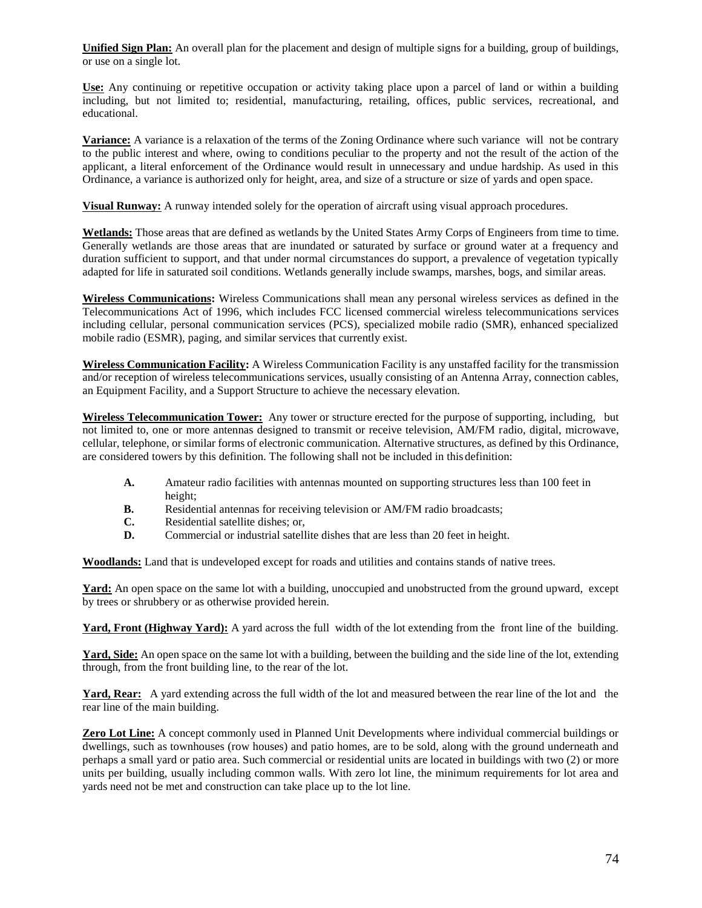**Unified Sign Plan:** An overall plan for the placement and design of multiple signs for a building, group of buildings, or use on a single lot.

**Use:** Any continuing or repetitive occupation or activity taking place upon a parcel of land or within a building including, but not limited to; residential, manufacturing, retailing, offices, public services, recreational, and educational.

**Variance:** A variance is a relaxation of the terms of the Zoning Ordinance where such variance will not be contrary to the public interest and where, owing to conditions peculiar to the property and not the result of the action of the applicant, a literal enforcement of the Ordinance would result in unnecessary and undue hardship. As used in this Ordinance, a variance is authorized only for height, area, and size of a structure or size of yards and open space.

**Visual Runway:** A runway intended solely for the operation of aircraft using visual approach procedures.

**Wetlands:** Those areas that are defined as wetlands by the United States Army Corps of Engineers from time to time. Generally wetlands are those areas that are inundated or saturated by surface or ground water at a frequency and duration sufficient to support, and that under normal circumstances do support, a prevalence of vegetation typically adapted for life in saturated soil conditions. Wetlands generally include swamps, marshes, bogs, and similar areas.

**Wireless Communications:** Wireless Communications shall mean any personal wireless services as defined in the Telecommunications Act of 1996, which includes FCC licensed commercial wireless telecommunications services including cellular, personal communication services (PCS), specialized mobile radio (SMR), enhanced specialized mobile radio (ESMR), paging, and similar services that currently exist.

**Wireless Communication Facility:** A Wireless Communication Facility is any unstaffed facility for the transmission and/or reception of wireless telecommunications services, usually consisting of an Antenna Array, connection cables, an Equipment Facility, and a Support Structure to achieve the necessary elevation.

**Wireless Telecommunication Tower:** Any tower or structure erected for the purpose of supporting, including, but not limited to, one or more antennas designed to transmit or receive television, AM/FM radio, digital, microwave, cellular, telephone, or similar forms of electronic communication. Alternative structures, as defined by this Ordinance, are considered towers by this definition. The following shall not be included in thisdefinition:

- **A.** Amateur radio facilities with antennas mounted on supporting structures less than 100 feet in height;
- **B.** Residential antennas for receiving television or AM/FM radio broadcasts;
- **C.** Residential satellite dishes; or,
- **D.** Commercial or industrial satellite dishes that are less than 20 feet in height.

**Woodlands:** Land that is undeveloped except for roads and utilities and contains stands of native trees.

**Yard:** An open space on the same lot with a building, unoccupied and unobstructed from the ground upward, except by trees or shrubbery or as otherwise provided herein.

**Yard, Front (Highway Yard):** A yard across the full width of the lot extending from the front line of the building.

**Yard, Side:** An open space on the same lot with a building, between the building and the side line of the lot, extending through, from the front building line, to the rear of the lot.

**Yard, Rear:** A yard extending across the full width of the lot and measured between the rear line of the lot and the rear line of the main building.

**Zero Lot Line:** A concept commonly used in Planned Unit Developments where individual commercial buildings or dwellings, such as townhouses (row houses) and patio homes, are to be sold, along with the ground underneath and perhaps a small yard or patio area. Such commercial or residential units are located in buildings with two (2) or more units per building, usually including common walls. With zero lot line, the minimum requirements for lot area and yards need not be met and construction can take place up to the lot line.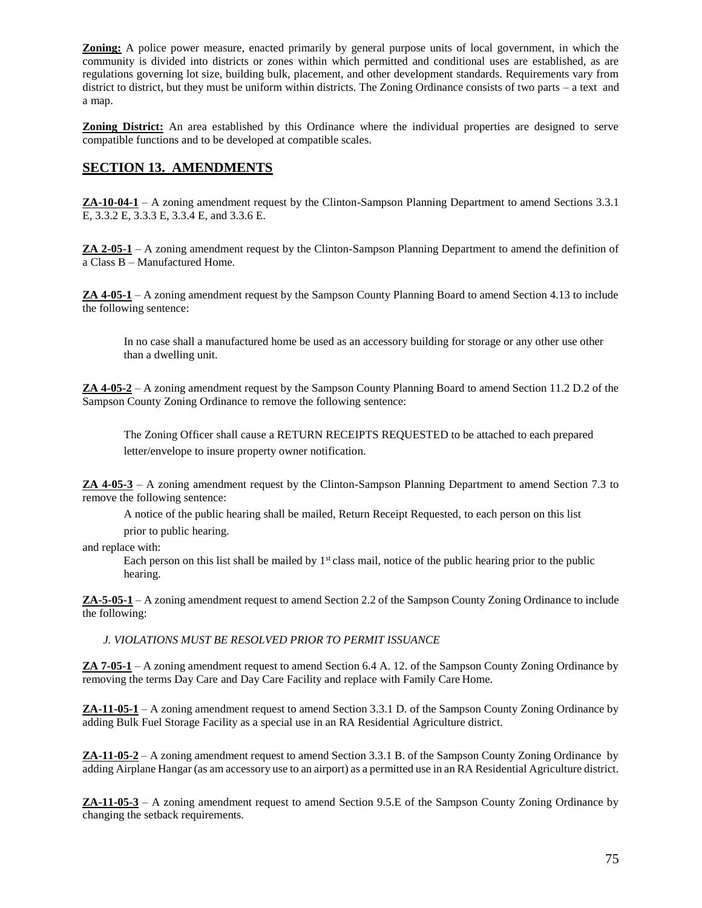**Zoning:** A police power measure, enacted primarily by general purpose units of local government, in which the community is divided into districts or zones within which permitted and conditional uses are established, as are regulations governing lot size, building bulk, placement, and other development standards. Requirements vary from district to district, but they must be uniform within districts. The Zoning Ordinance consists of two parts – a text and a map.

**Zoning District:** An area established by this Ordinance where the individual properties are designed to serve compatible functions and to be developed at compatible scales.

## **SECTION 13. AMENDMENTS**

**ZA-10-04-1** – A zoning amendment request by the Clinton-Sampson Planning Department to amend Sections 3.3.1 E, 3.3.2 E, 3.3.3 E, 3.3.4 E, and 3.3.6 E.

**ZA 2-05-1** – A zoning amendment request by the Clinton-Sampson Planning Department to amend the definition of a Class B – Manufactured Home.

**ZA 4-05-1** – A zoning amendment request by the Sampson County Planning Board to amend Section 4.13 to include the following sentence:

In no case shall a manufactured home be used as an accessory building for storage or any other use other than a dwelling unit.

**ZA 4-05-2** – A zoning amendment request by the Sampson County Planning Board to amend Section 11.2 D.2 of the Sampson County Zoning Ordinance to remove the following sentence:

The Zoning Officer shall cause a RETURN RECEIPTS REQUESTED to be attached to each prepared letter/envelope to insure property owner notification.

**ZA 4-05-3** – A zoning amendment request by the Clinton-Sampson Planning Department to amend Section 7.3 to remove the following sentence:

A notice of the public hearing shall be mailed, Return Receipt Requested, to each person on this list

prior to public hearing.

and replace with:

Each person on this list shall be mailed by 1<sup>st</sup> class mail, notice of the public hearing prior to the public hearing.

**ZA-5-05-1** – A zoning amendment request to amend Section 2.2 of the Sampson County Zoning Ordinance to include the following:

*J. VIOLATIONS MUST BE RESOLVED PRIOR TO PERMIT ISSUANCE*

**ZA 7-05-1** – A zoning amendment request to amend Section 6.4 A. 12. of the Sampson County Zoning Ordinance by removing the terms Day Care and Day Care Facility and replace with Family Care Home.

**ZA-11-05-1** – A zoning amendment request to amend Section 3.3.1 D. of the Sampson County Zoning Ordinance by adding Bulk Fuel Storage Facility as a special use in an RA Residential Agriculture district.

**ZA-11-05-2** – A zoning amendment request to amend Section 3.3.1 B. of the Sampson County Zoning Ordinance by adding Airplane Hangar (as am accessory use to an airport) as a permitted use in an RA Residential Agriculture district.

**ZA-11-05-3** – A zoning amendment request to amend Section 9.5.E of the Sampson County Zoning Ordinance by changing the setback requirements.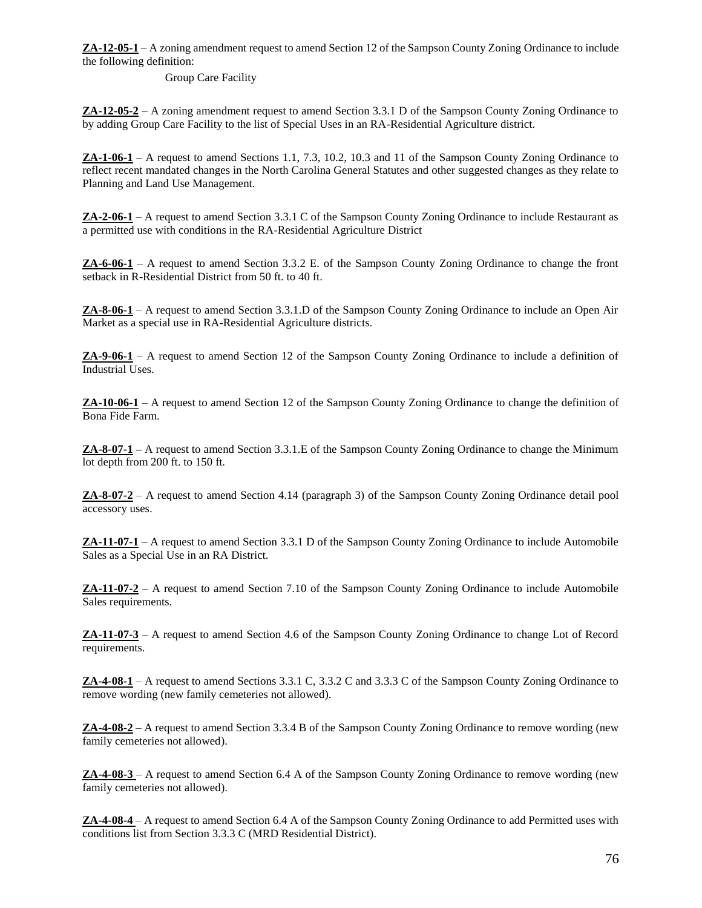**ZA-12-05-1** – A zoning amendment request to amend Section 12 of the Sampson County Zoning Ordinance to include the following definition:

Group Care Facility

**ZA-12-05-2** – A zoning amendment request to amend Section 3.3.1 D of the Sampson County Zoning Ordinance to by adding Group Care Facility to the list of Special Uses in an RA-Residential Agriculture district.

**ZA-1-06-1** – A request to amend Sections 1.1, 7.3, 10.2, 10.3 and 11 of the Sampson County Zoning Ordinance to reflect recent mandated changes in the North Carolina General Statutes and other suggested changes as they relate to Planning and Land Use Management.

**ZA-2-06-1** – A request to amend Section 3.3.1 C of the Sampson County Zoning Ordinance to include Restaurant as a permitted use with conditions in the RA-Residential Agriculture District

**ZA-6-06-1** – A request to amend Section 3.3.2 E. of the Sampson County Zoning Ordinance to change the front setback in R-Residential District from 50 ft. to 40 ft.

**ZA-8-06-1** – A request to amend Section 3.3.1.D of the Sampson County Zoning Ordinance to include an Open Air Market as a special use in RA-Residential Agriculture districts.

**ZA-9-06-1** – A request to amend Section 12 of the Sampson County Zoning Ordinance to include a definition of Industrial Uses.

**ZA-10-06-1** – A request to amend Section 12 of the Sampson County Zoning Ordinance to change the definition of Bona Fide Farm.

**ZA-8-07-1 –** A request to amend Section 3.3.1.E of the Sampson County Zoning Ordinance to change the Minimum lot depth from 200 ft. to 150 ft.

**ZA-8-07-2** – A request to amend Section 4.14 (paragraph 3) of the Sampson County Zoning Ordinance detail pool accessory uses.

**ZA-11-07-1** – A request to amend Section 3.3.1 D of the Sampson County Zoning Ordinance to include Automobile Sales as a Special Use in an RA District.

**ZA-11-07-2** – A request to amend Section 7.10 of the Sampson County Zoning Ordinance to include Automobile Sales requirements.

**ZA-11-07-3** – A request to amend Section 4.6 of the Sampson County Zoning Ordinance to change Lot of Record requirements.

**ZA-4-08-1** – A request to amend Sections 3.3.1 C, 3.3.2 C and 3.3.3 C of the Sampson County Zoning Ordinance to remove wording (new family cemeteries not allowed).

**ZA-4-08-2** – A request to amend Section 3.3.4 B of the Sampson County Zoning Ordinance to remove wording (new family cemeteries not allowed).

**ZA-4-08-3** – A request to amend Section 6.4 A of the Sampson County Zoning Ordinance to remove wording (new family cemeteries not allowed).

**ZA-4-08-4** – A request to amend Section 6.4 A of the Sampson County Zoning Ordinance to add Permitted uses with conditions list from Section 3.3.3 C (MRD Residential District).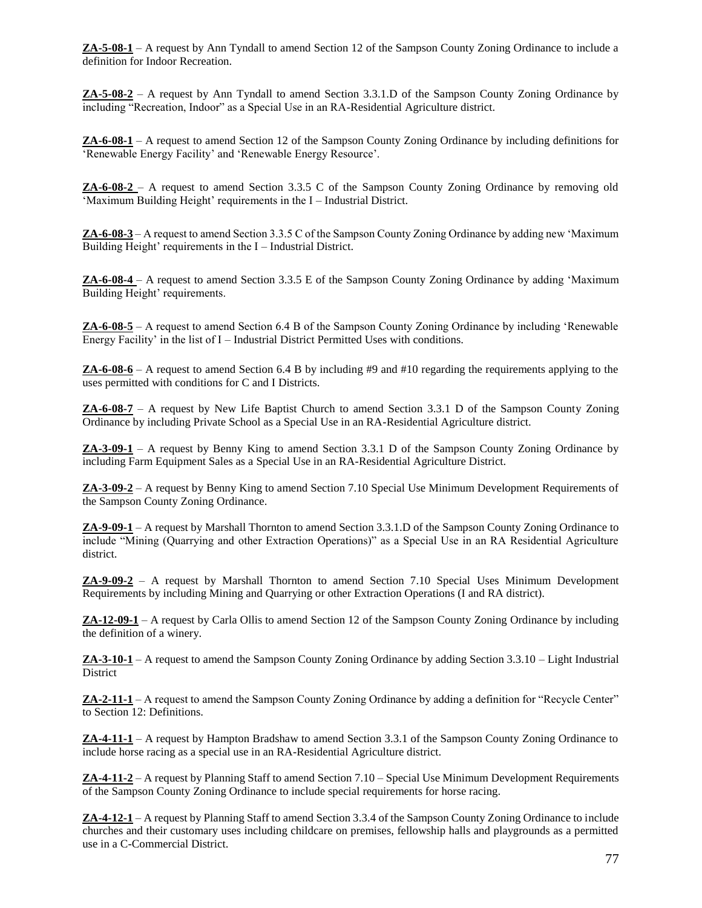**ZA-5-08-1** – A request by Ann Tyndall to amend Section 12 of the Sampson County Zoning Ordinance to include a definition for Indoor Recreation.

**ZA-5-08-2** – A request by Ann Tyndall to amend Section 3.3.1.D of the Sampson County Zoning Ordinance by including "Recreation, Indoor" as a Special Use in an RA-Residential Agriculture district.

**ZA-6-08-1** – A request to amend Section 12 of the Sampson County Zoning Ordinance by including definitions for 'Renewable Energy Facility' and 'Renewable Energy Resource'.

**ZA-6-08-2** – A request to amend Section 3.3.5 C of the Sampson County Zoning Ordinance by removing old 'Maximum Building Height' requirements in the I – Industrial District.

**ZA-6-08-3** – A request to amend Section 3.3.5 C of the Sampson County Zoning Ordinance by adding new 'Maximum Building Height' requirements in the I – Industrial District.

**ZA-6-08-4** – A request to amend Section 3.3.5 E of the Sampson County Zoning Ordinance by adding 'Maximum Building Height' requirements.

**ZA-6-08-5** – A request to amend Section 6.4 B of the Sampson County Zoning Ordinance by including 'Renewable Energy Facility' in the list of I – Industrial District Permitted Uses with conditions.

**ZA-6-08-6** – A request to amend Section 6.4 B by including #9 and #10 regarding the requirements applying to the uses permitted with conditions for C and I Districts.

**ZA-6-08-7** – A request by New Life Baptist Church to amend Section 3.3.1 D of the Sampson County Zoning Ordinance by including Private School as a Special Use in an RA-Residential Agriculture district.

**ZA-3-09-1** – A request by Benny King to amend Section 3.3.1 D of the Sampson County Zoning Ordinance by including Farm Equipment Sales as a Special Use in an RA-Residential Agriculture District.

**ZA-3-09-2** – A request by Benny King to amend Section 7.10 Special Use Minimum Development Requirements of the Sampson County Zoning Ordinance.

**ZA-9-09-1** – A request by Marshall Thornton to amend Section 3.3.1.D of the Sampson County Zoning Ordinance to include "Mining (Quarrying and other Extraction Operations)" as a Special Use in an RA Residential Agriculture district.

**ZA-9-09-2** – A request by Marshall Thornton to amend Section 7.10 Special Uses Minimum Development Requirements by including Mining and Quarrying or other Extraction Operations (I and RA district).

**ZA-12-09-1** – A request by Carla Ollis to amend Section 12 of the Sampson County Zoning Ordinance by including the definition of a winery.

**ZA-3-10-1** – A request to amend the Sampson County Zoning Ordinance by adding Section 3.3.10 – Light Industrial **District** 

**ZA-2-11-1** – A request to amend the Sampson County Zoning Ordinance by adding a definition for "Recycle Center" to Section 12: Definitions.

**ZA-4-11-1** – A request by Hampton Bradshaw to amend Section 3.3.1 of the Sampson County Zoning Ordinance to include horse racing as a special use in an RA-Residential Agriculture district.

**ZA-4-11-2** – A request by Planning Staff to amend Section 7.10 – Special Use Minimum Development Requirements of the Sampson County Zoning Ordinance to include special requirements for horse racing.

**ZA-4-12-1** – A request by Planning Staff to amend Section 3.3.4 of the Sampson County Zoning Ordinance to include churches and their customary uses including childcare on premises, fellowship halls and playgrounds as a permitted use in a C-Commercial District.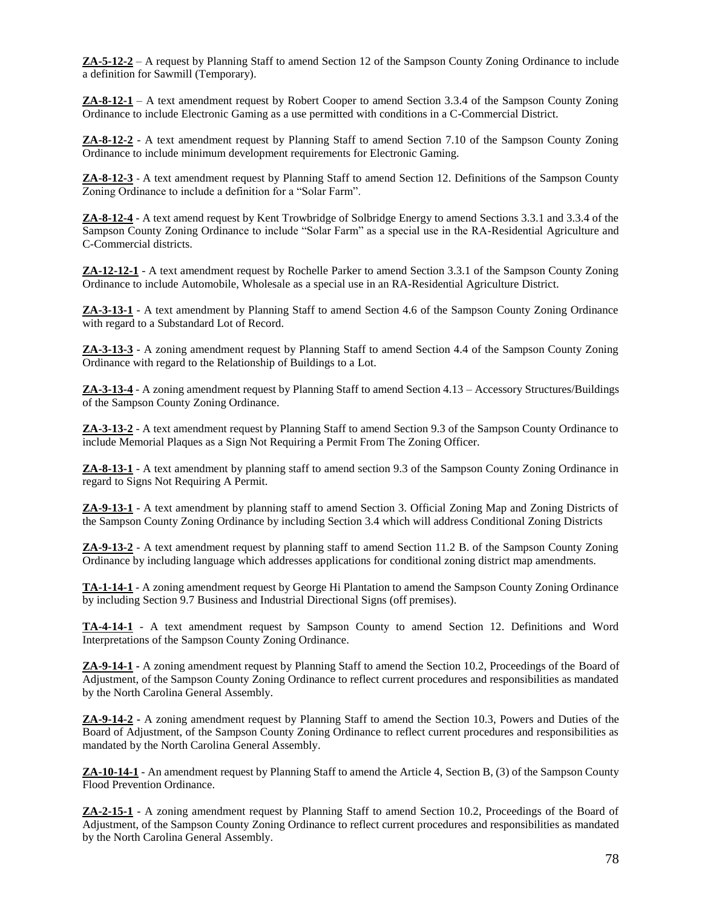**ZA-5-12-2** – A request by Planning Staff to amend Section 12 of the Sampson County Zoning Ordinance to include a definition for Sawmill (Temporary).

**ZA-8-12-1** – A text amendment request by Robert Cooper to amend Section 3.3.4 of the Sampson County Zoning Ordinance to include Electronic Gaming as a use permitted with conditions in a C-Commercial District.

**ZA-8-12-2** - A text amendment request by Planning Staff to amend Section 7.10 of the Sampson County Zoning Ordinance to include minimum development requirements for Electronic Gaming.

**ZA-8-12-3** - A text amendment request by Planning Staff to amend Section 12. Definitions of the Sampson County Zoning Ordinance to include a definition for a "Solar Farm".

**ZA-8-12-4** - A text amend request by Kent Trowbridge of Solbridge Energy to amend Sections 3.3.1 and 3.3.4 of the Sampson County Zoning Ordinance to include "Solar Farm" as a special use in the RA-Residential Agriculture and C-Commercial districts.

**ZA-12-12-1** - A text amendment request by Rochelle Parker to amend Section 3.3.1 of the Sampson County Zoning Ordinance to include Automobile, Wholesale as a special use in an RA-Residential Agriculture District.

**ZA-3-13-1** - A text amendment by Planning Staff to amend Section 4.6 of the Sampson County Zoning Ordinance with regard to a Substandard Lot of Record.

**ZA-3-13-3** - A zoning amendment request by Planning Staff to amend Section 4.4 of the Sampson County Zoning Ordinance with regard to the Relationship of Buildings to a Lot.

**ZA-3-13-4** - A zoning amendment request by Planning Staff to amend Section 4.13 – Accessory Structures/Buildings of the Sampson County Zoning Ordinance.

**ZA-3-13-2** - A text amendment request by Planning Staff to amend Section 9.3 of the Sampson County Ordinance to include Memorial Plaques as a Sign Not Requiring a Permit From The Zoning Officer.

**ZA-8-13-1** - A text amendment by planning staff to amend section 9.3 of the Sampson County Zoning Ordinance in regard to Signs Not Requiring A Permit.

**ZA-9-13-1** - A text amendment by planning staff to amend Section 3. Official Zoning Map and Zoning Districts of the Sampson County Zoning Ordinance by including Section 3.4 which will address Conditional Zoning Districts

**ZA-9-13-2** - A text amendment request by planning staff to amend Section 11.2 B. of the Sampson County Zoning Ordinance by including language which addresses applications for conditional zoning district map amendments.

**TA-1-14-1** - A zoning amendment request by George Hi Plantation to amend the Sampson County Zoning Ordinance by including Section 9.7 Business and Industrial Directional Signs (off premises).

**TA-4-14-1** - A text amendment request by Sampson County to amend Section 12. Definitions and Word Interpretations of the Sampson County Zoning Ordinance.

**ZA-9-14-1 -** A zoning amendment request by Planning Staff to amend the Section 10.2, Proceedings of the Board of Adjustment, of the Sampson County Zoning Ordinance to reflect current procedures and responsibilities as mandated by the North Carolina General Assembly.

**ZA-9-14-2 -** A zoning amendment request by Planning Staff to amend the Section 10.3, Powers and Duties of the Board of Adjustment, of the Sampson County Zoning Ordinance to reflect current procedures and responsibilities as mandated by the North Carolina General Assembly.

**ZA-10-14-1** - An amendment request by Planning Staff to amend the Article 4, Section B, (3) of the Sampson County Flood Prevention Ordinance.

**ZA-2-15-1** - A zoning amendment request by Planning Staff to amend Section 10.2, Proceedings of the Board of Adjustment, of the Sampson County Zoning Ordinance to reflect current procedures and responsibilities as mandated by the North Carolina General Assembly.